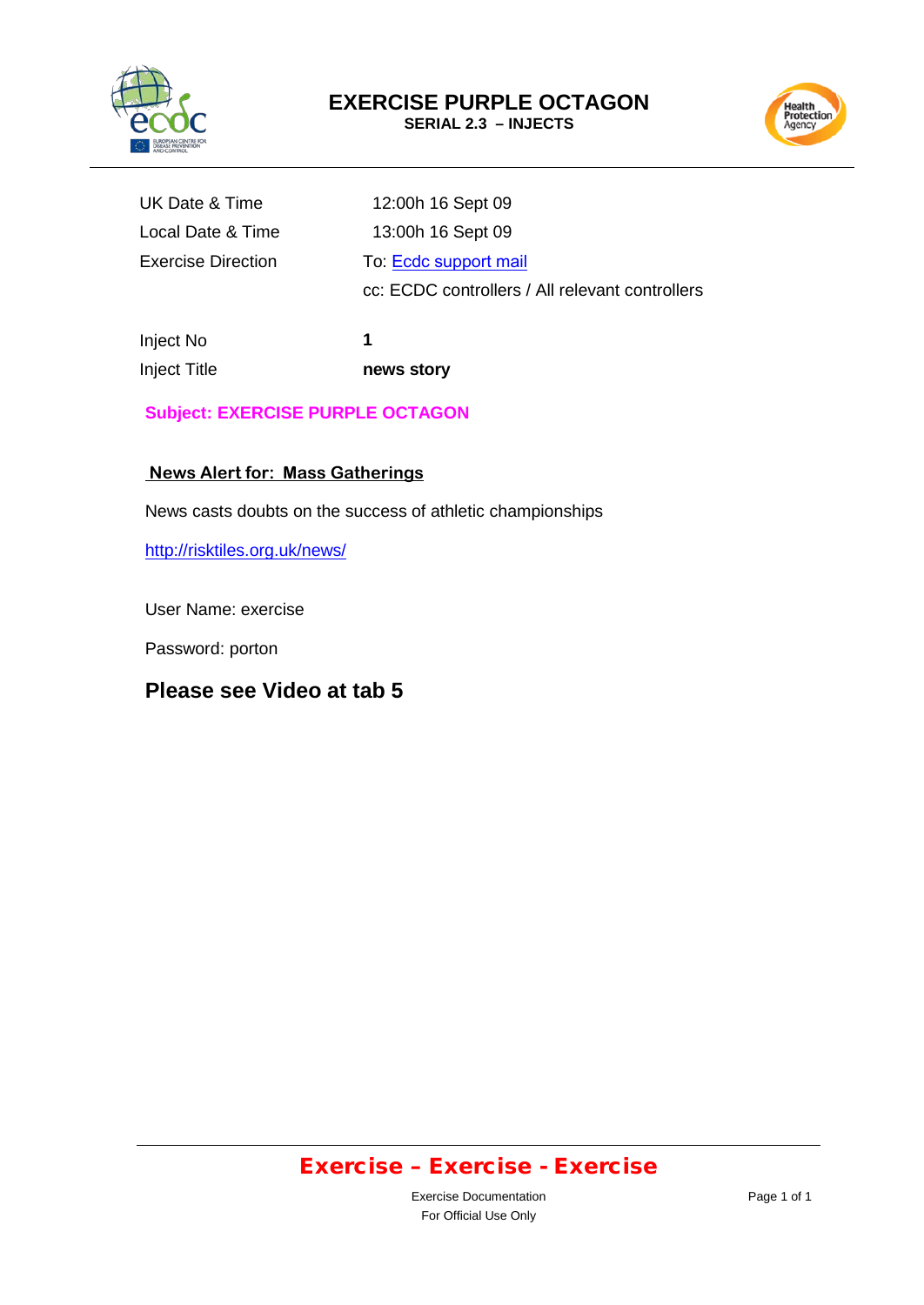



| UK Date & Time     |  |
|--------------------|--|
| Local Date & Time  |  |
| Exercise Direction |  |

12:00h 16 Sept 09 13:00h 16 Sept 09 To: [Ecdc support mail](mailto:support@ecdc.europa.eu) cc: ECDC controllers / All relevant controllers

Inject No Inject Title

**1 news story** 

**Subject: EXERCISE PURPLE OCTAGON**

### **News Alert for: Mass Gatherings**

News casts doubts on the success of athletic championships

<http://risktiles.org.uk/news/>

User Name: exercise

Password: porton

### **Please see Video at tab 5**

### Exercise – Exercise - Exercise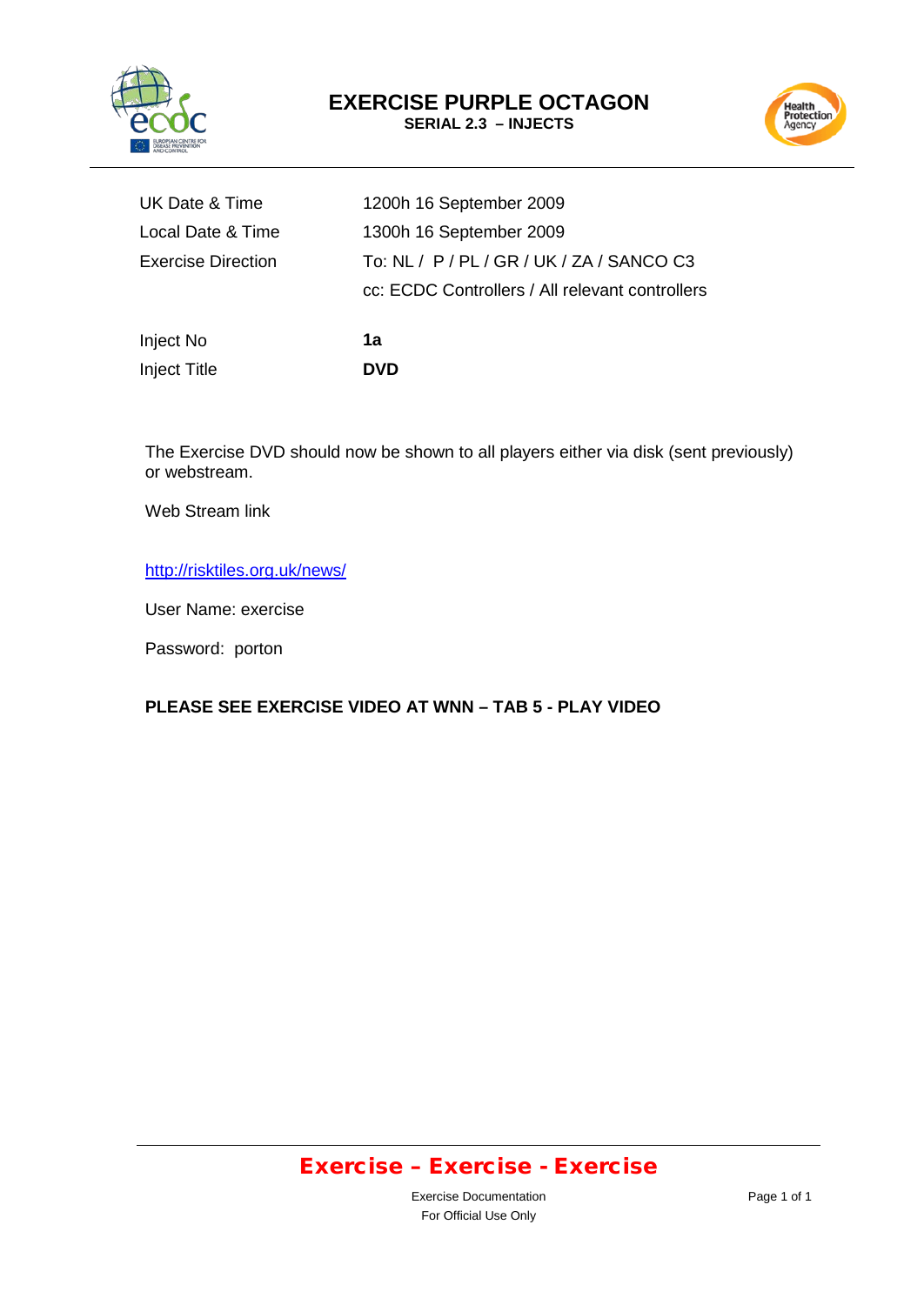



| Inject No                 | 1а                                              |
|---------------------------|-------------------------------------------------|
|                           | cc: ECDC Controllers / All relevant controllers |
| <b>Exercise Direction</b> | To: NL / P / PL / GR / UK / ZA / SANCO C3       |
| Local Date & Time         | 1300h 16 September 2009                         |
| UK Date & Time            | 1200h 16 September 2009                         |

The Exercise DVD should now be shown to all players either via disk (sent previously) or webstream.

Web Stream link

#### <http://risktiles.org.uk/news/>

Inject Title **DVD** 

User Name: exercise

Password: porton

#### **PLEASE SEE EXERCISE VIDEO AT WNN – TAB 5 - PLAY VIDEO**

# Exercise – Exercise - Exercise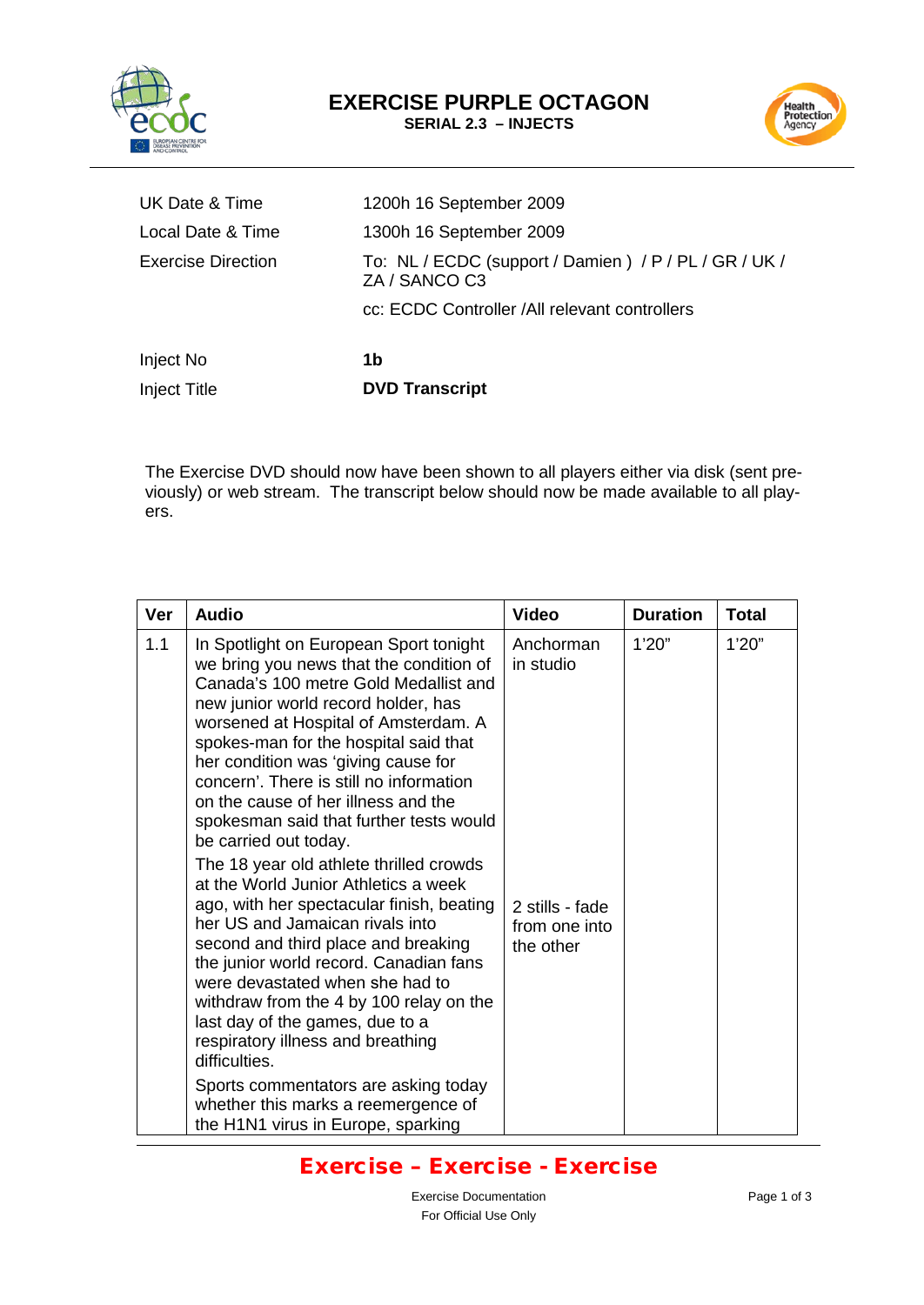



| UK Date & Time      | 1200h 16 September 2009                                                |
|---------------------|------------------------------------------------------------------------|
| Local Date & Time   | 1300h 16 September 2009                                                |
| Exercise Direction  | To: NL / ECDC (support / Damien) / P / PL / GR / UK /<br>ZA / SANCO C3 |
|                     | cc: ECDC Controller /All relevant controllers                          |
| Inject No           | 1b                                                                     |
| <b>Inject Title</b> | <b>DVD Transcript</b>                                                  |

The Exercise DVD should now have been shown to all players either via disk (sent previously) or web stream. The transcript below should now be made available to all players.

| <b>Ver</b> | <b>Audio</b>                                                                                                                                                                                                                                                                                                                                                                                                                                    | <b>Video</b>                                  | <b>Duration</b> | Total  |
|------------|-------------------------------------------------------------------------------------------------------------------------------------------------------------------------------------------------------------------------------------------------------------------------------------------------------------------------------------------------------------------------------------------------------------------------------------------------|-----------------------------------------------|-----------------|--------|
| 1.1        | In Spotlight on European Sport tonight<br>we bring you news that the condition of<br>Canada's 100 metre Gold Medallist and<br>new junior world record holder, has<br>worsened at Hospital of Amsterdam. A<br>spokes-man for the hospital said that<br>her condition was 'giving cause for<br>concern'. There is still no information<br>on the cause of her illness and the<br>spokesman said that further tests would<br>be carried out today. | Anchorman<br>in studio                        | 1'20''          | 1'20'' |
|            | The 18 year old athlete thrilled crowds<br>at the World Junior Athletics a week<br>ago, with her spectacular finish, beating<br>her US and Jamaican rivals into<br>second and third place and breaking<br>the junior world record. Canadian fans<br>were devastated when she had to<br>withdraw from the 4 by 100 relay on the<br>last day of the games, due to a<br>respiratory illness and breathing<br>difficulties.                         | 2 stills - fade<br>from one into<br>the other |                 |        |
|            | Sports commentators are asking today<br>whether this marks a reemergence of<br>the H1N1 virus in Europe, sparking                                                                                                                                                                                                                                                                                                                               |                                               |                 |        |

# Exercise – Exercise - Exercise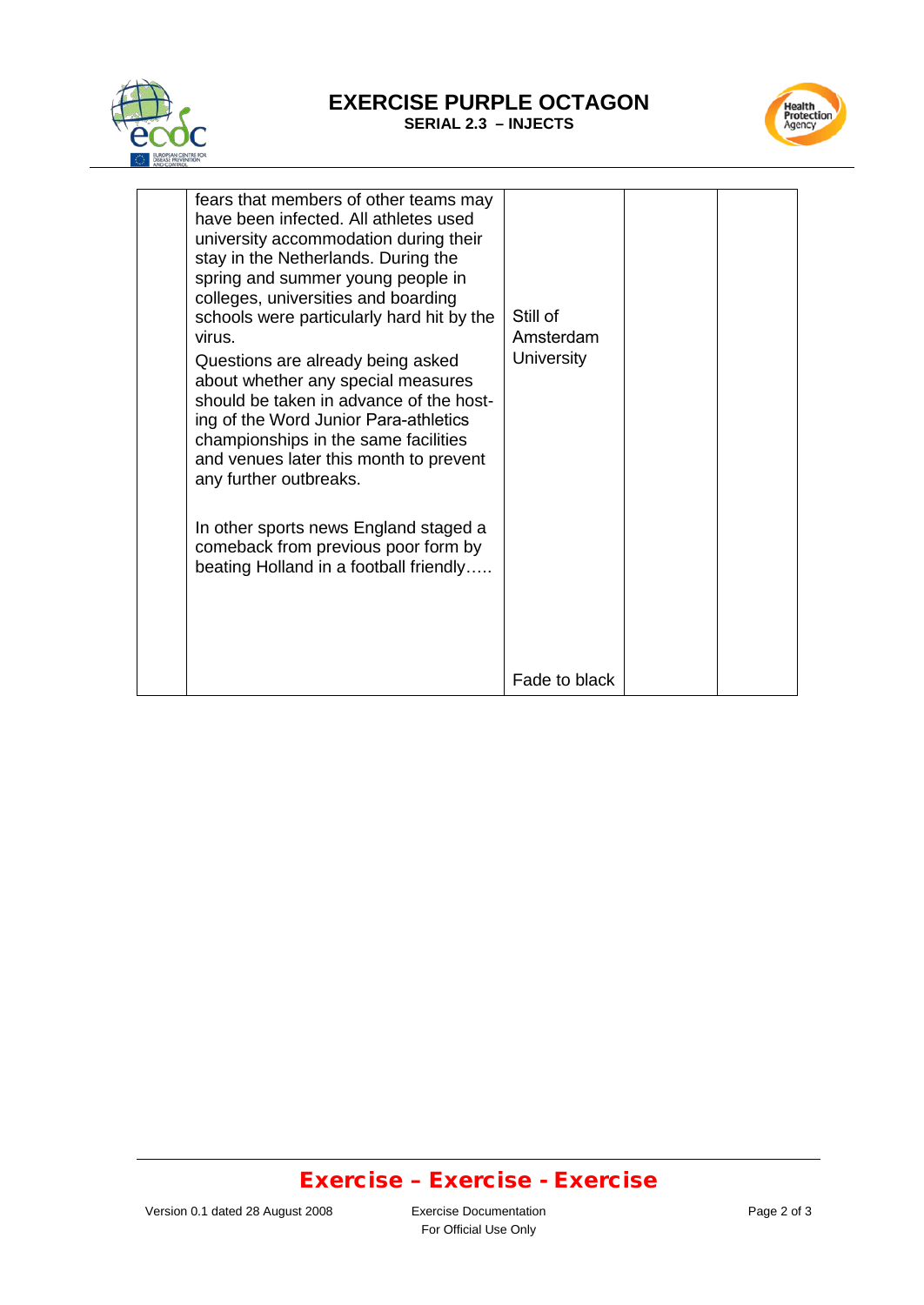

#### **EXERCISE PURPLE OCTAGON SERIAL 2.3 – INJECTS**



| fears that members of other teams may<br>have been infected. All athletes used<br>university accommodation during their<br>stay in the Netherlands. During the<br>spring and summer young people in<br>colleges, universities and boarding<br>schools were particularly hard hit by the<br>virus.<br>Questions are already being asked<br>about whether any special measures<br>should be taken in advance of the host-<br>ing of the Word Junior Para-athletics<br>championships in the same facilities<br>and venues later this month to prevent<br>any further outbreaks.<br>In other sports news England staged a<br>comeback from previous poor form by<br>beating Holland in a football friendly | Still of<br>Amsterdam<br>University |  |
|--------------------------------------------------------------------------------------------------------------------------------------------------------------------------------------------------------------------------------------------------------------------------------------------------------------------------------------------------------------------------------------------------------------------------------------------------------------------------------------------------------------------------------------------------------------------------------------------------------------------------------------------------------------------------------------------------------|-------------------------------------|--|
|                                                                                                                                                                                                                                                                                                                                                                                                                                                                                                                                                                                                                                                                                                        | Fade to black                       |  |

### Exercise – Exercise - Exercise

For Official Use Only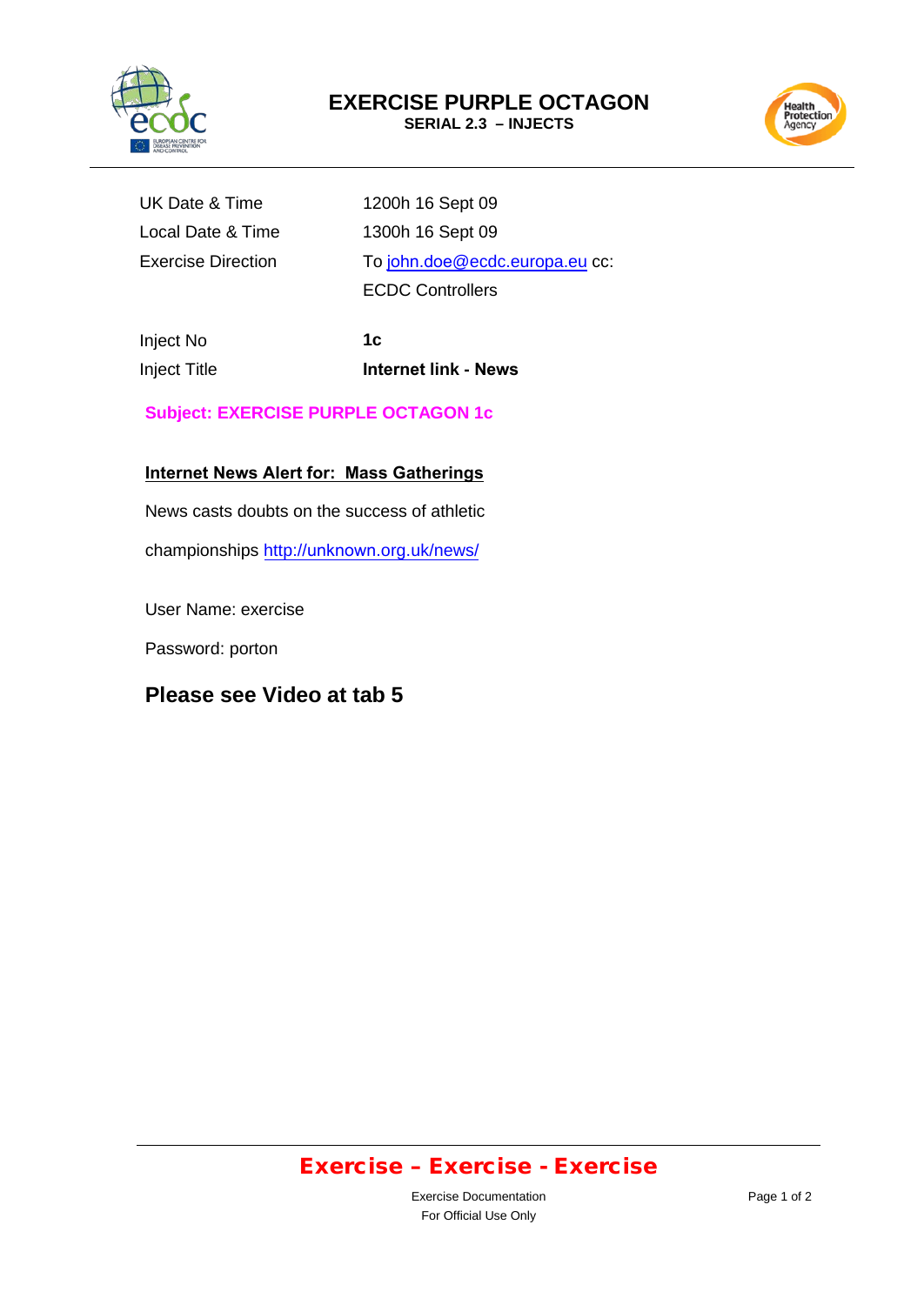

# **EXERCISE PURPLE OCTAGON**

**SERIAL 2.3 – INJECTS**



Exercise Direction

UK Date & Time 1200h 16 Sept 09 Local Date & Time 1300h 16 Sept 09 To john.doe[@ecdc.europa.eu](mailto:damian.phillips@ecdc.europa.eu) cc: ECDC Controllers

Inject No Inject Title

**1c Internet link - News**

**Subject: EXERCISE PURPLE OCTAGON 1c**

**Internet News Alert for: Mass Gatherings**

News casts doubts on the success of athletic

[championships](http://risktiles.org.uk/news/) http://unknown.org.uk/news/

User Name: exercise

Password: porton

### **Please see Video at tab 5**

### Exercise – Exercise - Exercise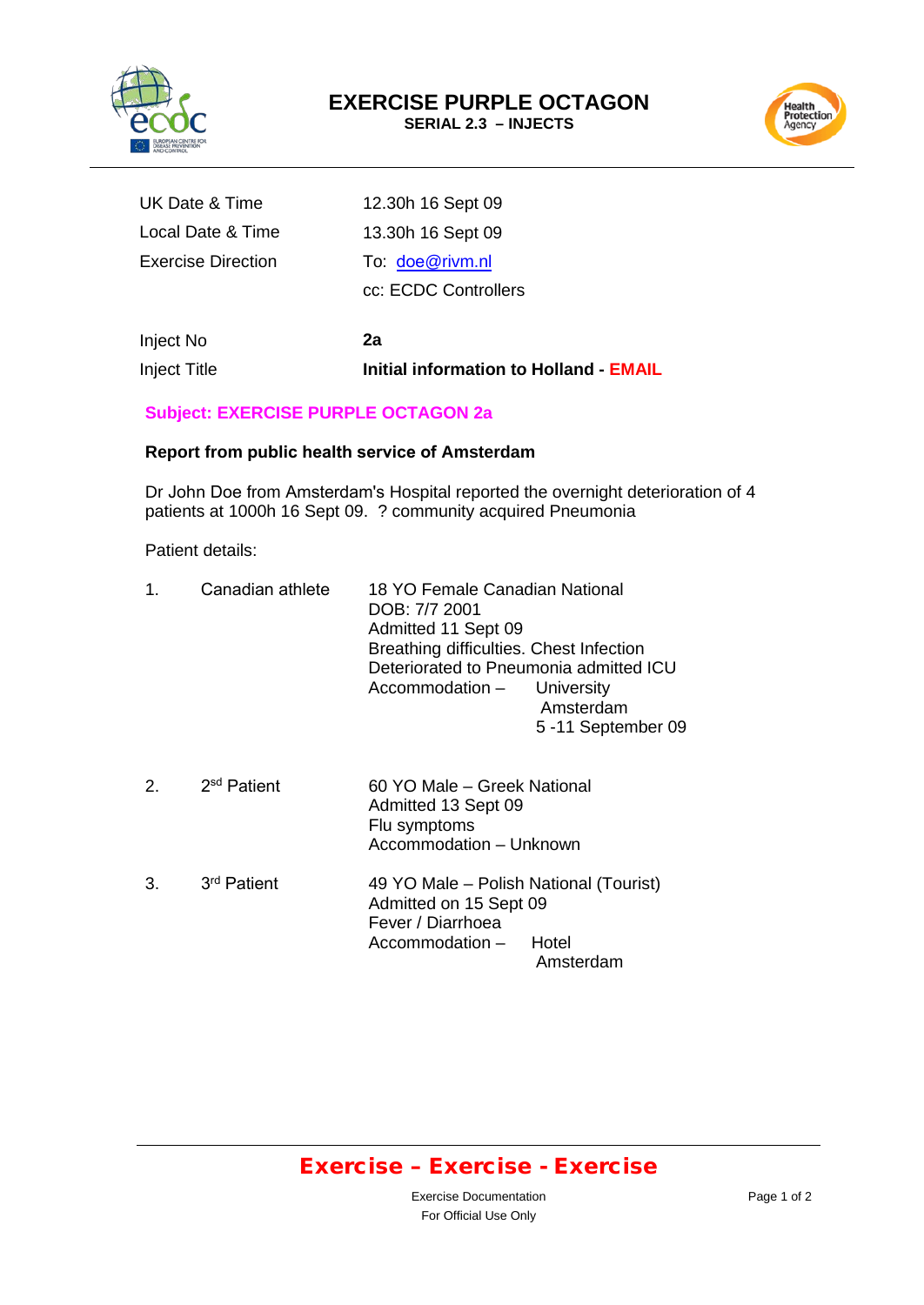



| UK Date & Time     | 12.30h 16 Sept 09    |
|--------------------|----------------------|
| Local Date & Time  | 13.30h 16 Sept 09    |
| Exercise Direction | To: doe@rivm.nl      |
|                    | cc: ECDC Controllers |
|                    |                      |

Inject No Inject Title **2a Initial information to Holland - EMAIL**

#### **Subject: EXERCISE PURPLE OCTAGON 2a**

#### **Report from public health service of Amsterdam**

Dr John Doe from Amsterdam's Hospital reported the overnight deterioration of 4 patients at 1000h 16 Sept 09. ? community acquired Pneumonia

Patient details:

| 1. | Canadian athlete        | 18 YO Female Canadian National<br>DOB: 7/7 2001<br>Admitted 11 Sept 09<br>Breathing difficulties. Chest Infection<br>Deteriorated to Pneumonia admitted ICU<br>Accommodation - University | Amsterdam<br>5-11 September 09 |
|----|-------------------------|-------------------------------------------------------------------------------------------------------------------------------------------------------------------------------------------|--------------------------------|
| 2. | 2 <sup>sd</sup> Patient | 60 YO Male – Greek National<br>Admitted 13 Sept 09<br>Flu symptoms<br>Accommodation - Unknown                                                                                             |                                |
| 3. | 3 <sup>rd</sup> Patient | 49 YO Male – Polish National (Tourist)<br>Admitted on 15 Sept 09<br>Fever / Diarrhoea<br>Accommodation - Hotel                                                                            | Amsterdam                      |

### Exercise – Exercise - Exercise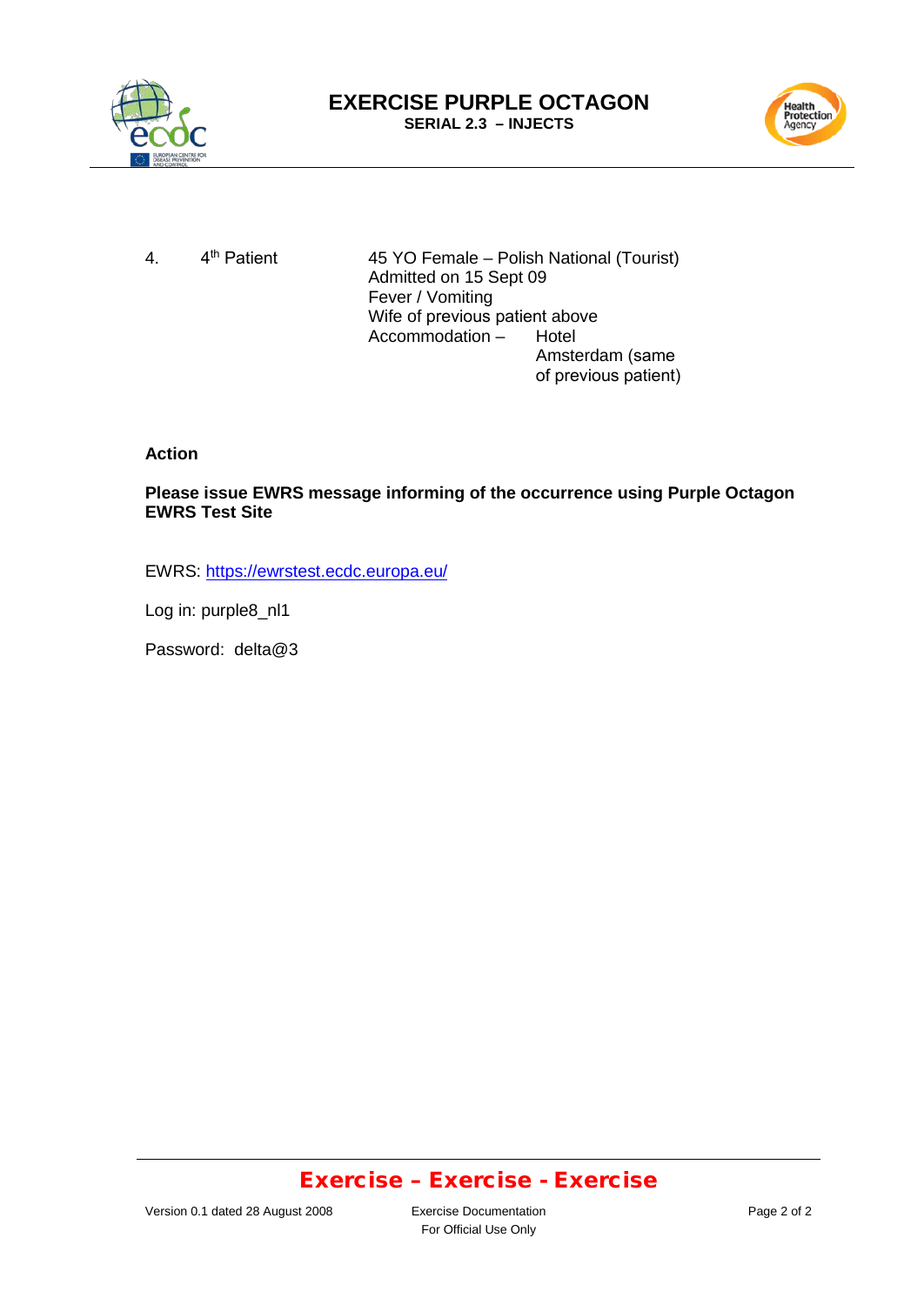



4. 4<sup>th</sup> Patient

45 YO Female – Polish National (Tourist) Admitted on 15 Sept 09 Fever / Vomiting Wife of previous patient above<br>Accommodation - Hotel  $Accommodation -$ Amsterdam (same of previous patient)

**Action**

**Please issue EWRS message informing of the occurrence using Purple Octagon EWRS Test Site**

EWRS:<https://ewrstest.ecdc.europa.eu/>

Log in: purple8\_nl1

Password: delta@3

### Exercise – Exercise - Exercise

For Official Use Only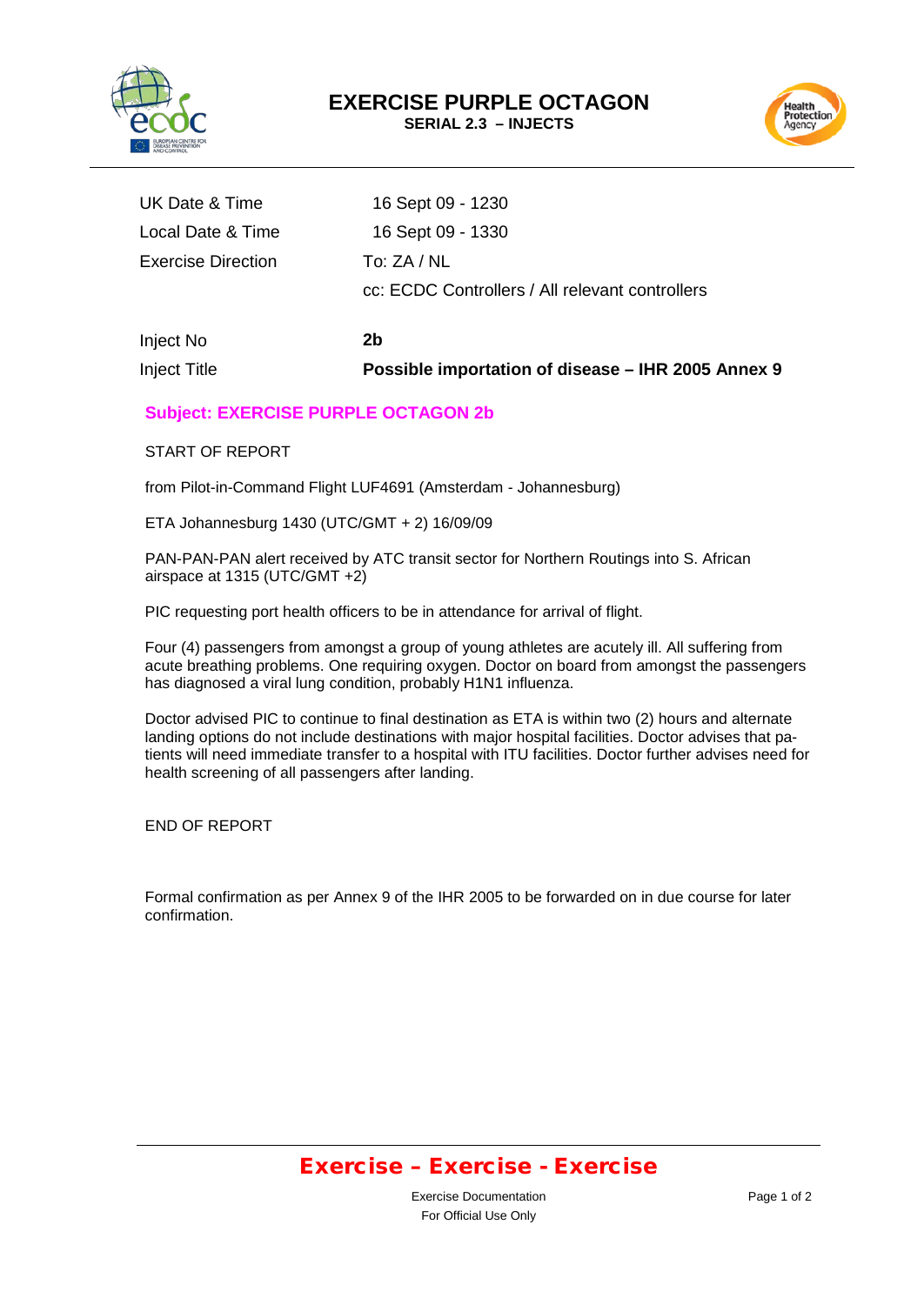

Health<br>Protection<br>Agency

| Inject Title              | Possible importation of disease - IHR 2005 Annex 9 |
|---------------------------|----------------------------------------------------|
| Inject No                 | 2b                                                 |
|                           | cc: ECDC Controllers / All relevant controllers    |
| <b>Exercise Direction</b> | To: $ZA/NL$                                        |
| Local Date & Time         | 16 Sept 09 - 1330                                  |
| UK Date & Time            | 16 Sept 09 - 1230                                  |
|                           |                                                    |

#### **Subject: EXERCISE PURPLE OCTAGON 2b**

START OF REPORT

from Pilot-in-Command Flight LUF4691 (Amsterdam - Johannesburg)

ETA Johannesburg 1430 (UTC/GMT + 2) 16/09/09

PAN-PAN-PAN alert received by ATC transit sector for Northern Routings into S. African airspace at 1315 (UTC/GMT +2)

PIC requesting port health officers to be in attendance for arrival of flight.

Four (4) passengers from amongst a group of young athletes are acutely ill. All suffering from acute breathing problems. One requiring oxygen. Doctor on board from amongst the passengers has diagnosed a viral lung condition, probably H1N1 influenza.

Doctor advised PIC to continue to final destination as ETA is within two (2) hours and alternate landing options do not include destinations with major hospital facilities. Doctor advises that patients will need immediate transfer to a hospital with ITU facilities. Doctor further advises need for health screening of all passengers after landing.

END OF REPORT

Formal confirmation as per Annex 9 of the IHR 2005 to be forwarded on in due course for later confirmation.

### Exercise – Exercise - Exercise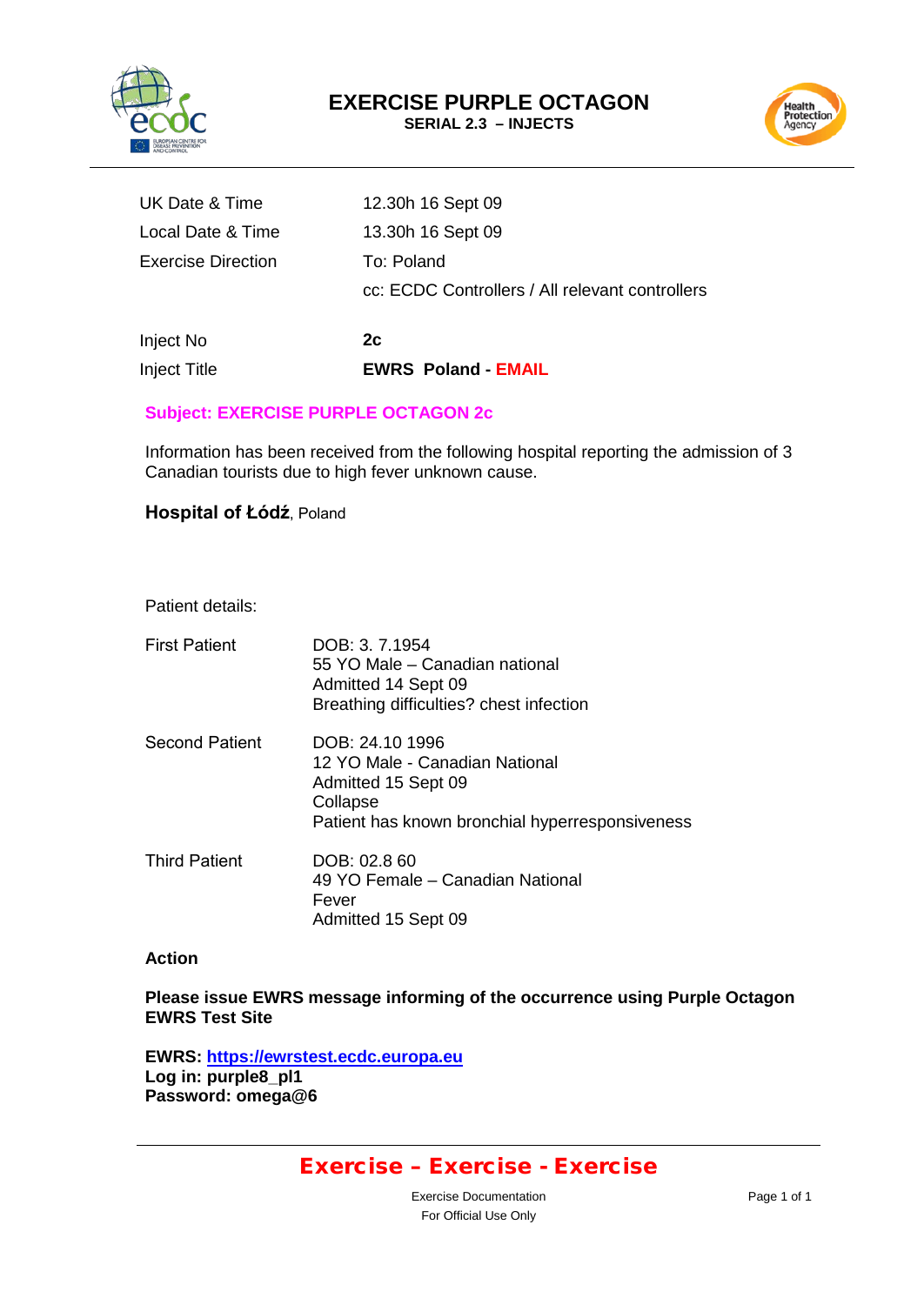



| Inject No          | 2с                                              |
|--------------------|-------------------------------------------------|
|                    | cc: ECDC Controllers / All relevant controllers |
| Exercise Direction | To: Poland                                      |
| Local Date & Time  | 13.30h 16 Sept 09                               |
| UK Date & Time     | 12.30h 16 Sept 09                               |

Inject Title **EWRS Poland - EMAIL**

#### **Subject: EXERCISE PURPLE OCTAGON 2c**

Information has been received from the following hospital reporting the admission of 3 Canadian tourists due to high fever unknown cause.

#### **Hospital of Łódź**, Poland

#### Patient details:

| <b>First Patient</b>  | DOB: 3, 7,1954<br>55 YO Male – Canadian national<br>Admitted 14 Sept 09<br>Breathing difficulties? chest infection                      |
|-----------------------|-----------------------------------------------------------------------------------------------------------------------------------------|
| <b>Second Patient</b> | DOB: 24.10 1996<br>12 YO Male - Canadian National<br>Admitted 15 Sept 09<br>Collapse<br>Patient has known bronchial hyperresponsiveness |
| <b>Third Patient</b>  | DOB: 02.8 60<br>49 YO Female – Canadian National<br>Fever<br>Admitted 15 Sept 09                                                        |

#### **Action**

#### **Please issue EWRS message informing of the occurrence using Purple Octagon EWRS Test Site**

**EWRS: [https://ewrstest.ecdc.europa.eu](https://ewrstest.ecdc.europa.eu/) Log in: purple8\_pl1 Password: omega@6**

### Exercise – Exercise - Exercise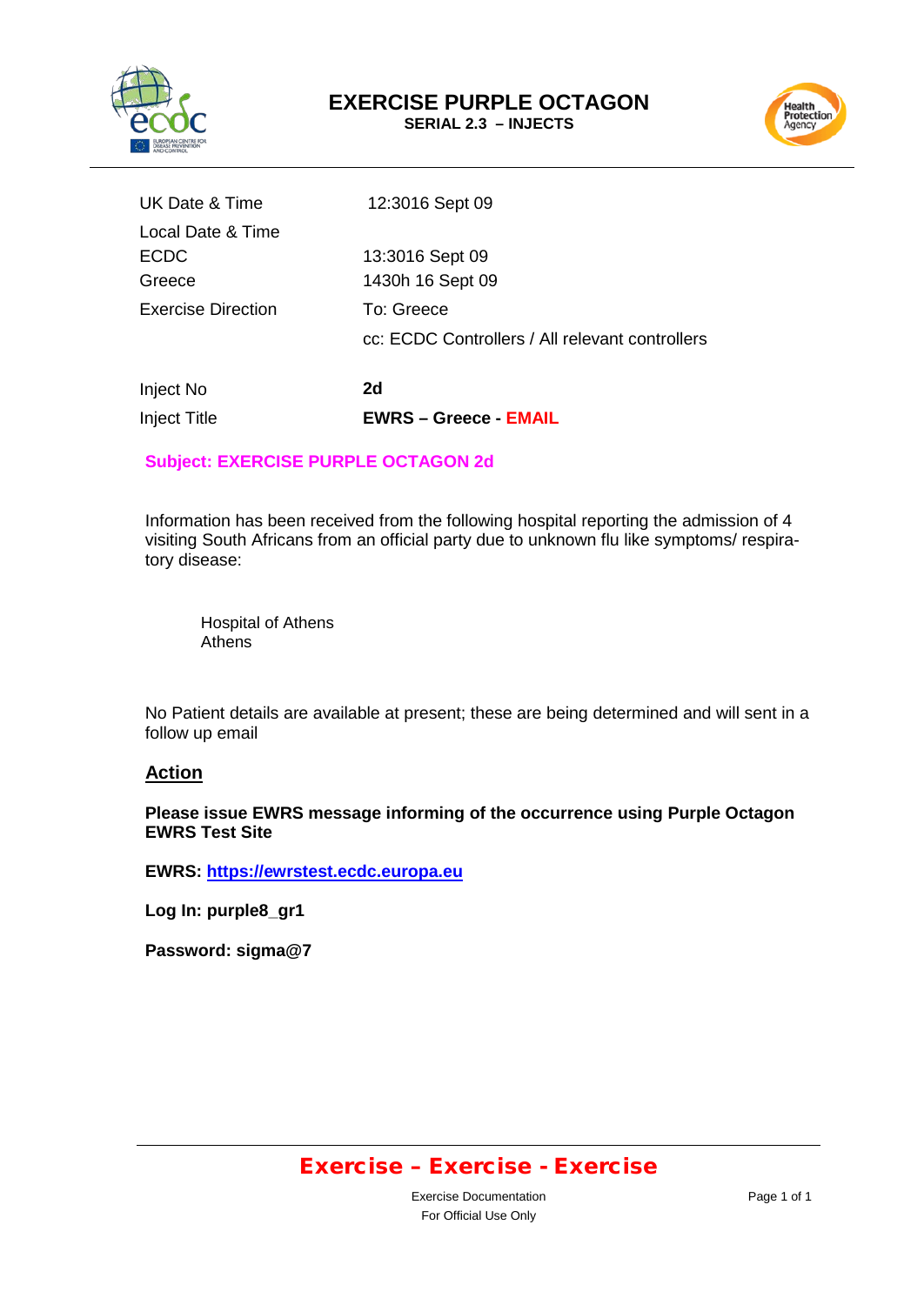



| Inject No                 | 2d                                                            |
|---------------------------|---------------------------------------------------------------|
| <b>Exercise Direction</b> | To: Greece<br>cc: ECDC Controllers / All relevant controllers |
|                           |                                                               |
| Greece                    | 1430h 16 Sept 09                                              |
| <b>ECDC</b>               | 13:3016 Sept 09                                               |
| Local Date & Time         |                                                               |
| UK Date & Time            | 12:3016 Sept 09                                               |
|                           |                                                               |

#### **Subject: EXERCISE PURPLE OCTAGON 2d**

Inject Title **EWRS – Greece - EMAIL**

Information has been received from the following hospital reporting the admission of 4 visiting South Africans from an official party due to unknown flu like symptoms/ respiratory disease:

Hospital of Athens Athens

No Patient details are available at present; these are being determined and will sent in a follow up email

#### **Action**

**Please issue EWRS message informing of the occurrence using Purple Octagon EWRS Test Site**

**EWRS: [https://ewrstest.ecdc.europa.eu](https://ewrstest.ecdc.europa.eu/)**

**Log In: purple8\_gr1**

**Password: sigma@7**

### Exercise – Exercise - Exercise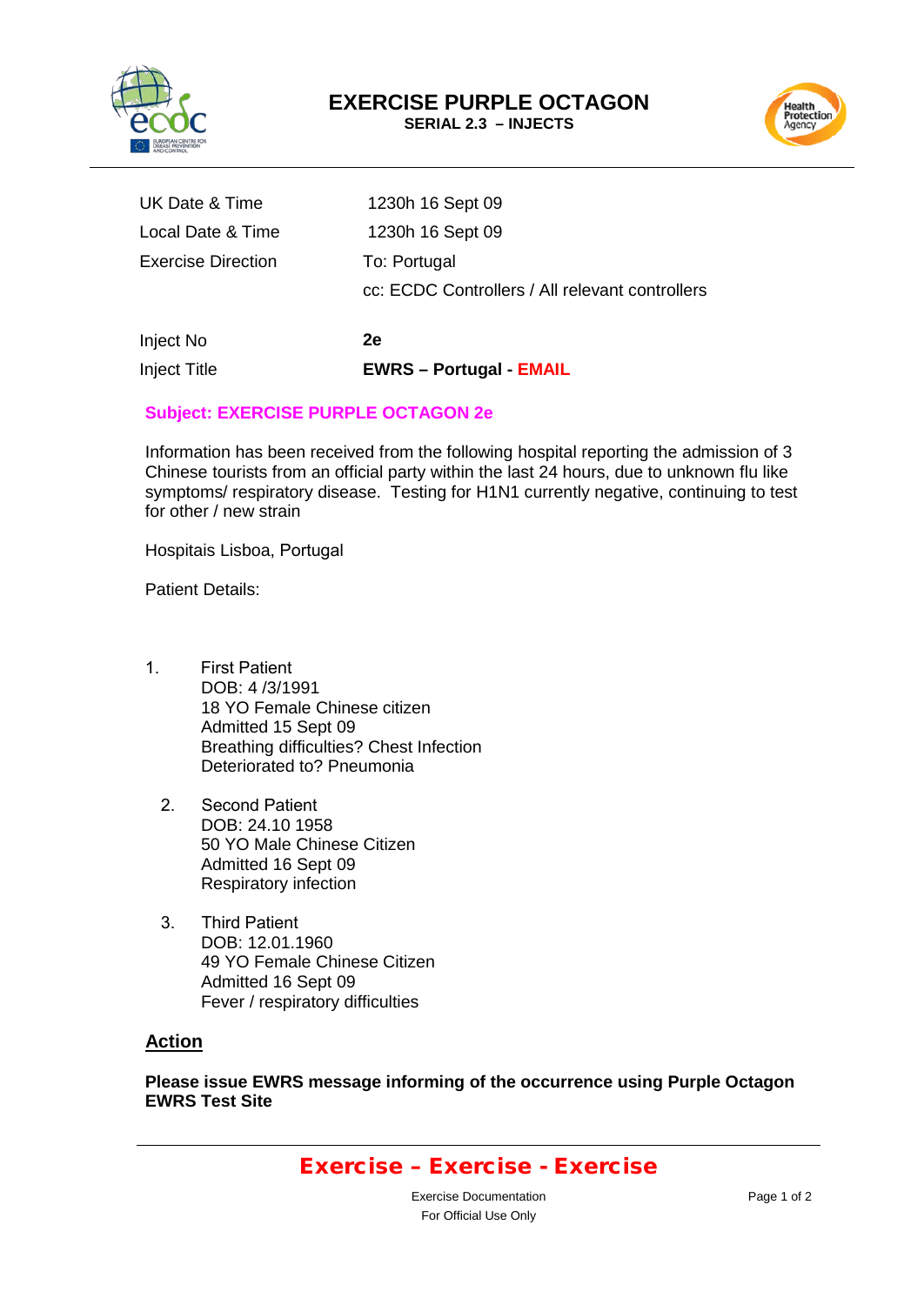



| Inject No          | 2е                                              |
|--------------------|-------------------------------------------------|
|                    | cc: ECDC Controllers / All relevant controllers |
| Exercise Direction | To: Portugal                                    |
| Local Date & Time  | 1230h 16 Sept 09                                |
| UK Date & Time     | 1230h 16 Sept 09                                |

# **Subject: EXERCISE PURPLE OCTAGON 2e**

Inject Title **EWRS – Portugal - EMAIL**

Information has been received from the following hospital reporting the admission of 3 Chinese tourists from an official party within the last 24 hours, due to unknown flu like symptoms/ respiratory disease. Testing for H1N1 currently negative, continuing to test for other / new strain

Hospitais Lisboa, Portugal

Patient Details:

- 1. First Patient DOB: 4 /3/1991 18 YO Female Chinese citizen Admitted 15 Sept 09 Breathing difficulties? Chest Infection Deteriorated to? Pneumonia
	- 2. Second Patient DOB: 24.10 1958 50 YO Male Chinese Citizen Admitted 16 Sept 09 Respiratory infection
	- 3. Third Patient DOB: 12.01.1960 49 YO Female Chinese Citizen Admitted 16 Sept 09 Fever / respiratory difficulties

#### **Action**

**Please issue EWRS message informing of the occurrence using Purple Octagon EWRS Test Site**

### Exercise – Exercise - Exercise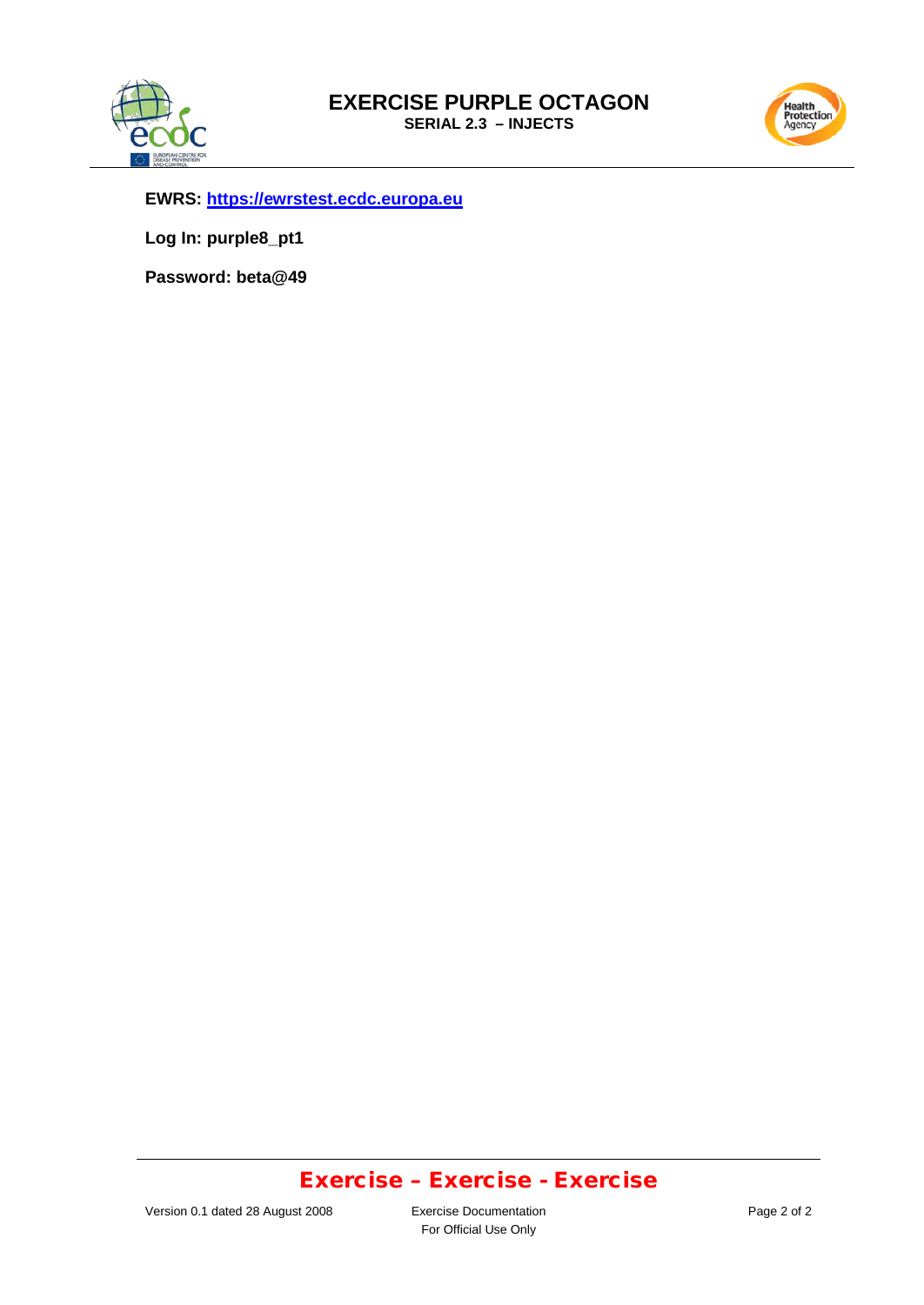



**EWRS: [https://ewrstest.ecdc.europa.eu](https://ewrstest.ecdc.europa.eu/)**

**Log In: purple8\_pt1**

**Password: beta@49**

### Exercise – Exercise - Exercise

For Official Use Only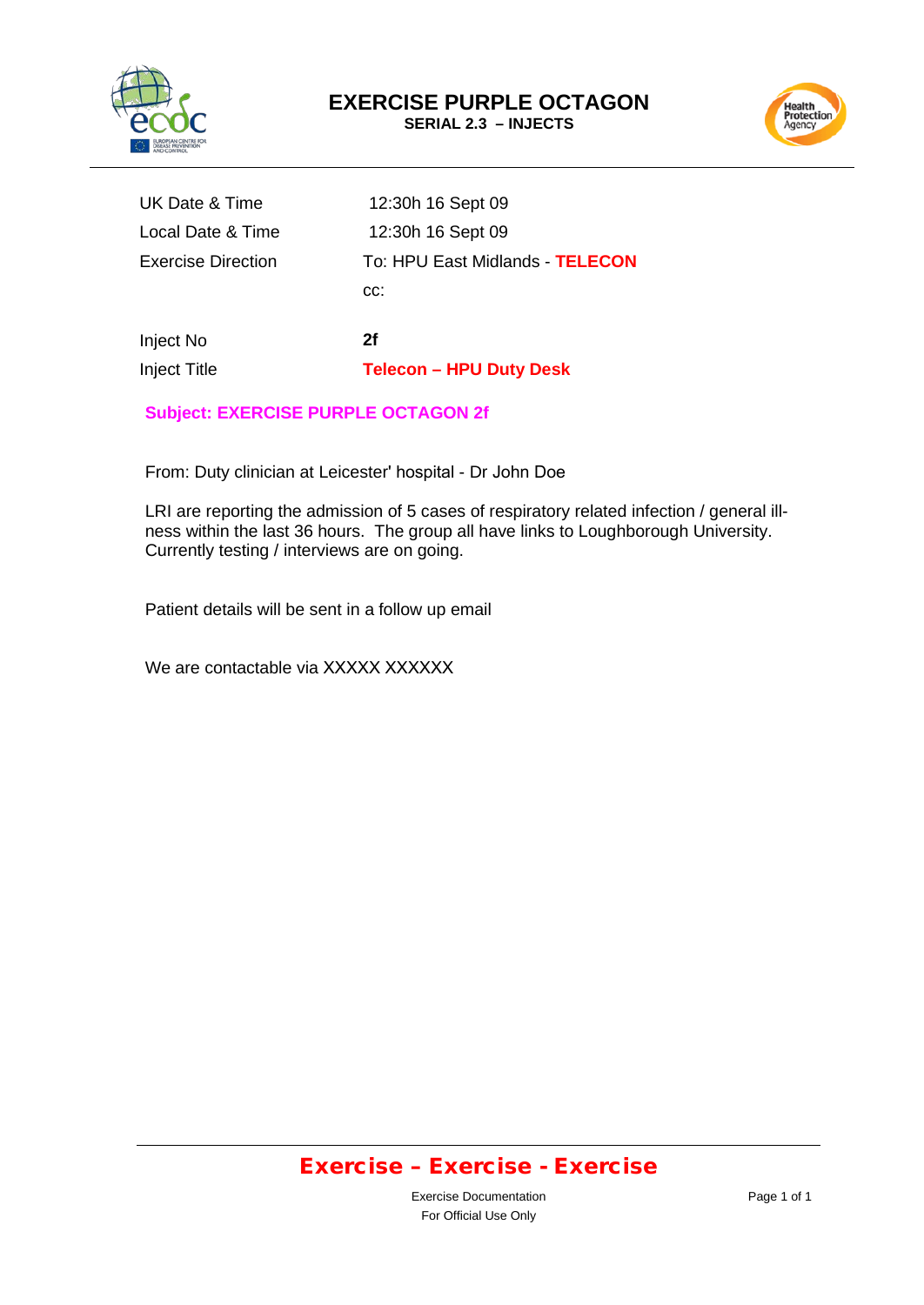



| Inject No                 | 2f                              |
|---------------------------|---------------------------------|
|                           | CC:                             |
| <b>Exercise Direction</b> | To: HPU East Midlands - TELECON |
| Local Date & Time         | 12:30h 16 Sept 09               |
| UK Date & Time            | 12:30h 16 Sept 09               |

Inject Title **Telecon – HPU Duty Desk**

**Subject: EXERCISE PURPLE OCTAGON 2f** 

From: Duty clinician at Leicester' hospital - Dr John Doe

LRI are reporting the admission of 5 cases of respiratory related infection / general illness within the last 36 hours. The group all have links to Loughborough University. Currently testing / interviews are on going.

Patient details will be sent in a follow up email

We are contactable via XXXXX XXXXXX

### Exercise – Exercise - Exercise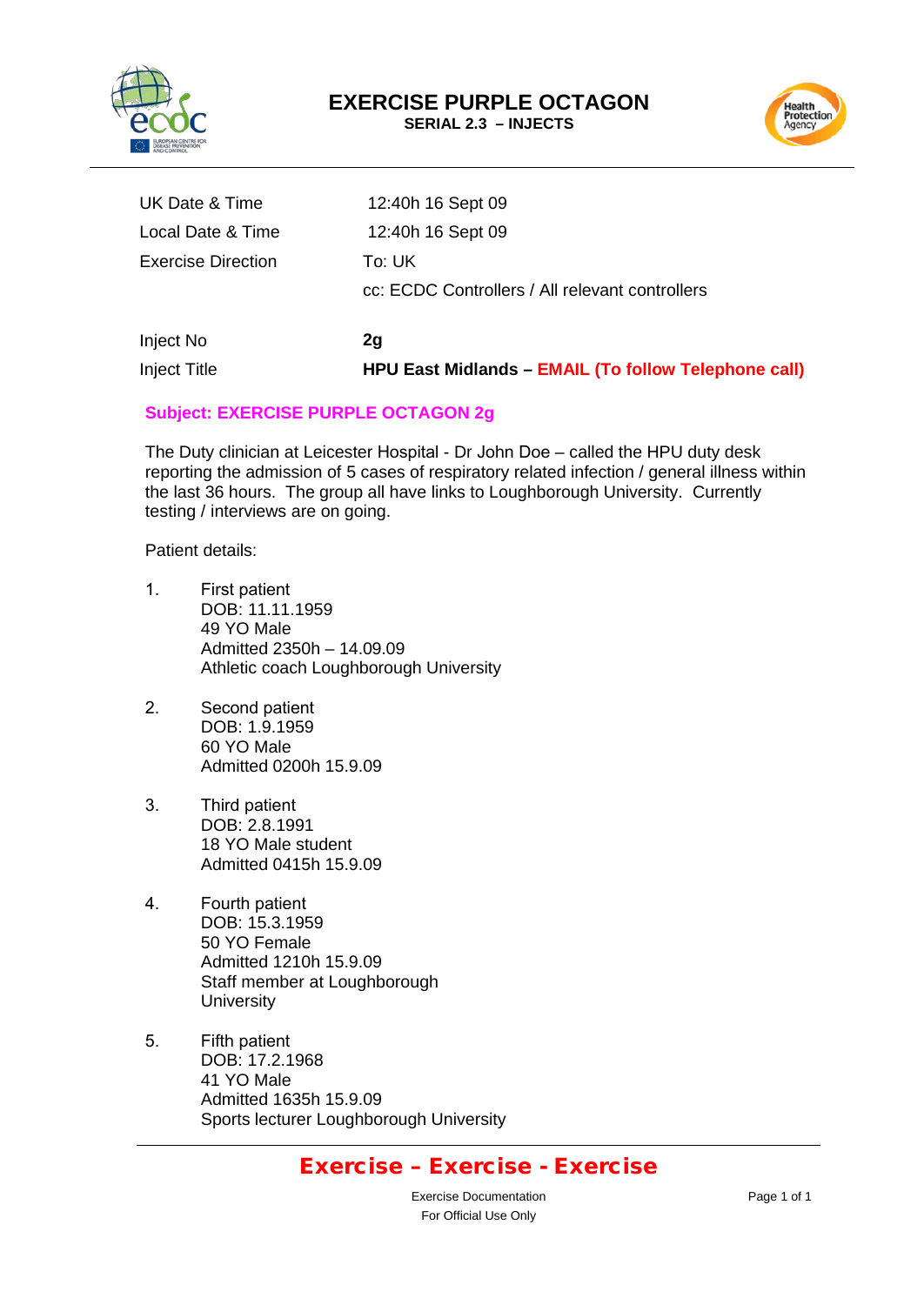



| <b>Inject Title</b>       | <b>HPU East Midlands - EMAIL (To follow Telephone call)</b> |
|---------------------------|-------------------------------------------------------------|
| Inject No                 | 2g                                                          |
|                           | cc: ECDC Controllers / All relevant controllers             |
| <b>Exercise Direction</b> | To: UK                                                      |
| Local Date & Time         | 12:40h 16 Sept 09                                           |
| UK Date & Time            | 12:40h 16 Sept 09                                           |

#### **Subject: EXERCISE PURPLE OCTAGON 2g**

The Duty clinician at Leicester Hospital - Dr John Doe – called the HPU duty desk reporting the admission of 5 cases of respiratory related infection / general illness within the last 36 hours. The group all have links to Loughborough University. Currently testing / interviews are on going.

Patient details:

- 1. First patient DOB: 11.11.1959 49 YO Male Admitted 2350h – 14.09.09 Athletic coach Loughborough University
- 2. Second patient DOB: 1.9.1959 60 YO Male Admitted 0200h 15.9.09
- 3. Third patient DOB: 2.8.1991 18 YO Male student Admitted 0415h 15.9.09
- 4. Fourth patient DOB: 15.3.1959 50 YO Female Admitted 1210h 15.9.09 Staff member at Loughborough **University**
- 5. Fifth patient DOB: 17.2.1968 41 YO Male Admitted 1635h 15.9.09 Sports lecturer Loughborough University

### Exercise – Exercise - Exercise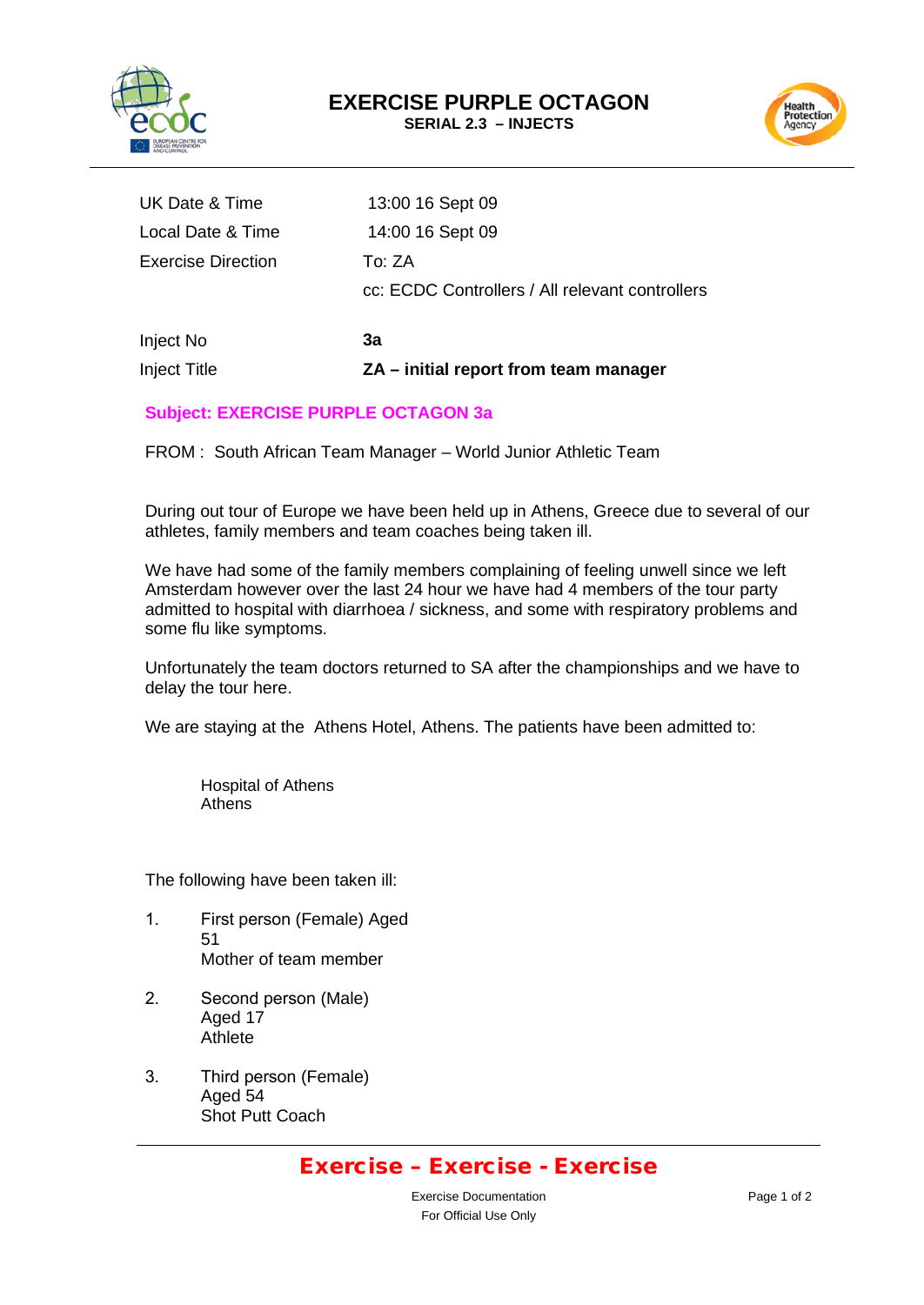

Health<br>Protection<br>Agency

| UK Date & Time            | 13:00 16 Sept 09                                |
|---------------------------|-------------------------------------------------|
| Local Date & Time         | 14:00 16 Sept 09                                |
| <b>Exercise Direction</b> | To: ZA                                          |
|                           | cc: ECDC Controllers / All relevant controllers |
|                           |                                                 |
| Inject No                 | За                                              |
| <b>Inject Title</b>       | ZA – initial report from team manager           |

#### **Subject: EXERCISE PURPLE OCTAGON 3a**

FROM : South African Team Manager – World Junior Athletic Team

During out tour of Europe we have been held up in Athens, Greece due to several of our athletes, family members and team coaches being taken ill.

We have had some of the family members complaining of feeling unwell since we left Amsterdam however over the last 24 hour we have had 4 members of the tour party admitted to hospital with diarrhoea / sickness, and some with respiratory problems and some flu like symptoms.

Unfortunately the team doctors returned to SA after the championships and we have to delay the tour here.

We are staying at the Athens Hotel, Athens. The patients have been admitted to:

Hospital of Athens Athens

The following have been taken ill:

- 1. First person (Female) Aged 51 Mother of team member
- 2. Second person (Male) Aged 17 **Athlete**
- 3. Third person (Female) Aged 54 Shot Putt Coach

### Exercise – Exercise - Exercise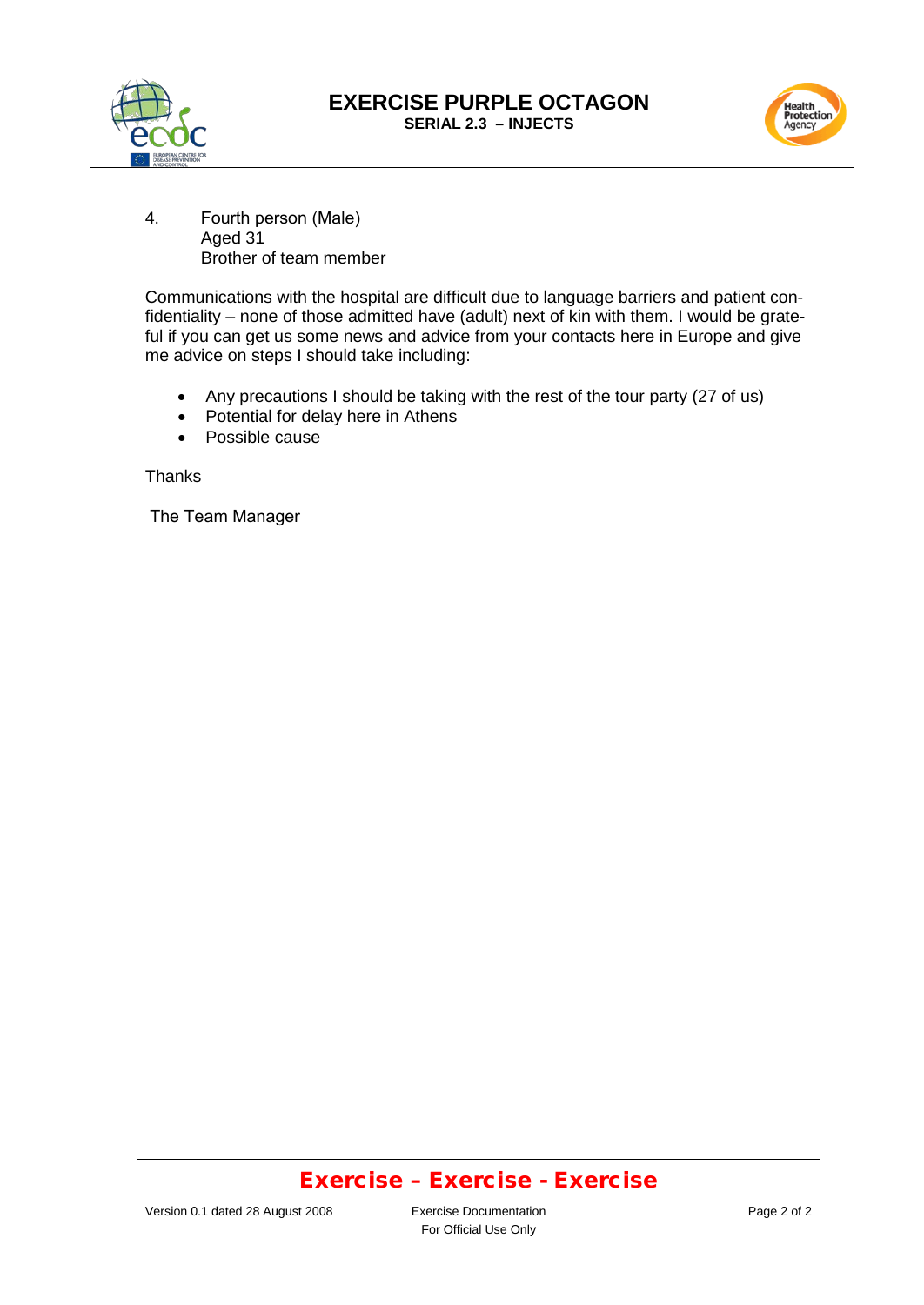



4. Fourth person (Male) Aged 31 Brother of team member

Communications with the hospital are difficult due to language barriers and patient confidentiality – none of those admitted have (adult) next of kin with them. I would be grateful if you can get us some news and advice from your contacts here in Europe and give me advice on steps I should take including:

- Any precautions I should be taking with the rest of the tour party (27 of us)
- Potential for delay here in Athens
- Possible cause

**Thanks** 

The Team Manager

### Exercise – Exercise - Exercise

For Official Use Only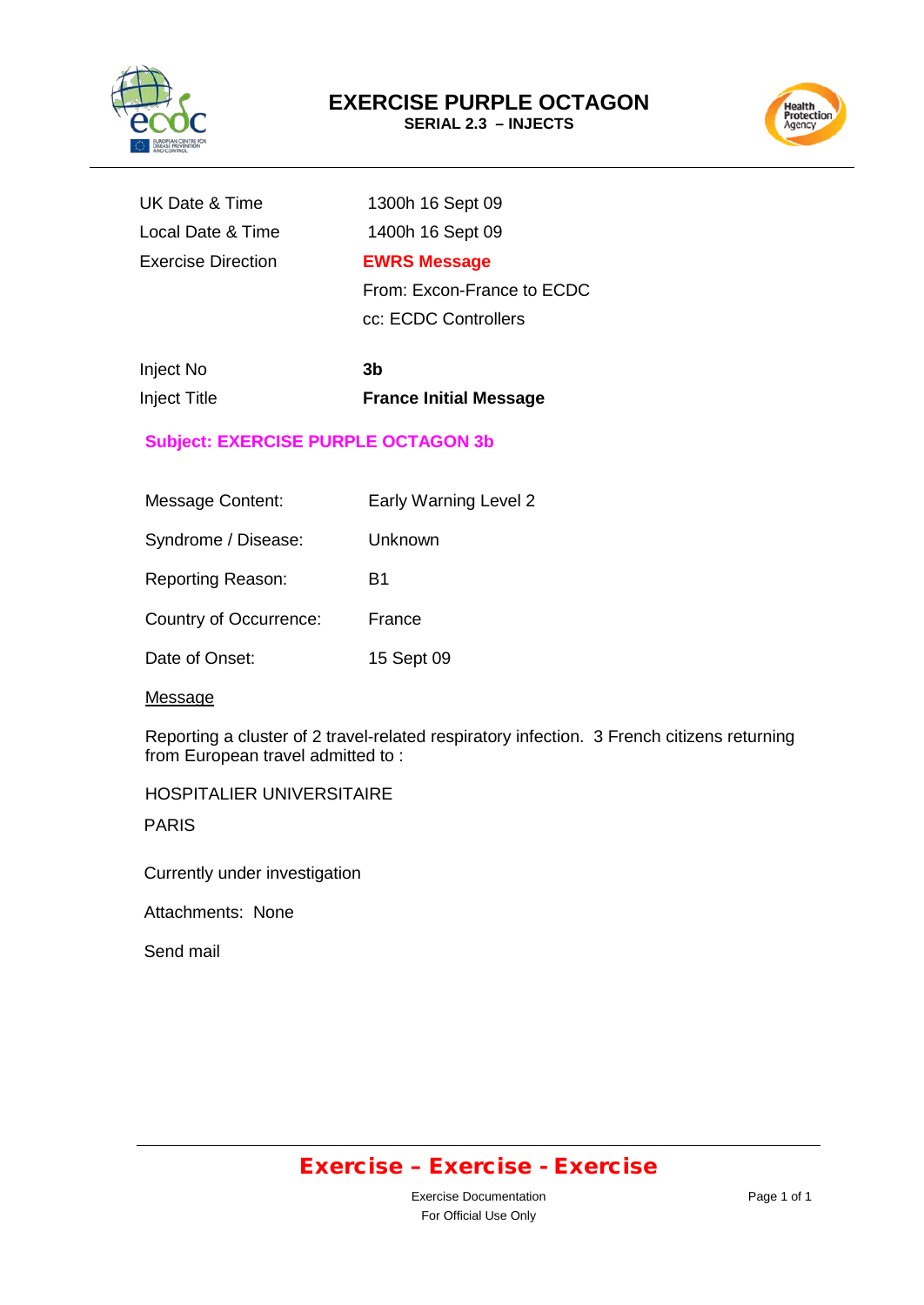



| UK Date & Time            | 1300h 16 Sept 09           |
|---------------------------|----------------------------|
| Local Date & Time         | 1400h 16 Sept 09           |
| <b>Exercise Direction</b> | <b>EWRS Message</b>        |
|                           | From: Excon-France to ECDC |

cc: ECDC Controllers

| Inject No    | 3b                            |
|--------------|-------------------------------|
| Inject Title | <b>France Initial Message</b> |

#### **Subject: EXERCISE PURPLE OCTAGON 3b**

| <b>Message Content:</b>  | Early Warning Level 2 |
|--------------------------|-----------------------|
| Syndrome / Disease:      | Unknown               |
| <b>Reporting Reason:</b> | B1                    |
| Country of Occurrence:   | France                |
| Date of Onset:           | 15 Sept 09            |

#### **Message**

Reporting a cluster of 2 travel-related respiratory infection. 3 French citizens returning from European travel admitted to :

HOSPITALIER UNIVERSITAIRE

PARIS

Currently under investigation

Attachments: None

Send mail

# Exercise – Exercise - Exercise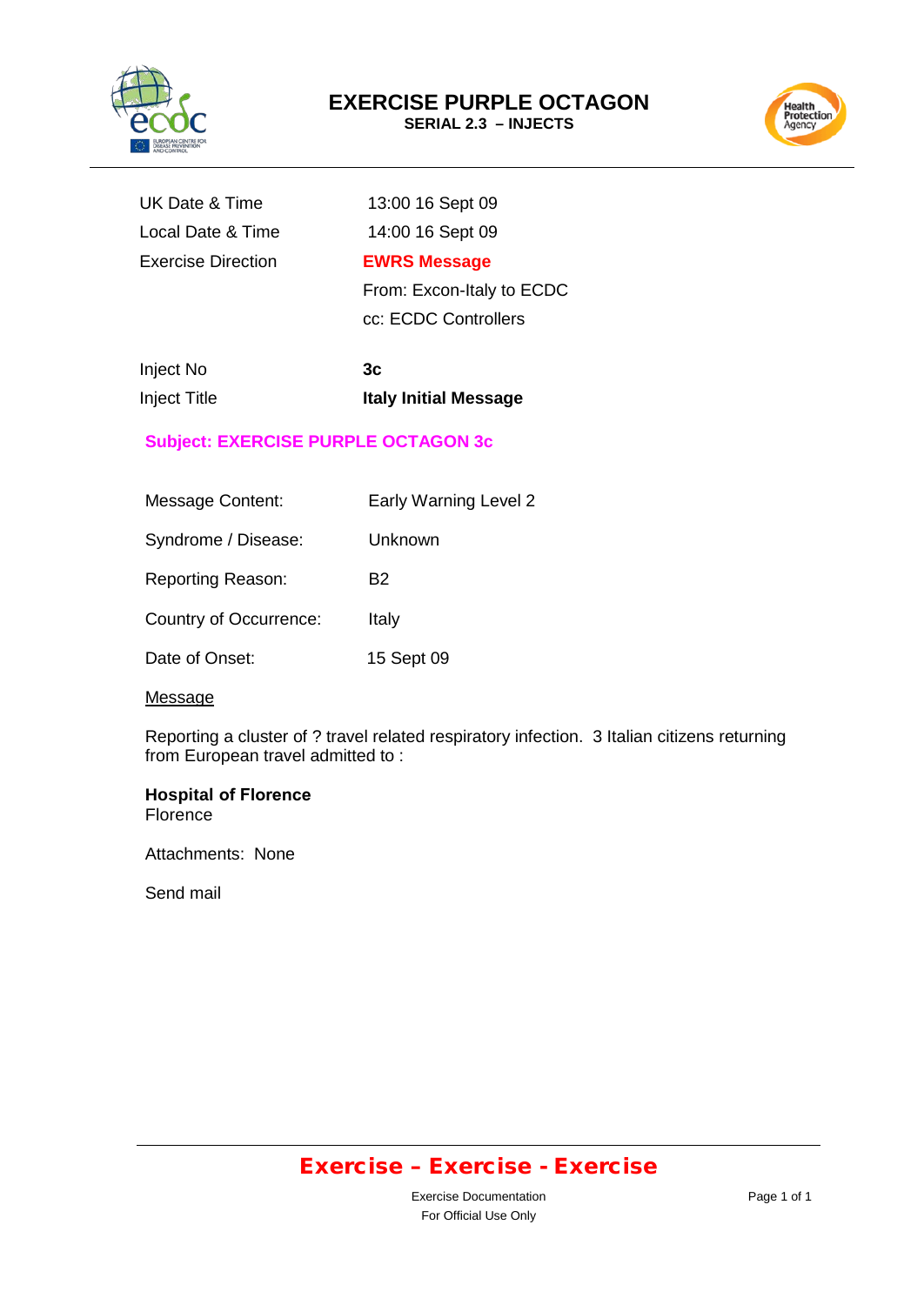



| UK Date & Time            | 13:00 16 Sept 09          |
|---------------------------|---------------------------|
| Local Date & Time         | 14:00 16 Sept 09          |
| <b>Exercise Direction</b> | <b>EWRS Message</b>       |
|                           | From: Excon-Italy to ECDC |

cc: ECDC Controllers

| Inject No           | 3c                           |
|---------------------|------------------------------|
| <b>Inject Title</b> | <b>Italy Initial Message</b> |

#### **Subject: EXERCISE PURPLE OCTAGON 3c**

| <b>Message Content:</b>  | Early Warning Level 2 |
|--------------------------|-----------------------|
| Syndrome / Disease:      | Unknown               |
| <b>Reporting Reason:</b> | B2                    |
| Country of Occurrence:   | Italy                 |
| Date of Onset:           | 15 Sept 09            |

#### **Message**

Reporting a cluster of ? travel related respiratory infection. 3 Italian citizens returning from European travel admitted to :

#### **Hospital of Florence Florence**

Attachments: None

Send mail

# Exercise – Exercise - Exercise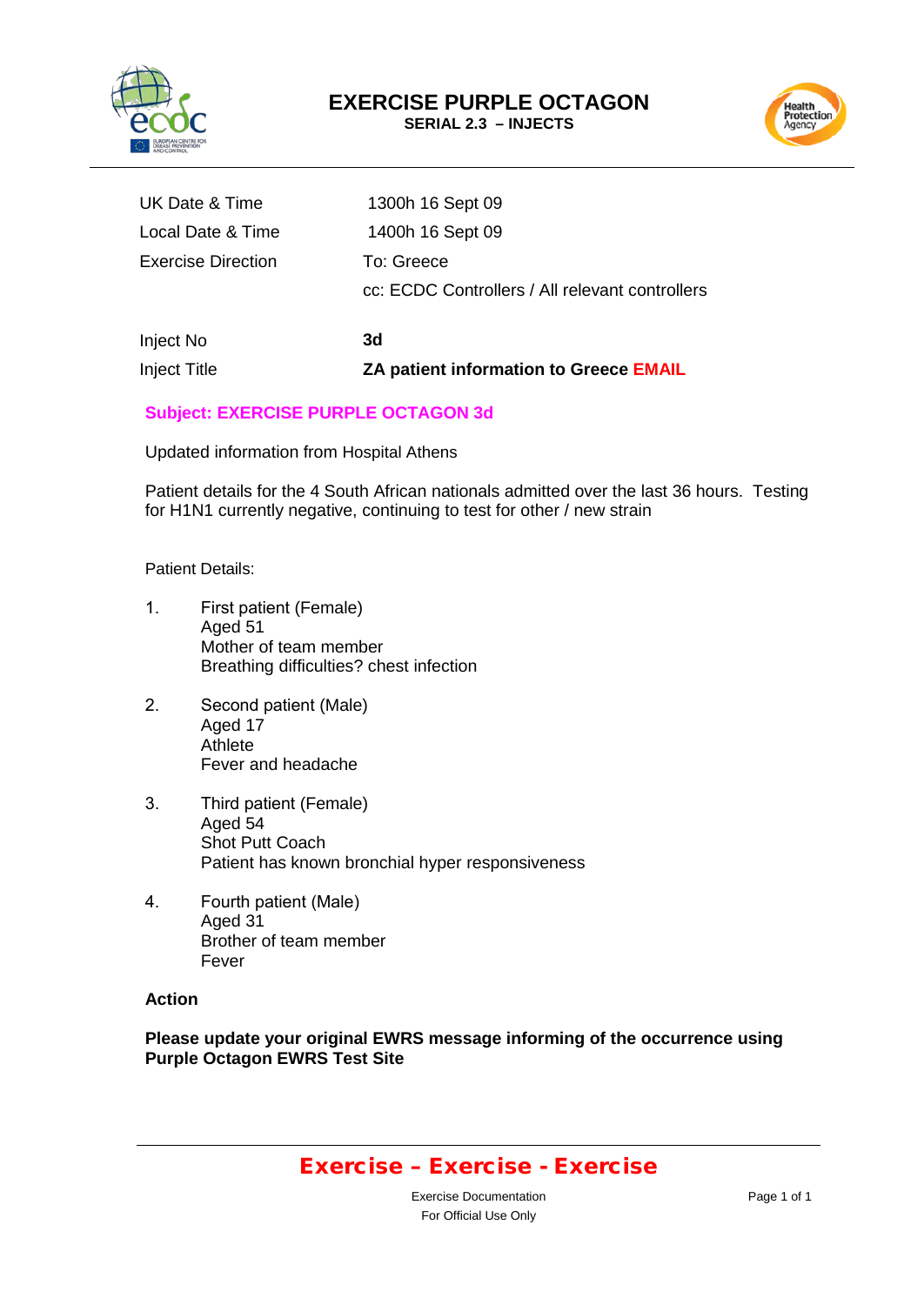



| UK Date & Time            | 1300h 16 Sept 09                                              |
|---------------------------|---------------------------------------------------------------|
| Local Date & Time         | 1400h 16 Sept 09                                              |
| <b>Exercise Direction</b> | To: Greece<br>cc: ECDC Controllers / All relevant controllers |
| Inject No                 | 3d                                                            |
| <b>Inject Title</b>       | ZA patient information to Greece EMAIL                        |

#### **Subject: EXERCISE PURPLE OCTAGON 3d**

Updated information from Hospital Athens

Patient details for the 4 South African nationals admitted over the last 36 hours. Testing for H1N1 currently negative, continuing to test for other / new strain

Patient Details:

- 1. First patient (Female) Aged 51 Mother of team member Breathing difficulties? chest infection
- 2. Second patient (Male) Aged 17 Athlete Fever and headache
- 3. Third patient (Female) Aged 54 Shot Putt Coach Patient has known bronchial hyper responsiveness
- 4. Fourth patient (Male) Aged 31 Brother of team member Fever

#### **Action**

**Please update your original EWRS message informing of the occurrence using Purple Octagon EWRS Test Site**

### Exercise – Exercise - Exercise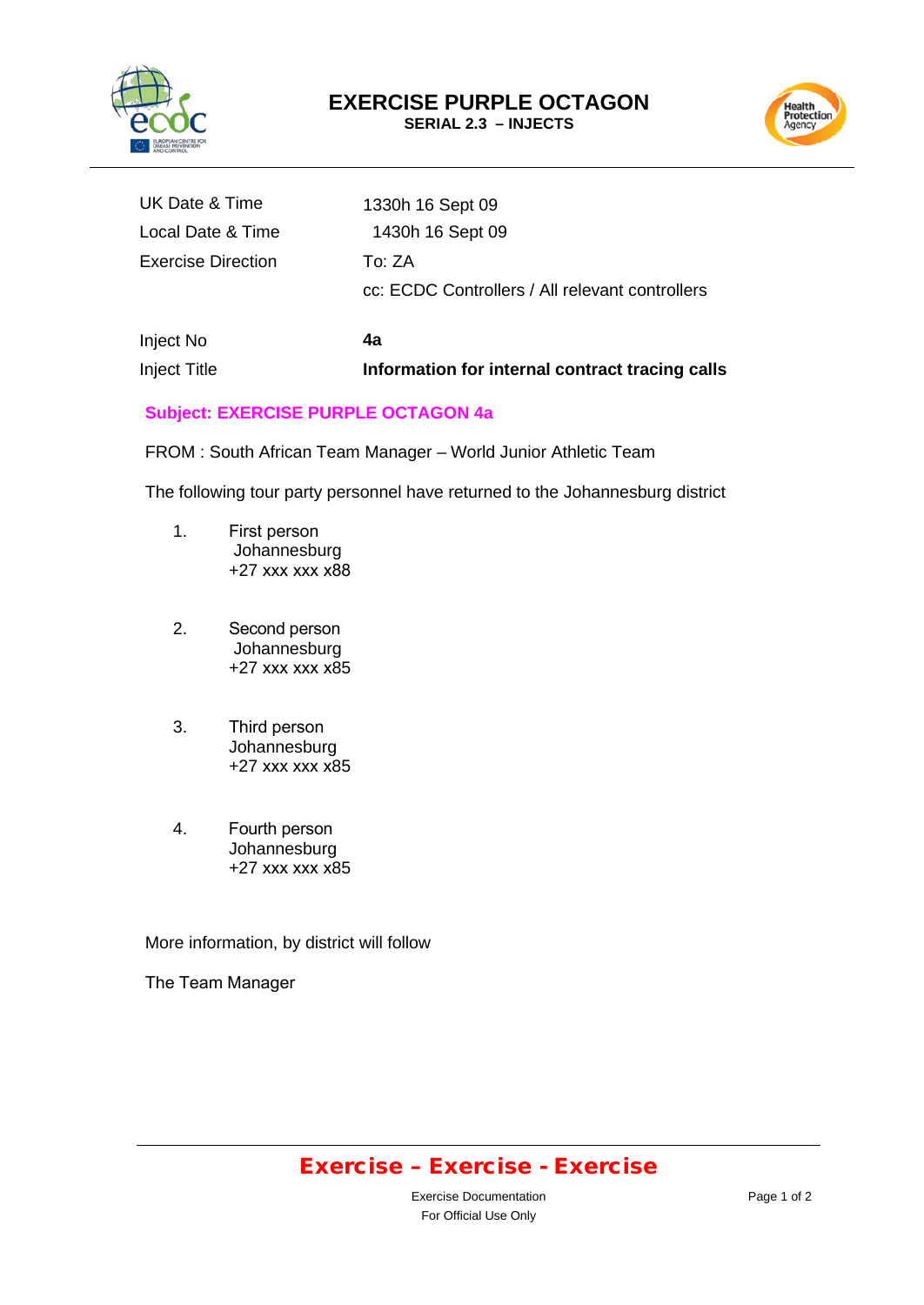



| Inject No          | 4э                                              |
|--------------------|-------------------------------------------------|
|                    | cc: ECDC Controllers / All relevant controllers |
| Exercise Direction | To: ZA                                          |
| Local Date & Time  | 1430h 16 Sept 09                                |
| UK Date & Time     | 1330h 16 Sept 09                                |

# Inject No **4a**

Inject Title **Information for internal contract tracing calls**

#### **Subject: EXERCISE PURPLE OCTAGON 4a**

FROM : South African Team Manager – World Junior Athletic Team

The following tour party personnel have returned to the Johannesburg district

- 1. First person Johannesburg +27 xxx xxx x88
- 2. Second person Johannesburg +27 xxx xxx x85
- 3. Third person Johannesburg +27 xxx xxx x85
- 4. Fourth person Johannesburg +27 xxx xxx x85

More information, by district will follow

The Team Manager

### Exercise – Exercise - Exercise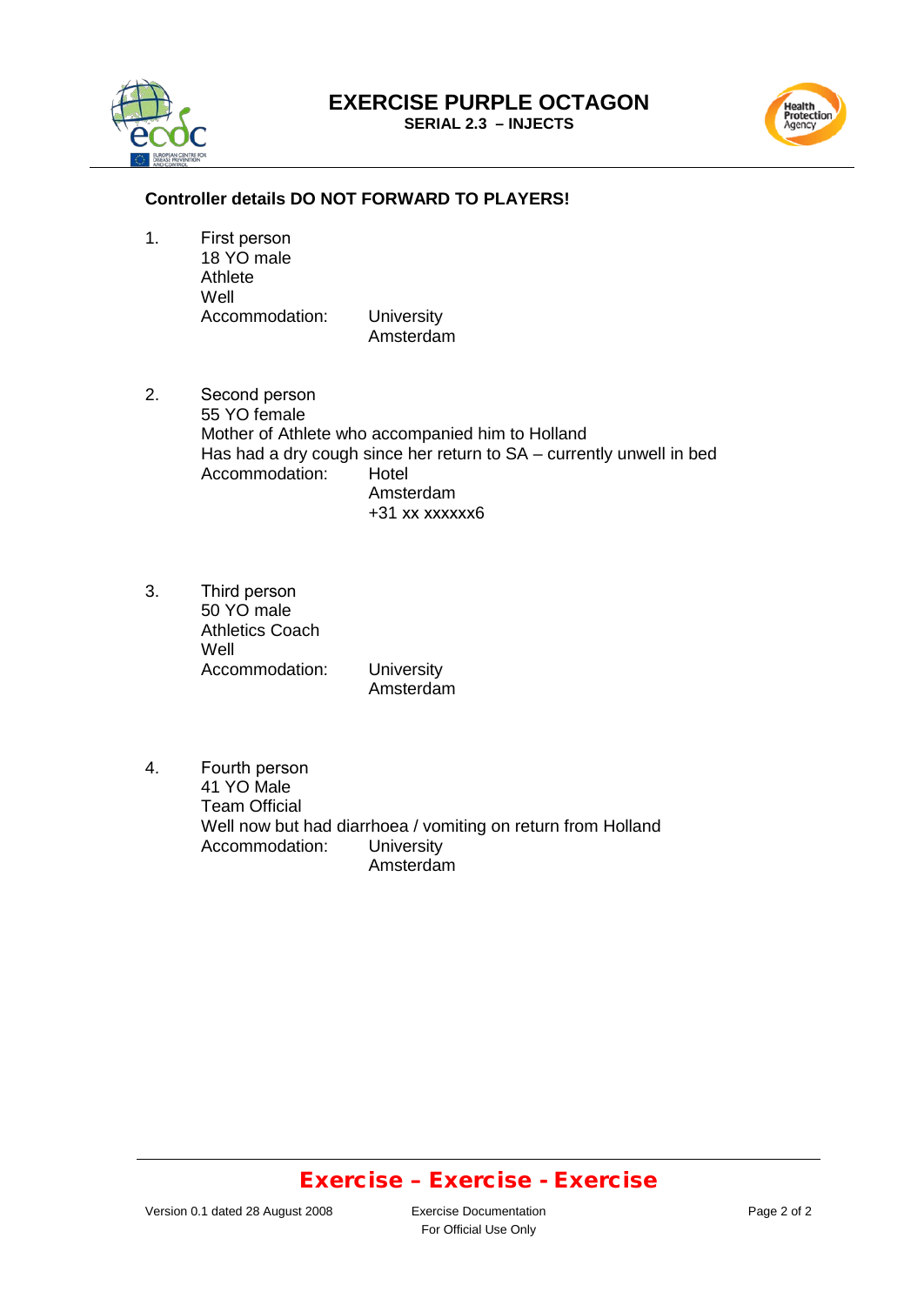# **EXERCISE PURPLE OCTAGON**







#### **Controller details DO NOT FORWARD TO PLAYERS!**

1. First person 18 YO male Athlete Well Accommodation: University

Amsterdam

- 2. Second person 55 YO female Mother of Athlete who accompanied him to Holland Has had a dry cough since her return to SA – currently unwell in bed Accommodation: Hotel Amsterdam +31 xx xxxxxx6
- 3. Third person 50 YO male Athletics Coach Well Accommodation: University Amsterdam
- 4. Fourth person 41 YO Male Team Official Well now but had diarrhoea / vomiting on return from Holland<br>Accommodation: University Accommodation: Amsterdam

### Exercise – Exercise - Exercise

For Official Use Only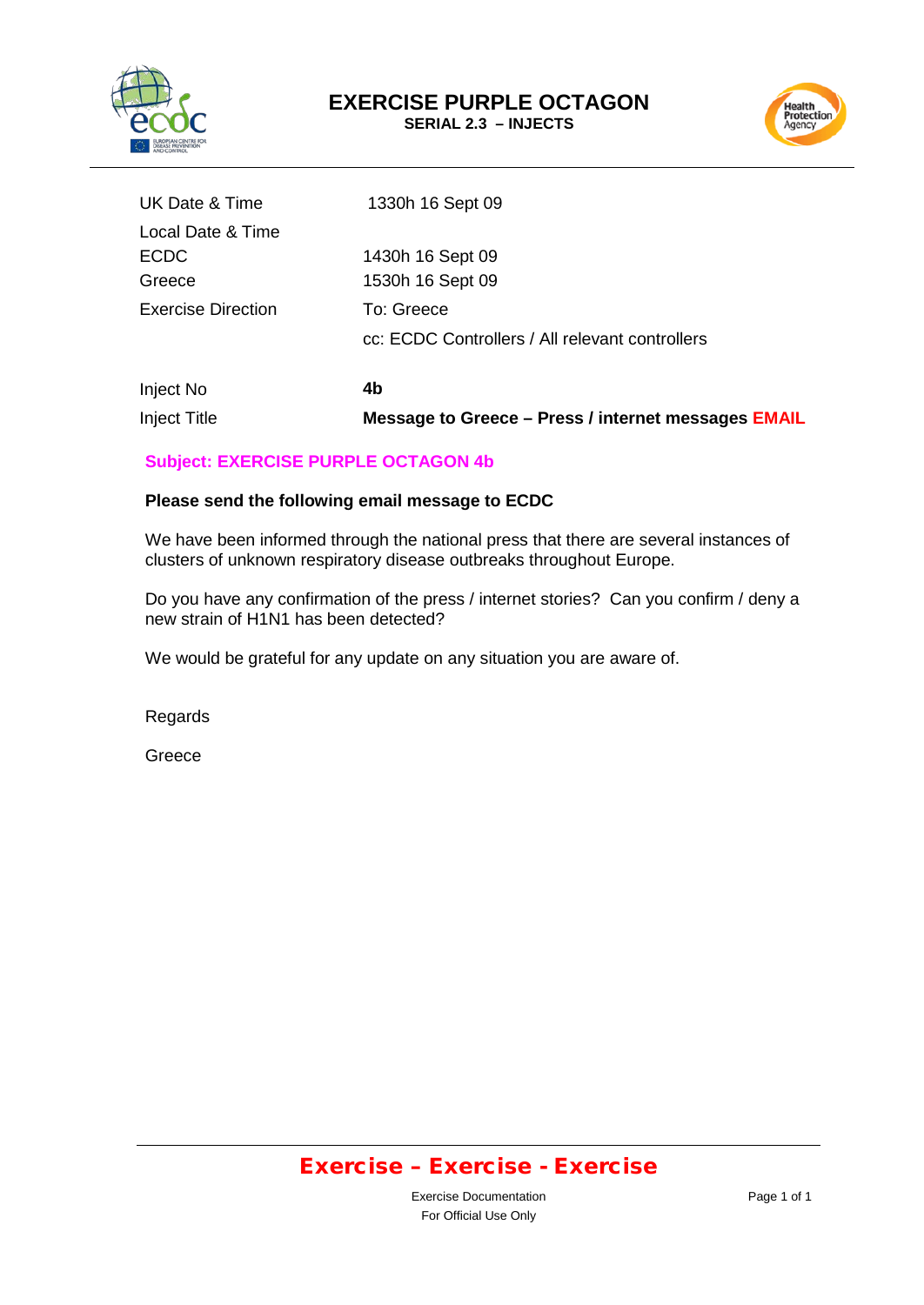



| UK Date & Time            | 1330h 16 Sept 09                                |
|---------------------------|-------------------------------------------------|
| Local Date & Time         |                                                 |
| <b>ECDC</b>               | 1430h 16 Sept 09                                |
| Greece                    | 1530h 16 Sept 09                                |
| <b>Exercise Direction</b> | To: Greece                                      |
|                           | cc: ECDC Controllers / All relevant controllers |
|                           |                                                 |

Inject No **4b**  Inject Title **Message to Greece – Press / internet messages EMAIL**

#### **Subject: EXERCISE PURPLE OCTAGON 4b**

#### **Please send the following email message to ECDC**

We have been informed through the national press that there are several instances of clusters of unknown respiratory disease outbreaks throughout Europe.

Do you have any confirmation of the press / internet stories? Can you confirm / deny a new strain of H1N1 has been detected?

We would be grateful for any update on any situation you are aware of.

Regards

Greece

### Exercise – Exercise - Exercise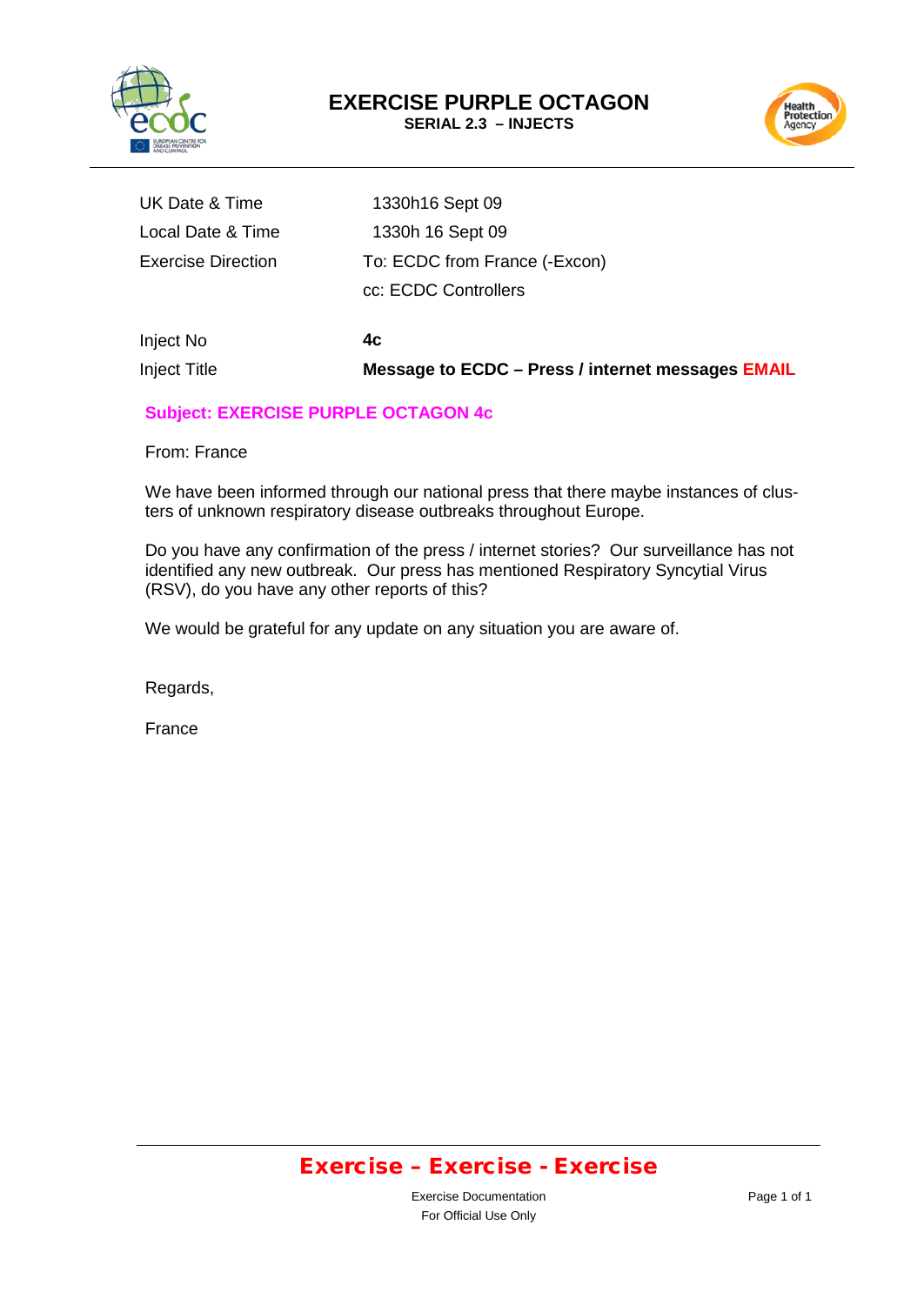



| <b>Inject Title</b>       | Message to ECDC - Press / internet messages EMAIL |
|---------------------------|---------------------------------------------------|
| Inject No                 | 4c                                                |
|                           | cc: ECDC Controllers                              |
| <b>Exercise Direction</b> | To: ECDC from France (-Excon)                     |
| Local Date & Time         | 1330h 16 Sept 09                                  |
| UK Date & Time            | 1330h16 Sept 09                                   |

#### **Subject: EXERCISE PURPLE OCTAGON 4c**

From: France

We have been informed through our national press that there maybe instances of clusters of unknown respiratory disease outbreaks throughout Europe.

Do you have any confirmation of the press / internet stories? Our surveillance has not identified any new outbreak. Our press has mentioned Respiratory Syncytial Virus (RSV), do you have any other reports of this?

We would be grateful for any update on any situation you are aware of.

Regards,

France

### Exercise – Exercise - Exercise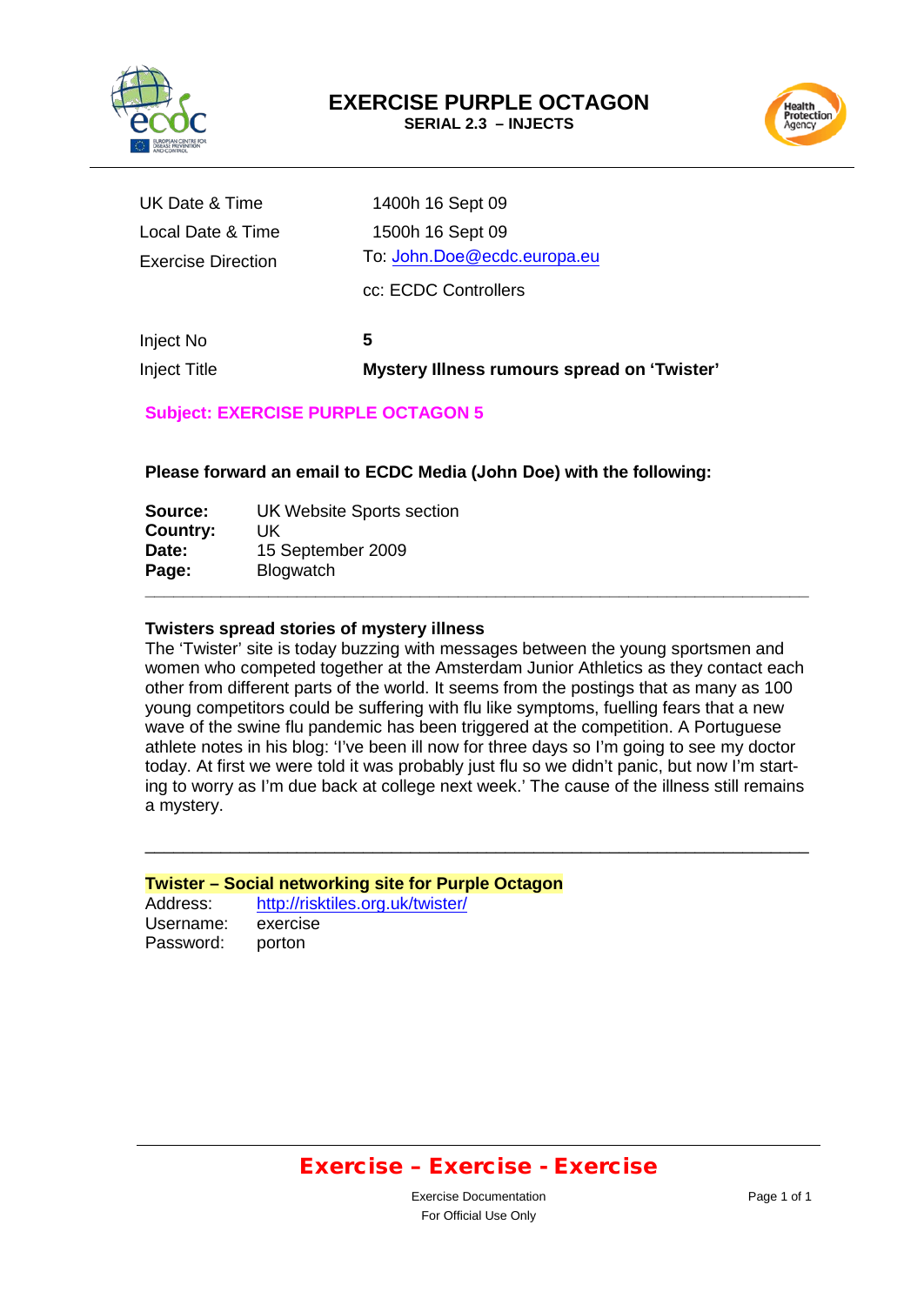



| Inject Title              | Mystery Illness rumours spread on 'Twister' |
|---------------------------|---------------------------------------------|
| Inject No                 | 5                                           |
|                           | cc: ECDC Controllers                        |
| <b>Exercise Direction</b> | To: John.Doe@ecdc.europa.eu                 |
| Local Date & Time         | 1500h 16 Sept 09                            |
| UK Date & Time            | 1400h 16 Sept 09                            |

#### **Subject: EXERCISE PURPLE OCTAGON 5**

**Please forward an email to ECDC Media (John Doe) with the following:** 

| Source:  | UK Website Sports section |  |
|----------|---------------------------|--|
| Country: | UK                        |  |
| Date:    | 15 September 2009         |  |
| Page:    | <b>Blogwatch</b>          |  |
|          |                           |  |

#### **Twisters spread stories of mystery illness**

The 'Twister' site is today buzzing with messages between the young sportsmen and women who competed together at the Amsterdam Junior Athletics as they contact each other from different parts of the world. It seems from the postings that as many as 100 young competitors could be suffering with flu like symptoms, fuelling fears that a new wave of the swine flu pandemic has been triggered at the competition. A Portuguese athlete notes in his blog: 'I've been ill now for three days so I'm going to see my doctor today. At first we were told it was probably just flu so we didn't panic, but now I'm starting to worry as I'm due back at college next week.' The cause of the illness still remains a mystery.

\_\_\_\_\_\_\_\_\_\_\_\_\_\_\_\_\_\_\_\_\_\_\_\_\_\_\_\_\_\_\_\_\_\_\_\_\_\_\_\_\_\_\_\_\_\_\_\_\_\_\_\_\_\_\_\_\_\_\_\_\_\_\_\_\_\_\_\_\_\_

**Twister – Social networking site for Purple Octagon** Address: <http://risktiles.org.uk/twister/><br>Username: exercise Username: Password: porton

### Exercise – Exercise - Exercise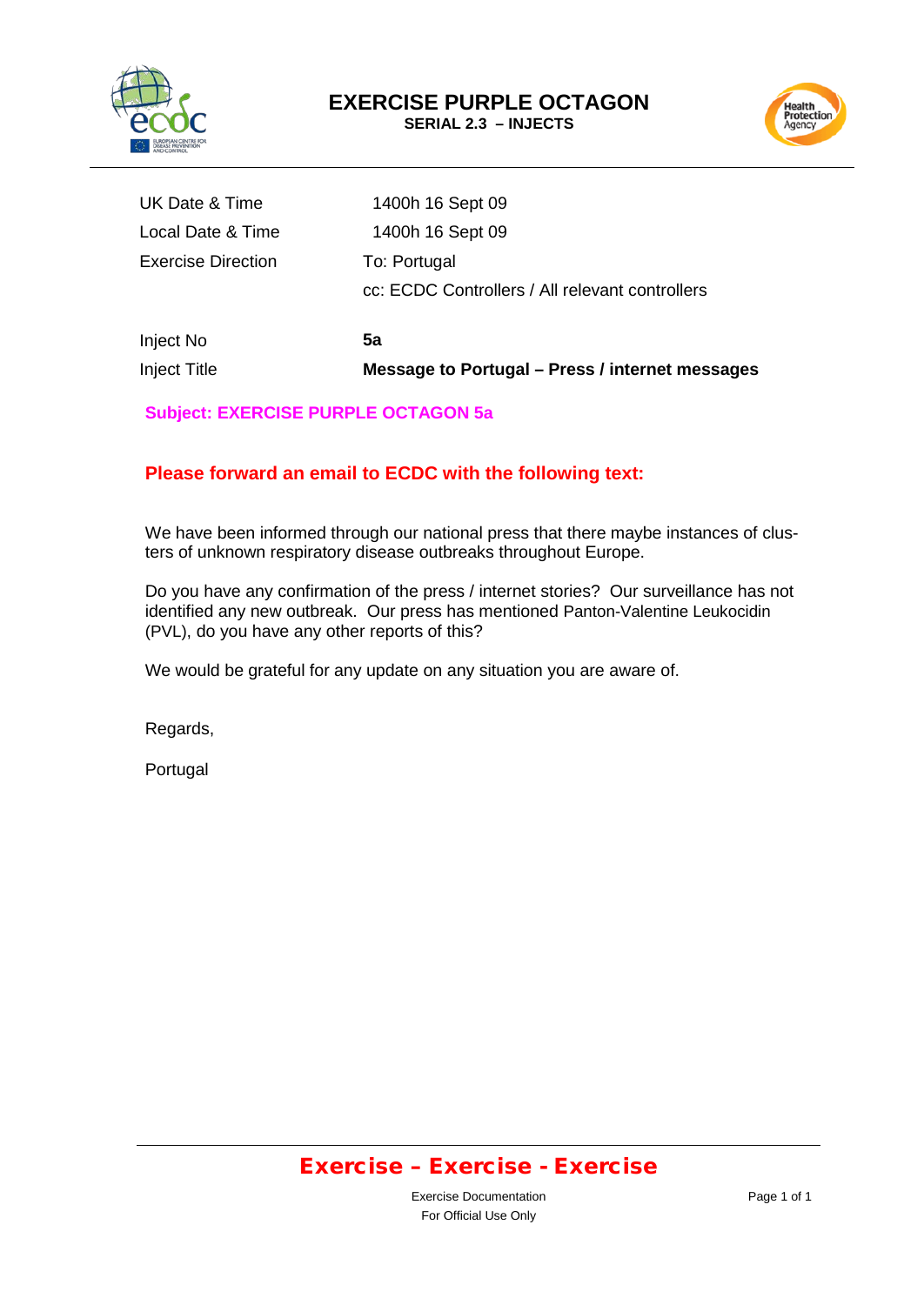



| Inject Title              | Message to Portugal - Press / internet messages |
|---------------------------|-------------------------------------------------|
| Inject No                 | 5a                                              |
|                           | cc: ECDC Controllers / All relevant controllers |
| <b>Exercise Direction</b> | To: Portugal                                    |
| Local Date & Time         | 1400h 16 Sept 09                                |
| UK Date & Time            | 1400h 16 Sept 09                                |

#### **Subject: EXERCISE PURPLE OCTAGON 5a**

#### **Please forward an email to ECDC with the following text:**

We have been informed through our national press that there maybe instances of clusters of unknown respiratory disease outbreaks throughout Europe.

Do you have any confirmation of the press / internet stories? Our surveillance has not identified any new outbreak. Our press has mentioned Panton-Valentine Leukocidin (PVL), do you have any other reports of this?

We would be grateful for any update on any situation you are aware of.

Regards,

Portugal

### Exercise – Exercise - Exercise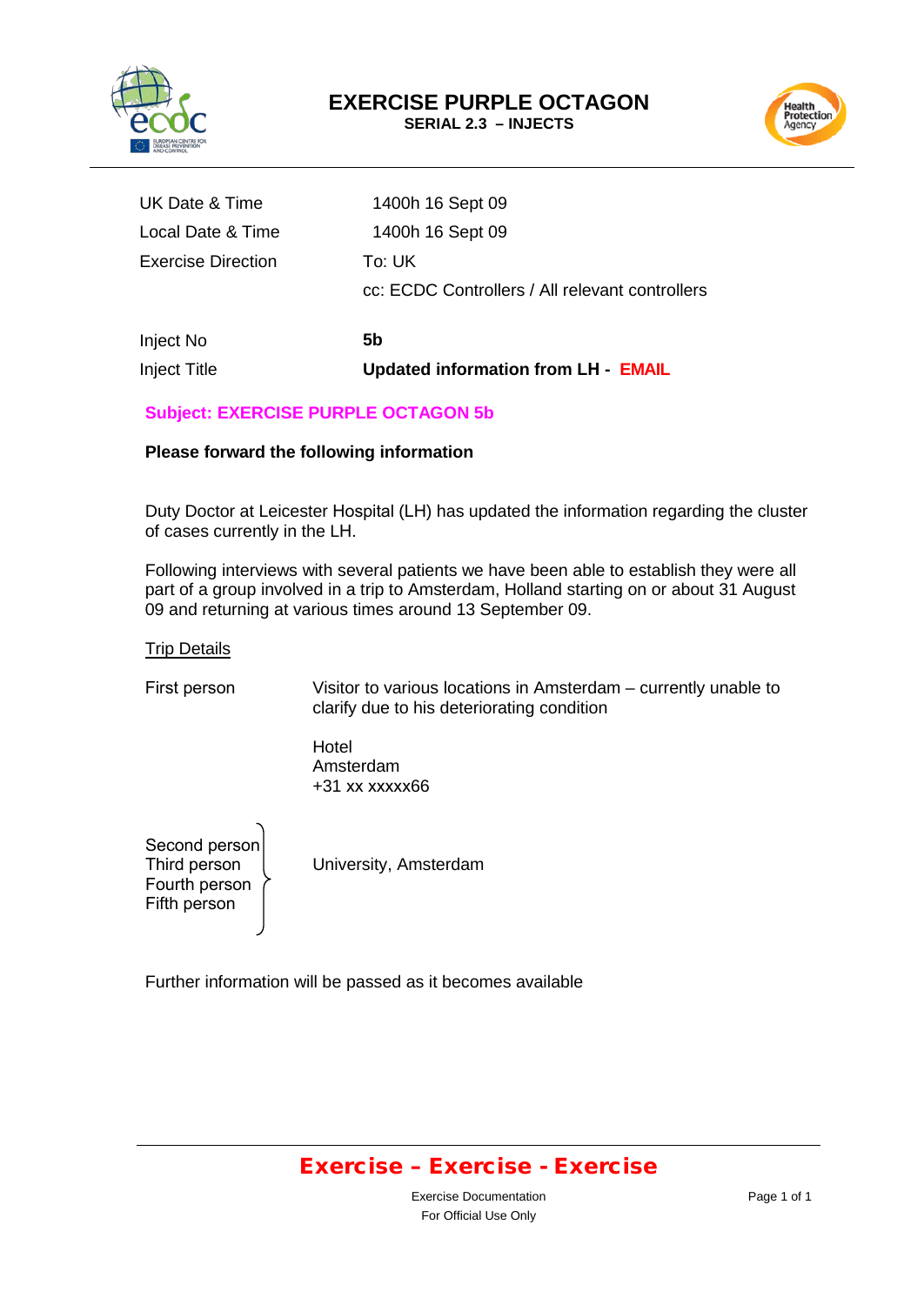



| <b>Inject Title</b>       | <b>Updated information from LH - EMAIL</b>      |
|---------------------------|-------------------------------------------------|
| Inject No                 | 5b                                              |
|                           | cc: ECDC Controllers / All relevant controllers |
| <b>Exercise Direction</b> | To: UK                                          |
| Local Date & Time         | 1400h 16 Sept 09                                |
| UK Date & Time            | 1400h 16 Sept 09                                |
|                           |                                                 |

#### **Subject: EXERCISE PURPLE OCTAGON 5b**

#### **Please forward the following information**

Duty Doctor at Leicester Hospital (LH) has updated the information regarding the cluster of cases currently in the LH.

Following interviews with several patients we have been able to establish they were all part of a group involved in a trip to Amsterdam, Holland starting on or about 31 August 09 and returning at various times around 13 September 09.

#### **Trip Details**

First person Visitor to various locations in Amsterdam – currently unable to clarify due to his deteriorating condition

> Hotel Amsterdam +31 xx xxxxx66

University, Amsterdam Second person Third person Fourth person Fifth person

Further information will be passed as it becomes available

### Exercise – Exercise - Exercise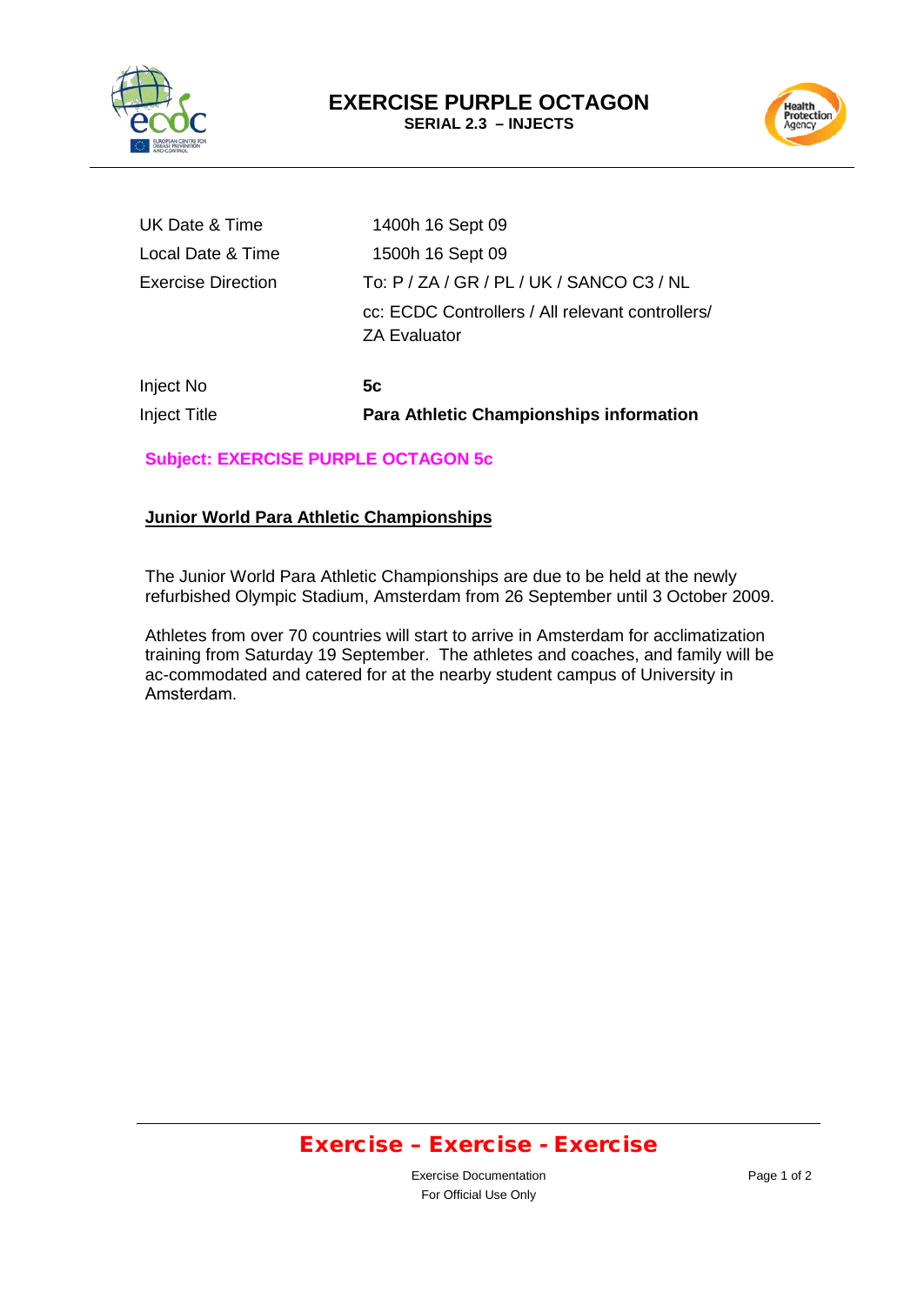



| Inject No                 | 5c                                                                      |
|---------------------------|-------------------------------------------------------------------------|
|                           | cc: ECDC Controllers / All relevant controllers/<br><b>ZA Evaluator</b> |
| <b>Exercise Direction</b> | To: P / ZA / GR / PL / UK / SANCO C3 / NL                               |
| Local Date & Time         | 1500h 16 Sept 09                                                        |
| UK Date & Time            | 1400h 16 Sept 09                                                        |

Inject Title **Para Athletic Championships information**

# **Subject: EXERCISE PURPLE OCTAGON 5c**

#### **Junior World Para Athletic Championships**

The Junior World Para Athletic Championships are due to be held at the newly refurbished Olympic Stadium, Amsterdam from 26 September until 3 October 2009.

Athletes from over 70 countries will start to arrive in Amsterdam for acclimatization training from Saturday 19 September. The athletes and coaches, and family will be ac-commodated and catered for at the nearby student campus of University in Amsterdam.

### Exercise – Exercise - Exercise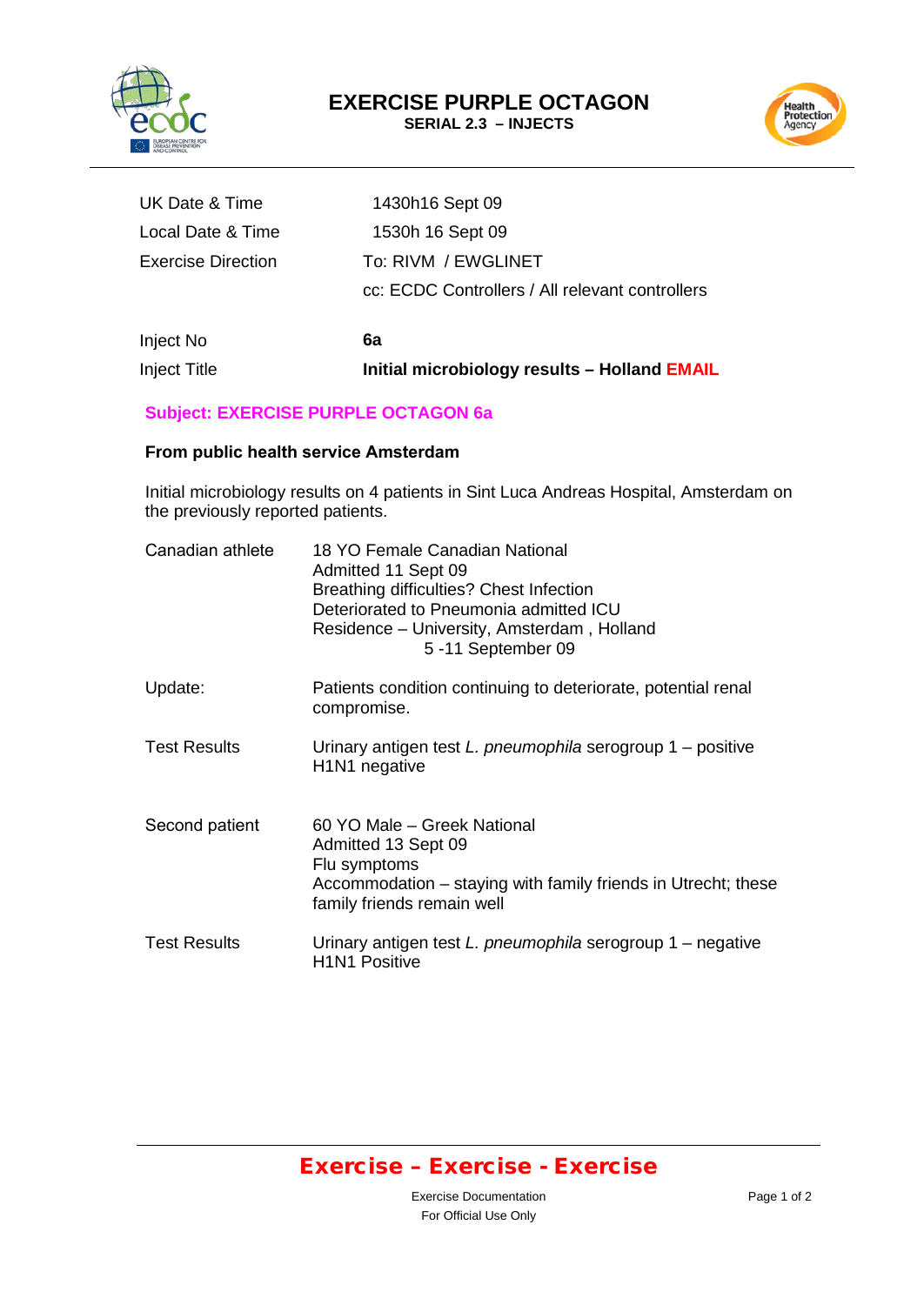



| Inject No          | 6a                                              |
|--------------------|-------------------------------------------------|
|                    | cc: ECDC Controllers / All relevant controllers |
| Exercise Direction | To: RIVM / EWGLINET                             |
| Local Date & Time  | 1530h 16 Sept 09                                |
| UK Date & Time     | 1430h16 Sept 09                                 |

Inject Title **Initial microbiology results – Holland EMAIL**

#### **Subject: EXERCISE PURPLE OCTAGON 6a**

#### **From public health service Amsterdam**

Initial microbiology results on 4 patients in Sint Luca Andreas Hospital, Amsterdam on the previously reported patients.

| Canadian athlete    | 18 YO Female Canadian National<br>Admitted 11 Sept 09<br>Breathing difficulties? Chest Infection<br>Deteriorated to Pneumonia admitted ICU<br>Residence – University, Amsterdam, Holland<br>5-11 September 09 |
|---------------------|---------------------------------------------------------------------------------------------------------------------------------------------------------------------------------------------------------------|
| Update:             | Patients condition continuing to deteriorate, potential renal<br>compromise.                                                                                                                                  |
| <b>Test Results</b> | Urinary antigen test $L$ . pneumophila serogroup $1$ – positive<br>H <sub>1</sub> N <sub>1</sub> negative                                                                                                     |
| Second patient      | 60 YO Male – Greek National<br>Admitted 13 Sept 09<br>Flu symptoms<br>Accommodation - staying with family friends in Utrecht; these<br>family friends remain well                                             |
| <b>Test Results</b> | Urinary antigen test L. pneumophila serogroup 1 – negative<br><b>H1N1 Positive</b>                                                                                                                            |

# Exercise – Exercise - Exercise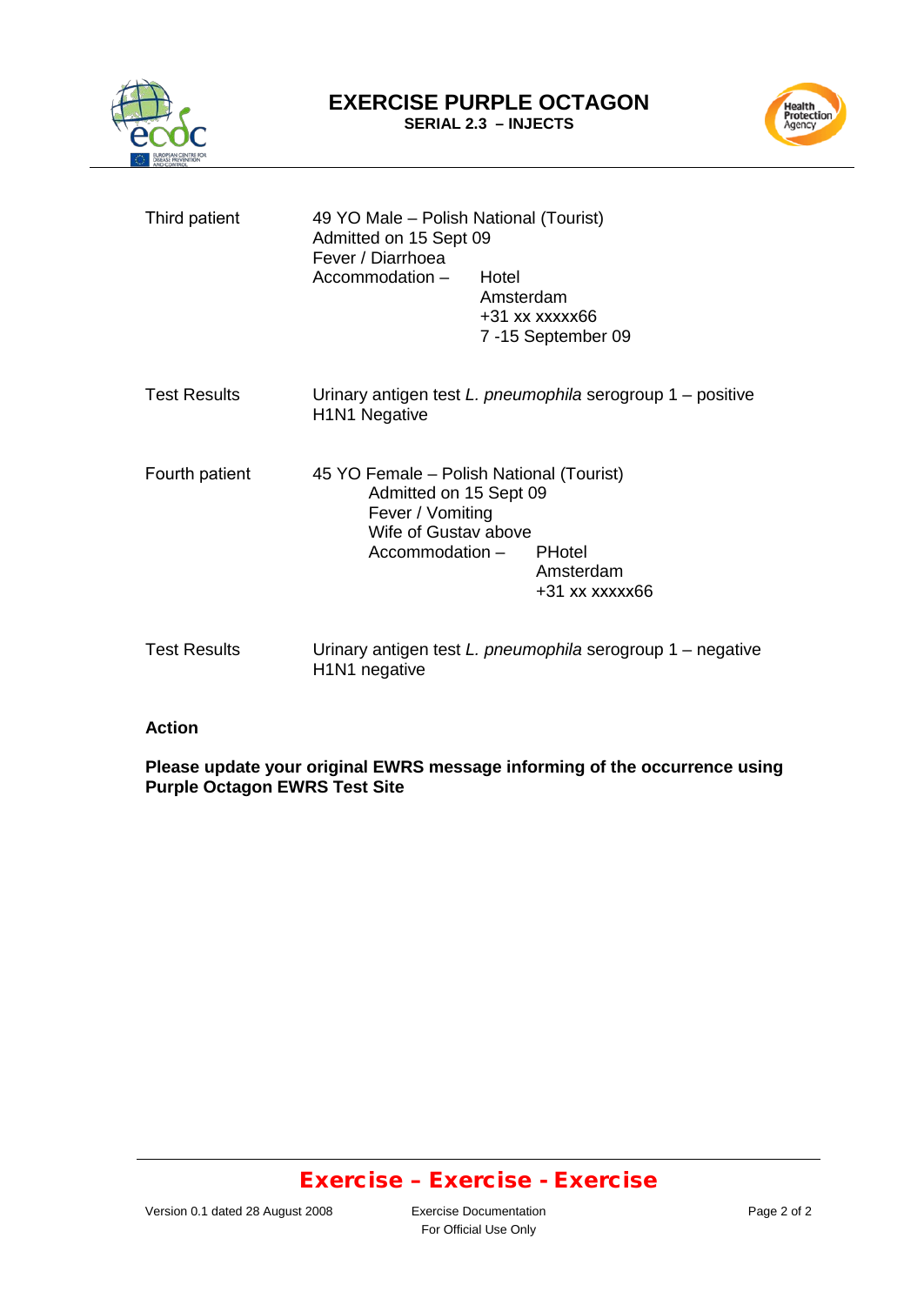



| Third patient       | 49 YO Male – Polish National (Tourist)<br>Admitted on 15 Sept 09<br>Fever / Diarrhoea<br>Accommodation -                          | Hotel<br>Amsterdam<br>$+31$ xx xxxxx66<br>7-15 September 09     |
|---------------------|-----------------------------------------------------------------------------------------------------------------------------------|-----------------------------------------------------------------|
| <b>Test Results</b> | H <sub>1</sub> N <sub>1</sub> Negative                                                                                            | Urinary antigen test $L$ . pneumophila serogroup $1$ – positive |
| Fourth patient      | 45 YO Female – Polish National (Tourist)<br>Admitted on 15 Sept 09<br>Fever / Vomiting<br>Wife of Gustay above<br>Accommodation - | <b>PHotel</b><br>Amsterdam<br>$+31$ xx xxxxx66                  |
| <b>Test Results</b> | H1N1 negative                                                                                                                     | Urinary antigen test L. pneumophila serogroup 1 – negative      |

#### **Action**

**Please update your original EWRS message informing of the occurrence using Purple Octagon EWRS Test Site**

### Exercise – Exercise - Exercise

For Official Use Only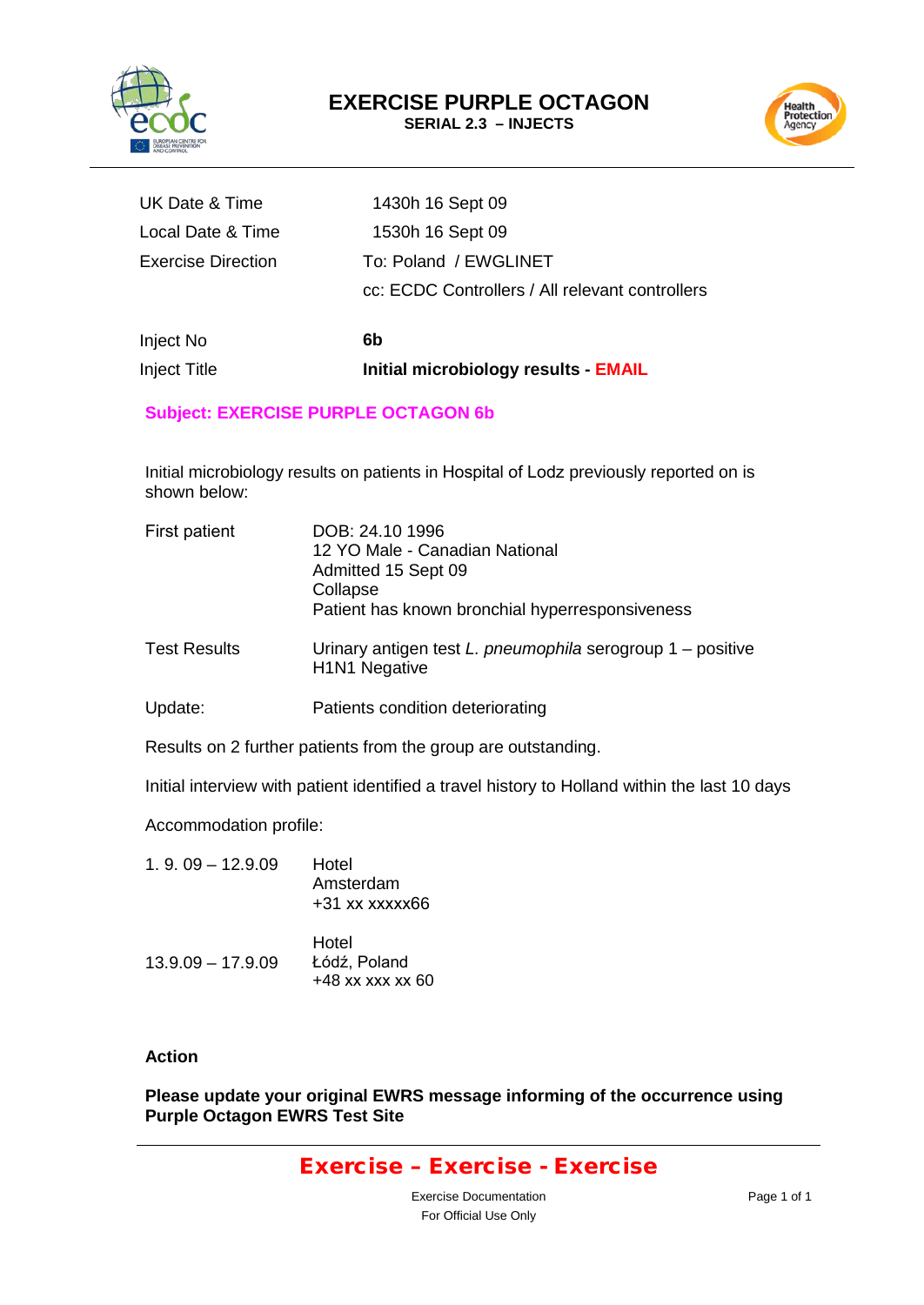



| UK Date & Time     | 1430h 16 Sept 09                                |
|--------------------|-------------------------------------------------|
| Local Date & Time  | 1530h 16 Sept 09                                |
| Exercise Direction | To: Poland / EWGLINET                           |
|                    | cc: ECDC Controllers / All relevant controllers |
|                    |                                                 |

Inject No **6b Inject Title <b>Initial microbiology results - EMAIL** 

#### **Subject: EXERCISE PURPLE OCTAGON 6b**

Initial microbiology results on patients in Hospital of Lodz previously reported on is shown below:

| First patient       | DOB: 24.10 1996<br>12 YO Male - Canadian National<br>Admitted 15 Sept 09<br>Collapse<br>Patient has known bronchial hyperresponsiveness |
|---------------------|-----------------------------------------------------------------------------------------------------------------------------------------|
| <b>Test Results</b> | Urinary antigen test $L$ . pneumophila serogroup $1$ – positive<br>H <sub>1</sub> N <sub>1</sub> Negative                               |
| Update:             | Patients condition deteriorating                                                                                                        |

Results on 2 further patients from the group are outstanding.

Initial interview with patient identified a travel history to Holland within the last 10 days

Accommodation profile:

| $1.9.09 - 12.9.09$  | Hotel<br>Amsterdam<br>$+31$ xx xxxxx66      |
|---------------------|---------------------------------------------|
| $13.9.09 - 17.9.09$ | Hotel<br>Łódź, Poland<br>$+48$ xx xxx xx 60 |

#### **Action**

**Please update your original EWRS message informing of the occurrence using Purple Octagon EWRS Test Site**

### Exercise – Exercise - Exercise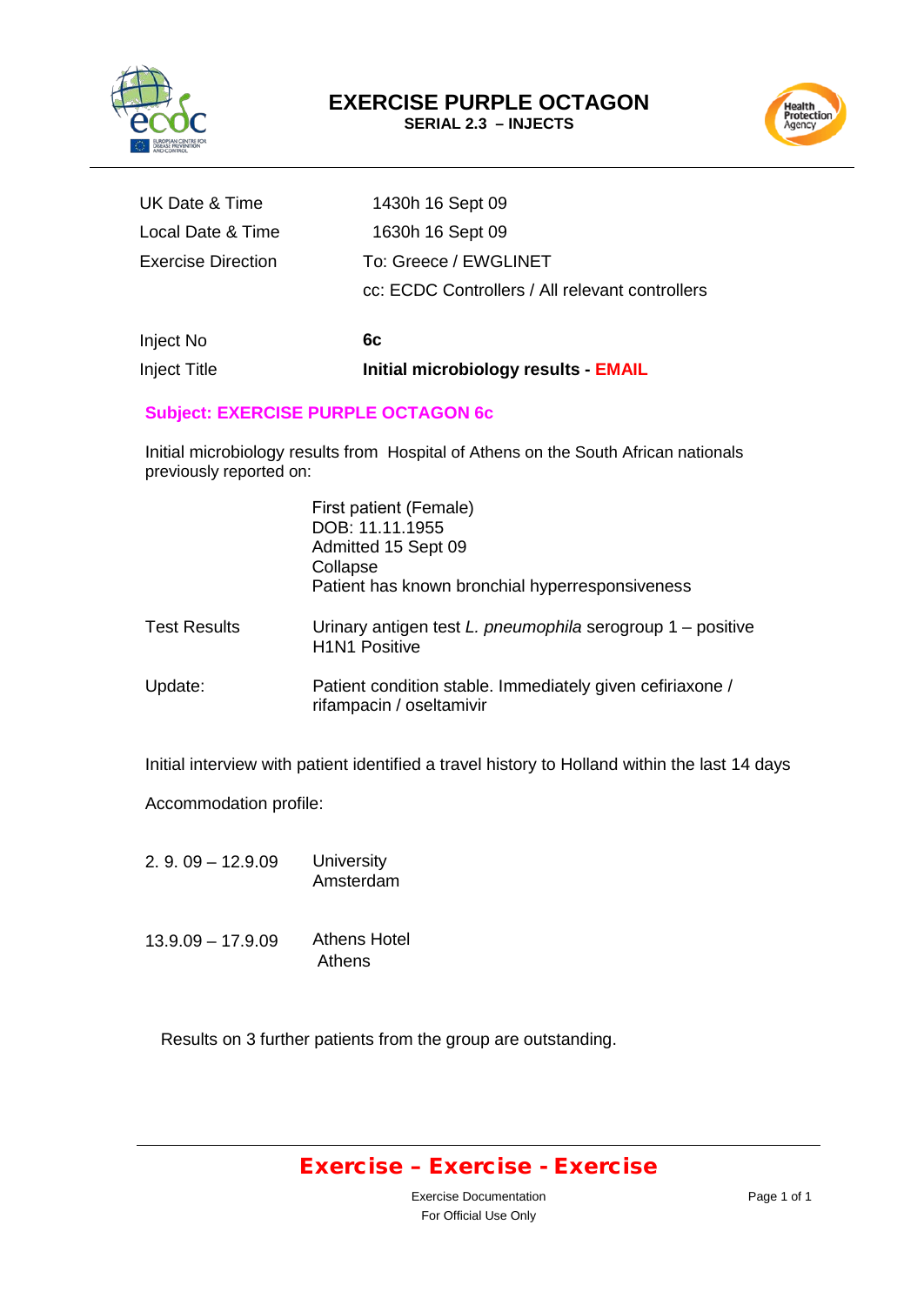



| UK Date & Time     | 1430h 16 Sept 09                                |
|--------------------|-------------------------------------------------|
| Local Date & Time  | 1630h 16 Sept 09                                |
| Exercise Direction | To: Greece / EWGLINET                           |
|                    | cc: ECDC Controllers / All relevant controllers |
|                    |                                                 |

Inject No **6c Inject Title <b>Initial microbiology results - EMAIL** 

#### **Subject: EXERCISE PURPLE OCTAGON 6c**

Initial microbiology results from Hospital of Athens on the South African nationals previously reported on:

|                     | First patient (Female)<br>DOB: 11.11.1955<br>Admitted 15 Sept 09<br>Collapse<br>Patient has known bronchial hyperresponsiveness |
|---------------------|---------------------------------------------------------------------------------------------------------------------------------|
| <b>Test Results</b> | Urinary antigen test L. pneumophila serogroup 1 - positive<br><b>H1N1 Positive</b>                                              |
| Update:             | Patient condition stable. Immediately given cefiriaxone /<br>rifampacin / oseltamivir                                           |

Initial interview with patient identified a travel history to Holland within the last 14 days

Accommodation profile:

- 2. 9. 09 12.9.09 **University** Amsterdam
- 13.9.09 17.9.09 Athens Hotel Athens

Results on 3 further patients from the group are outstanding.

### Exercise – Exercise - Exercise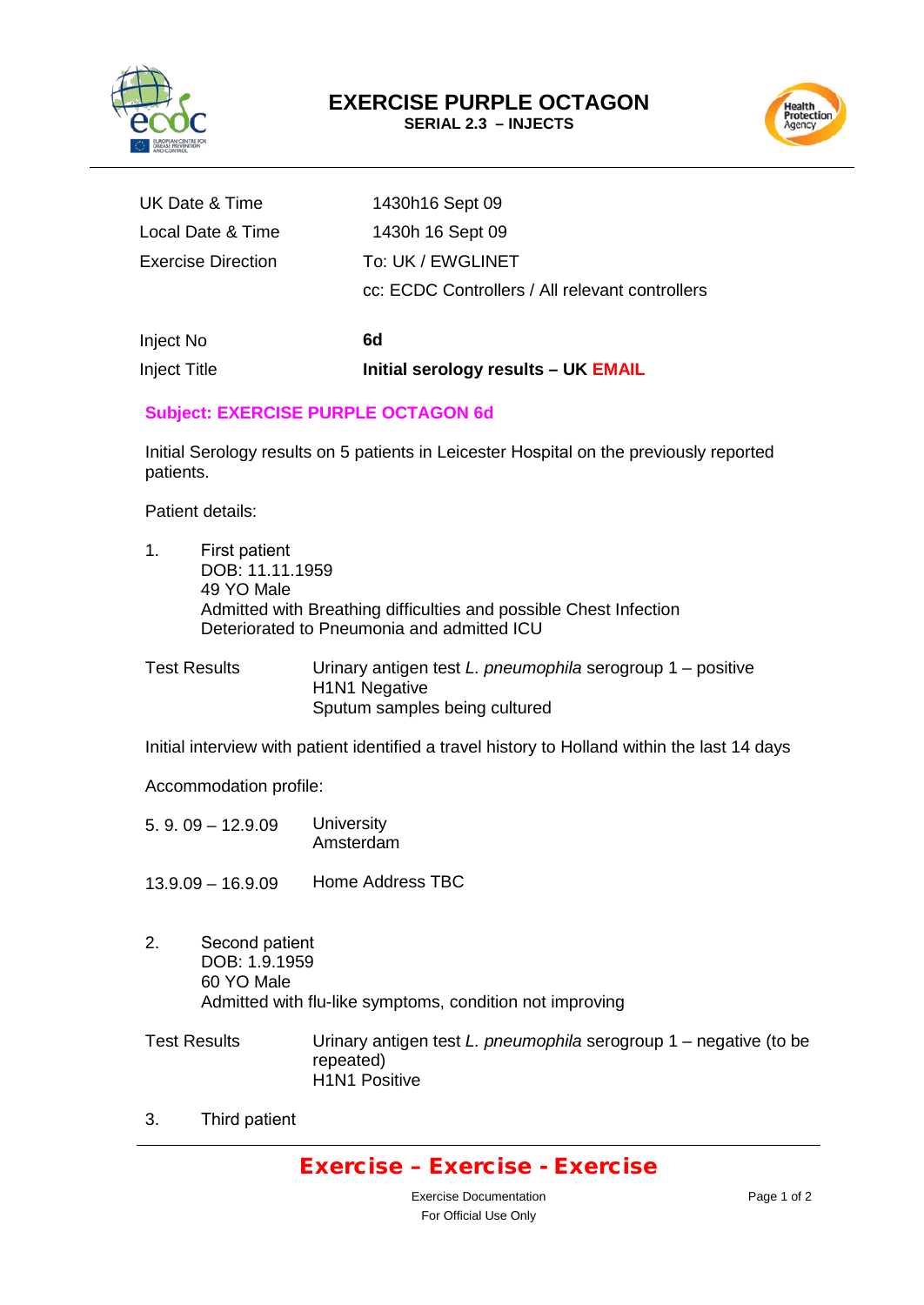



| UK Date & Time     | 1430h16 Sept 09                                 |
|--------------------|-------------------------------------------------|
| Local Date & Time  | 1430h 16 Sept 09                                |
| Exercise Direction | To: UK / EWGLINET                               |
|                    | cc: ECDC Controllers / All relevant controllers |
|                    |                                                 |

Inject No **6d**  Inject Title **Initial serology results – UK EMAIL**

#### **Subject: EXERCISE PURPLE OCTAGON 6d**

Initial Serology results on 5 patients in Leicester Hospital on the previously reported patients.

Patient details:

- 1. First patient DOB: 11.11.1959 49 YO Male Admitted with Breathing difficulties and possible Chest Infection Deteriorated to Pneumonia and admitted ICU
- Test Results Urinary antigen test *L. pneumophila* serogroup 1 positive H1N1 Negative Sputum samples being cultured

Initial interview with patient identified a travel history to Holland within the last 14 days

Accommodation profile:

- 5. 9. 09 12.9.09 **University** Amsterdam
- 13.9.09 16.9.09 Home Address TBC
- 2. Second patient DOB: 1.9.1959 60 YO Male Admitted with flu-like symptoms, condition not improving
- Test Results Urinary antigen test *L. pneumophila* serogroup 1 negative (to be repeated) H1N1 Positive

3. Third patient

### Exercise – Exercise - Exercise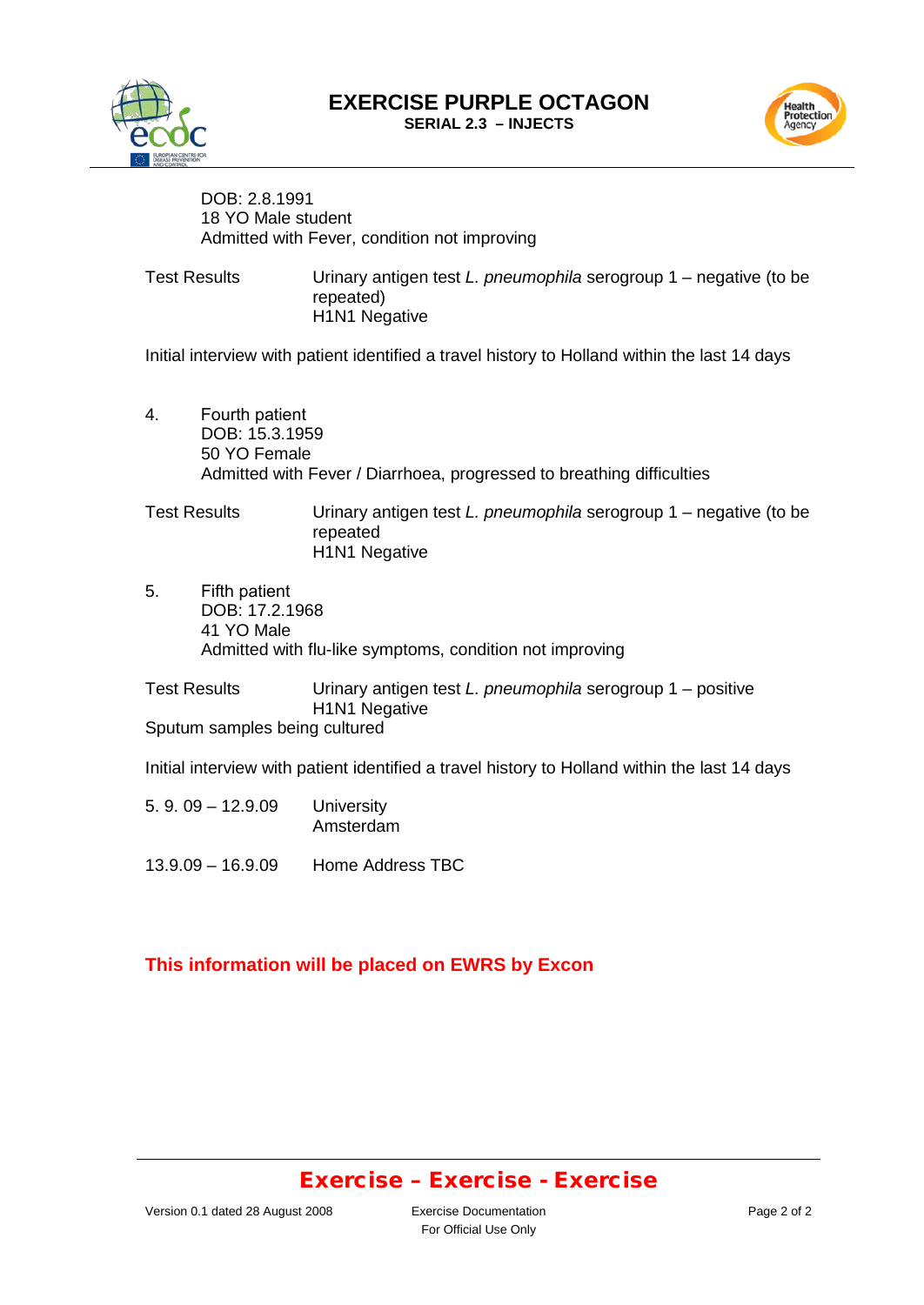**EXERCISE PURPLE OCTAGON SERIAL 2.3 – INJECTS**



Health<br>Protection<br>Agency

DOB: 2.8.1991 18 YO Male student Admitted with Fever, condition not improving

Test Results Urinary antigen test *L. pneumophila* serogroup 1 – negative (to be repeated) H<sub>1</sub>N<sub>1</sub> Negative

Initial interview with patient identified a travel history to Holland within the last 14 days

4. Fourth patient DOB: 15.3.1959 50 YO Female Admitted with Fever / Diarrhoea, progressed to breathing difficulties

Test Results Urinary antigen test *L. pneumophila* serogroup 1 – negative (to be repeated H1N1 Negative

5. Fifth patient DOB: 17.2.1968 41 YO Male Admitted with flu-like symptoms, condition not improving

Test Results Urinary antigen test *L. pneumophila* serogroup 1 – positive H1N1 Negative Sputum samples being cultured

Initial interview with patient identified a travel history to Holland within the last 14 days

- 5. 9. 09 12.9.09 **University** Amsterdam
- 13.9.09 16.9.09 Home Address TBC

#### **This information will be placed on EWRS by Excon**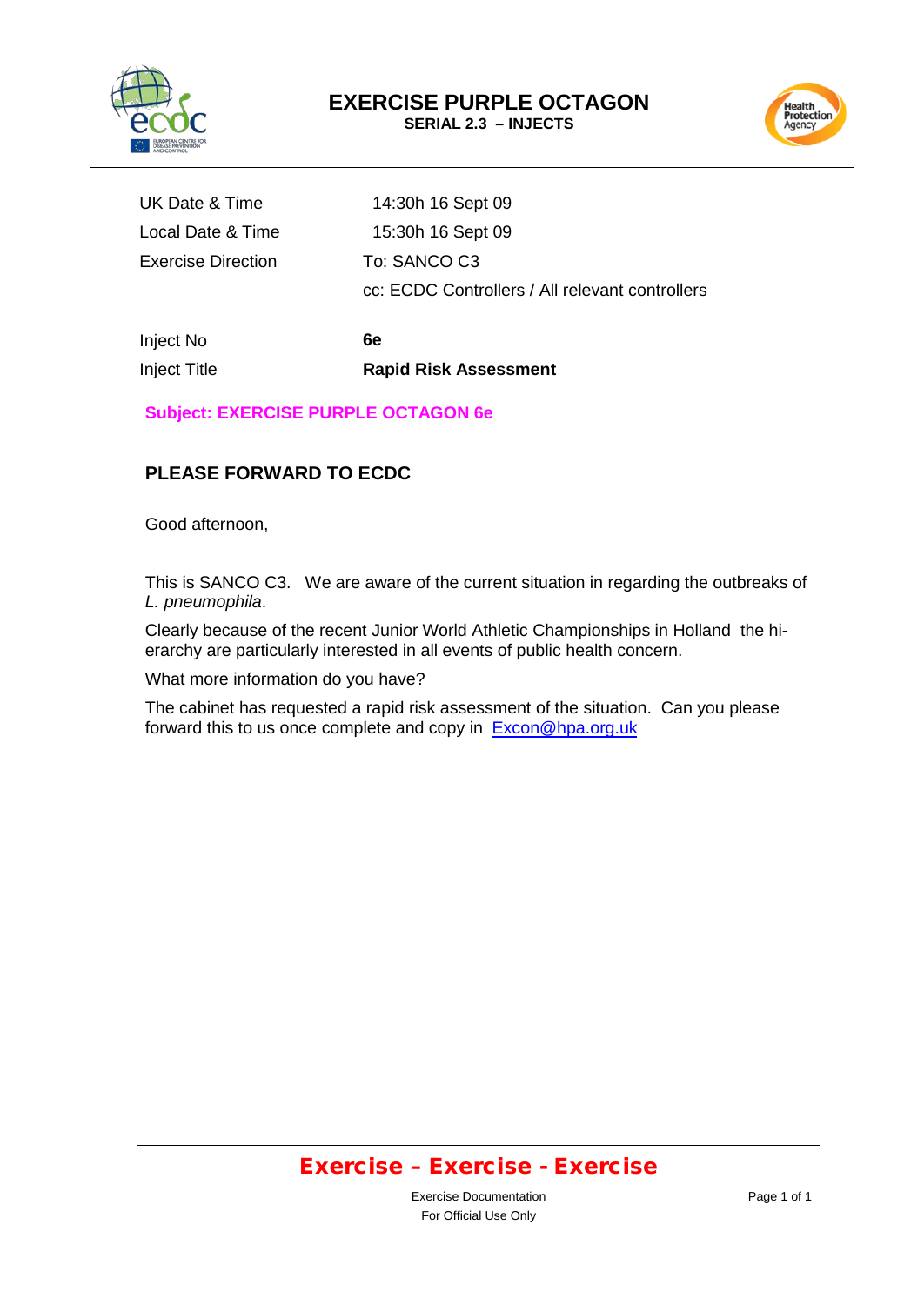



| UK Date & Time            | 14:30h 16 Sept 09                               |
|---------------------------|-------------------------------------------------|
| Local Date & Time         | 15:30h 16 Sept 09                               |
| <b>Exercise Direction</b> | To: SANCO C3                                    |
|                           | cc: ECDC Controllers / All relevant controllers |
|                           |                                                 |

Inject No **6e**

Inject Title **Rapid Risk Assessment**

**Subject: EXERCISE PURPLE OCTAGON 6e**

### **PLEASE FORWARD TO ECDC**

Good afternoon,

This is SANCO C3. We are aware of the current situation in regarding the outbreaks of *L. pneumophila*.

Clearly because of the recent Junior World Athletic Championships in Holland the hierarchy are particularly interested in all events of public health concern.

What more information do you have?

The cabinet has requested a rapid risk assessment of the situation. Can you please forward this to us once complete and copy in [Excon@hpa.org.uk](mailto:Excon@hpa.org.uk)

### Exercise – Exercise - Exercise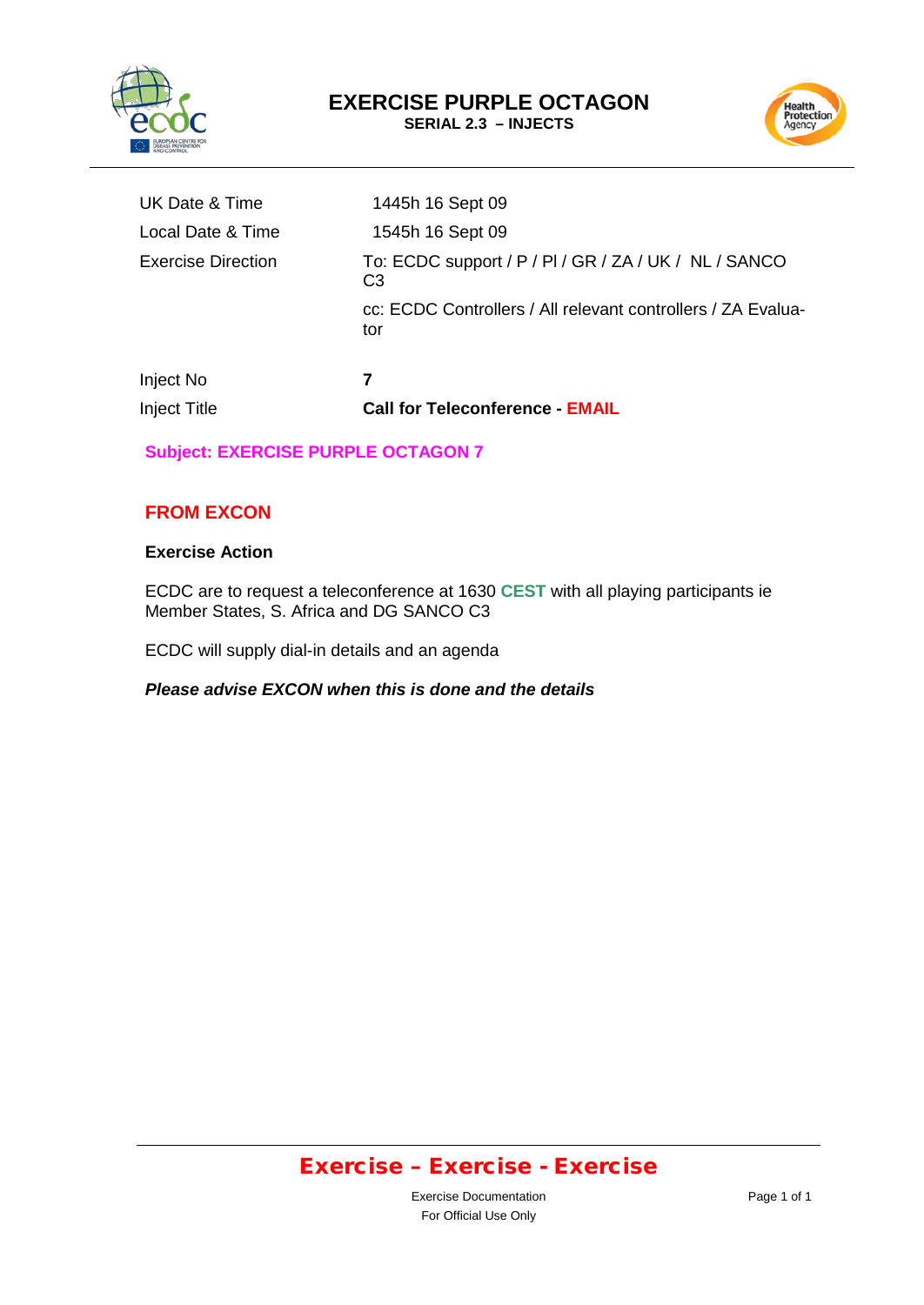

Health<br>Protection<br>Agency

| <b>Inject Title</b> | <b>Call for Teleconference - EMAIL</b>                                  |
|---------------------|-------------------------------------------------------------------------|
| Inject No           | 7                                                                       |
|                     | cc: ECDC Controllers / All relevant controllers / ZA Evalua-<br>tor     |
| Exercise Direction  | To: ECDC support / P / PI / GR / ZA / UK / NL / SANCO<br>C <sub>3</sub> |
| Local Date & Time   | 1545h 16 Sept 09                                                        |
| UK Date & Time      | 1445h 16 Sept 09                                                        |
|                     |                                                                         |

### **Subject: EXERCISE PURPLE OCTAGON 7**

#### **FROM EXCON**

#### **Exercise Action**

ECDC are to request a teleconference at 1630 **CEST** with all playing participants ie Member States, S. Africa and DG SANCO C3

ECDC will supply dial-in details and an agenda

*Please advise EXCON when this is done and the details*

# Exercise – Exercise - Exercise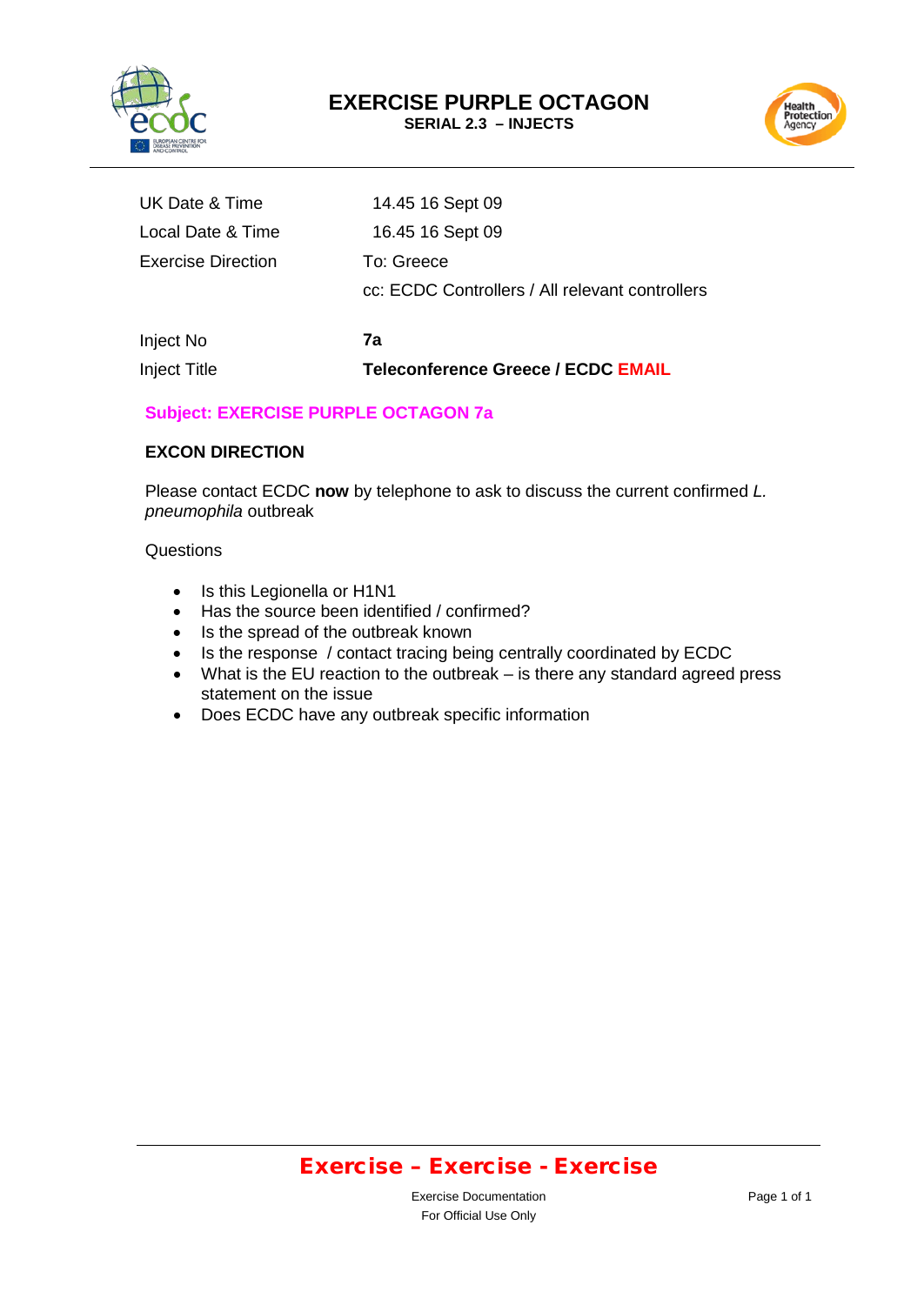



| UK Date & Time            | 14.45 16 Sept 09                                              |
|---------------------------|---------------------------------------------------------------|
| Local Date & Time         | 16.45 16 Sept 09                                              |
| <b>Exercise Direction</b> | To: Greece<br>cc: ECDC Controllers / All relevant controllers |
| Inject No                 | 7a                                                            |
| <b>Inject Title</b>       | <b>Teleconference Greece / ECDC EMAIL</b>                     |

#### **Subject: EXERCISE PURPLE OCTAGON 7a**

#### **EXCON DIRECTION**

Please contact ECDC **now** by telephone to ask to discuss the current confirmed *L. pneumophila* outbreak

#### **Questions**

- Is this Legionella or H1N1
- Has the source been identified / confirmed?
- Is the spread of the outbreak known
- Is the response / contact tracing being centrally coordinated by ECDC
- What is the EU reaction to the outbreak is there any standard agreed press statement on the issue
- Does ECDC have any outbreak specific information

### Exercise – Exercise - Exercise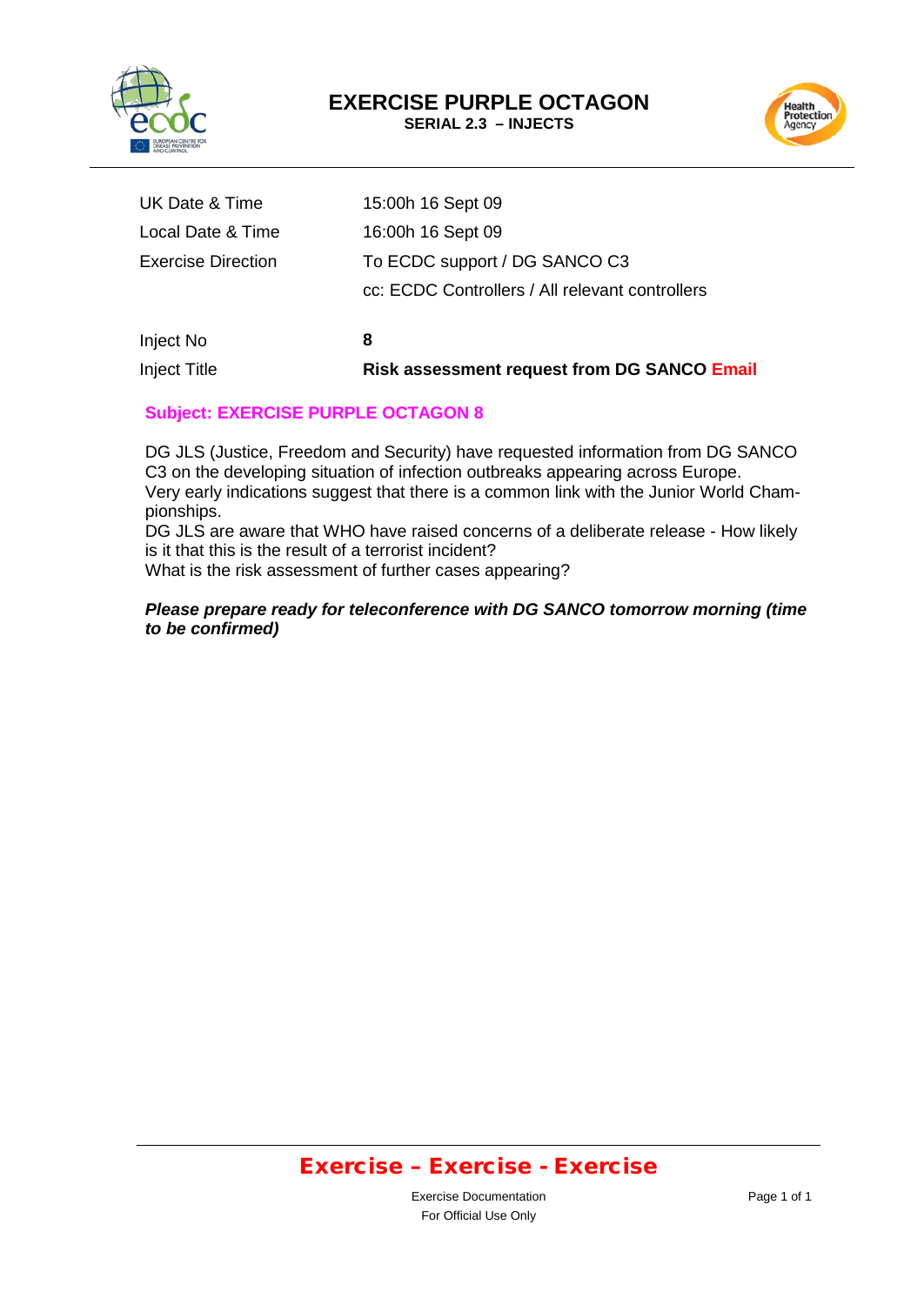



| <b>Inject Title</b>       | <b>Risk assessment request from DG SANCO Email</b> |
|---------------------------|----------------------------------------------------|
| Inject No                 | 8                                                  |
|                           | cc: ECDC Controllers / All relevant controllers    |
| <b>Exercise Direction</b> | To ECDC support / DG SANCO C3                      |
| Local Date & Time         | 16:00h 16 Sept 09                                  |
| UK Date & Time            | 15:00h 16 Sept 09                                  |

### **Subject: EXERCISE PURPLE OCTAGON 8**

DG JLS (Justice, Freedom and Security) have requested information from DG SANCO C3 on the developing situation of infection outbreaks appearing across Europe. Very early indications suggest that there is a common link with the Junior World Championships.

DG JLS are aware that WHO have raised concerns of a deliberate release - How likely is it that this is the result of a terrorist incident?

What is the risk assessment of further cases appearing?

#### *Please prepare ready for teleconference with DG SANCO tomorrow morning (time to be confirmed)*

# Exercise – Exercise - Exercise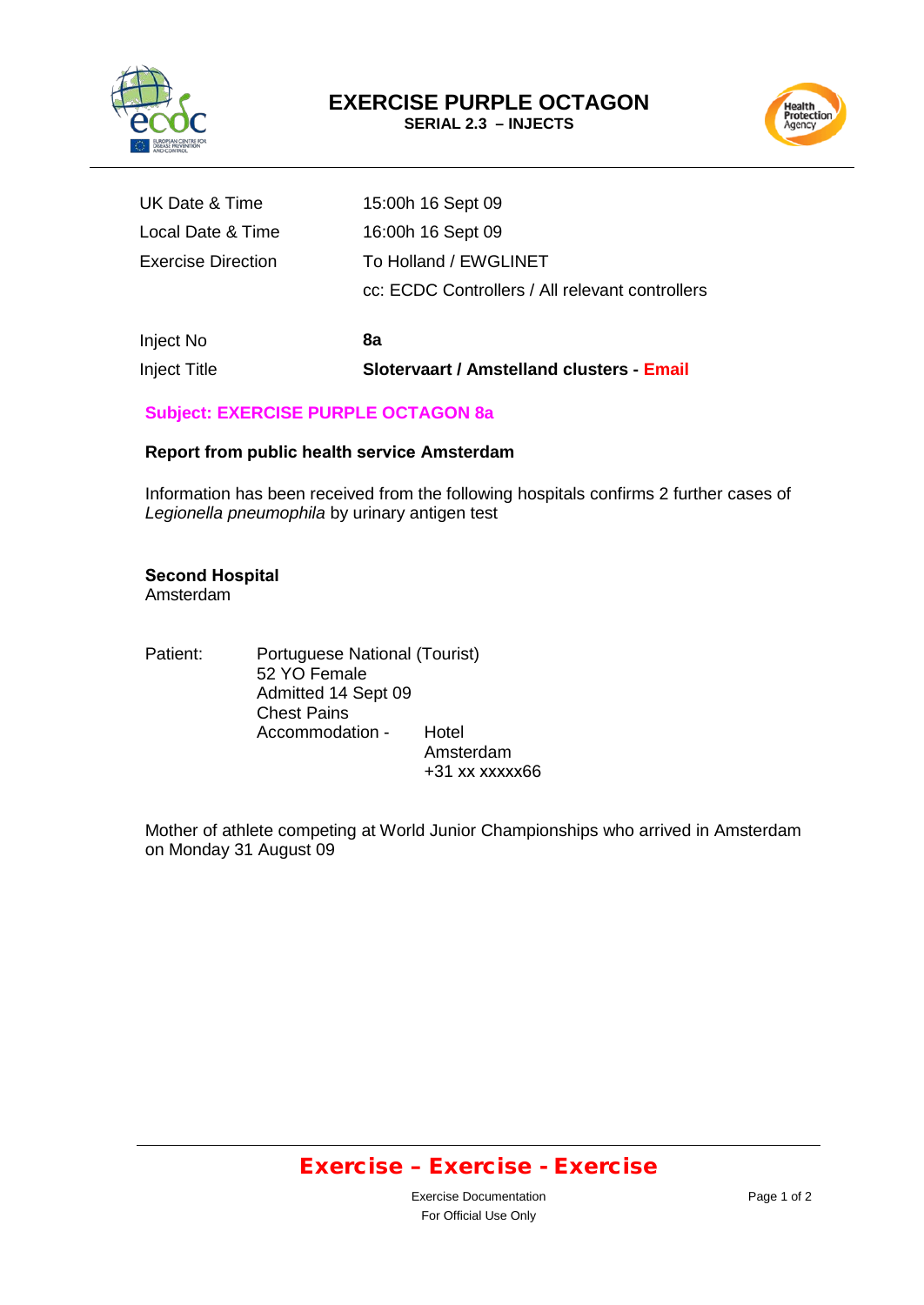



| <b>Inject Title</b> | Slotervaart / Amstelland clusters - Email       |
|---------------------|-------------------------------------------------|
| Inject No           | 8а                                              |
|                     | cc: ECDC Controllers / All relevant controllers |
| Exercise Direction  | To Holland / EWGLINET                           |
| Local Date & Time   | 16:00h 16 Sept 09                               |
| UK Date & Time      | 15:00h 16 Sept 09                               |

### **Subject: EXERCISE PURPLE OCTAGON 8a**

#### **Report from public health service Amsterdam**

Information has been received from the following hospitals confirms 2 further cases of *Legionella pneumophila* by urinary antigen test

#### **Second Hospital**

Amsterdam

Patient: Portuguese National (Tourist) 52 YO Female Admitted 14 Sept 09 Chest Pains Accommodation - Hotel Amsterdam +31 xx xxxxx66

Mother of athlete competing at World Junior Championships who arrived in Amsterdam on Monday 31 August 09

### Exercise – Exercise - Exercise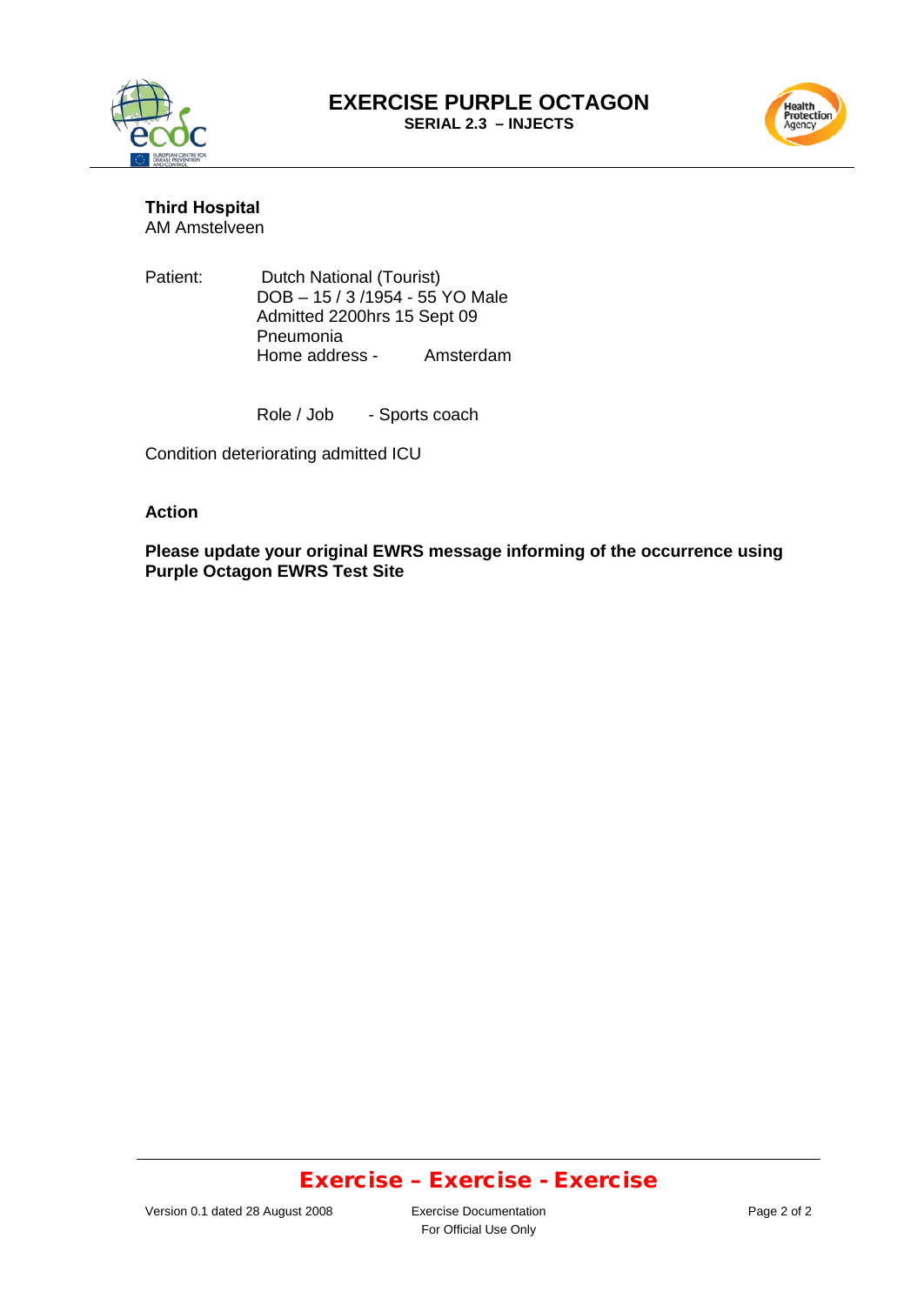



**Third Hospital** AM Amstelveen

Patient: Dutch National (Tourist) DOB – 15 / 3 /1954 - 55 YO Male Admitted 2200hrs 15 Sept 09 Pneumonia Home address - Amsterdam

Role / Job - Sports coach

Condition deteriorating admitted ICU

#### **Action**

**Please update your original EWRS message informing of the occurrence using Purple Octagon EWRS Test Site**

### Exercise – Exercise - Exercise

For Official Use Only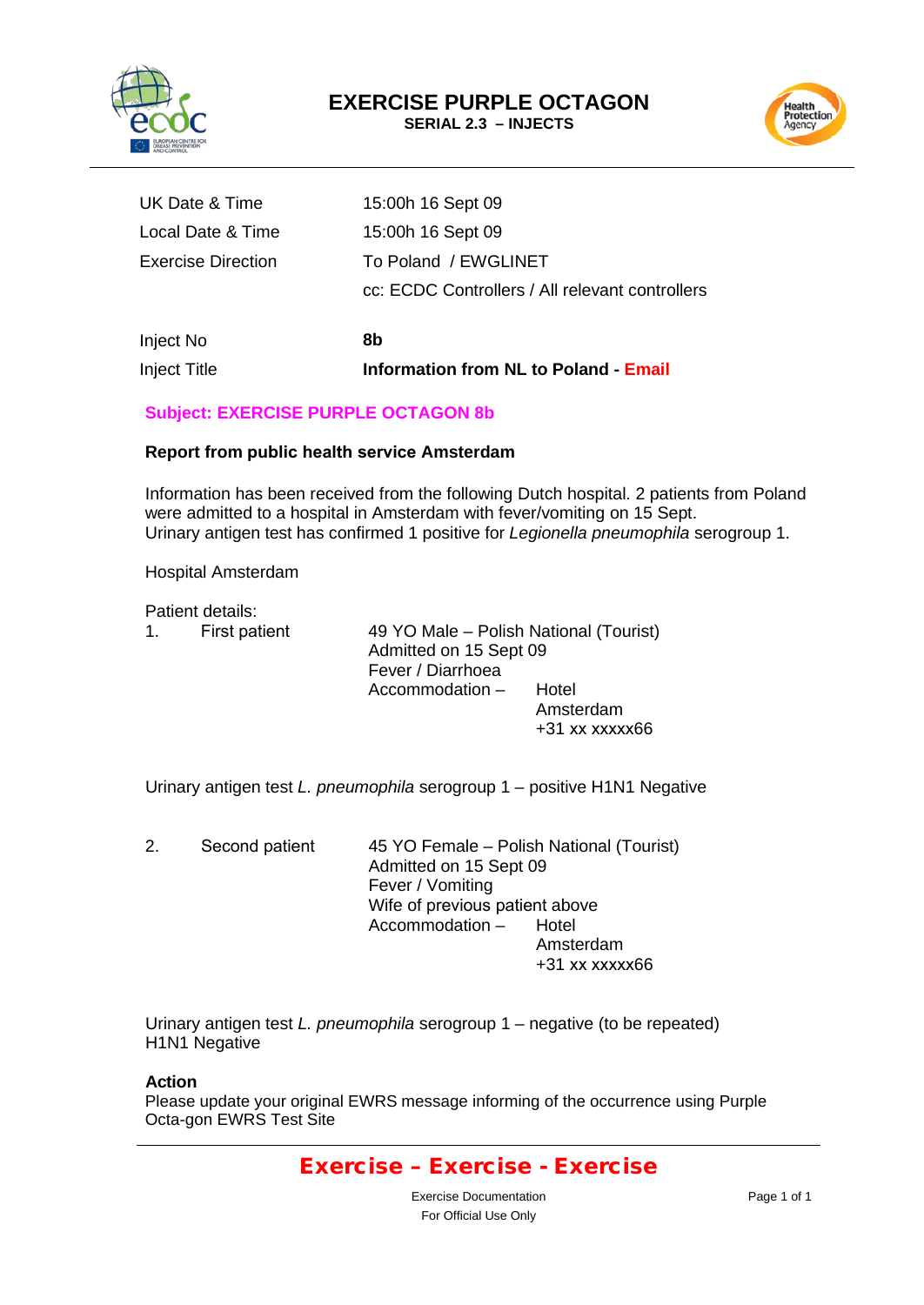



| Inject Title              | <b>Information from NL to Poland - Email</b>    |
|---------------------------|-------------------------------------------------|
| Inject No                 | 8b                                              |
|                           | cc: ECDC Controllers / All relevant controllers |
| <b>Exercise Direction</b> | To Poland / EWGLINET                            |
| Local Date & Time         | 15:00h 16 Sept 09                               |
| UK Date & Time            | 15:00h 16 Sept 09                               |

### **Subject: EXERCISE PURPLE OCTAGON 8b**

#### **Report from public health service Amsterdam**

Information has been received from the following Dutch hospital. 2 patients from Poland were admitted to a hospital in Amsterdam with fever/vomiting on 15 Sept. Urinary antigen test has confirmed 1 positive for *Legionella pneumophila* serogroup 1.

Hospital Amsterdam

Patient details:

| $1_{\ldots}$ | First patient | 49 YO Male - Polish National (Tourist)<br>Admitted on 15 Sept 09<br>Fever / Diarrhoea |                                          |
|--------------|---------------|---------------------------------------------------------------------------------------|------------------------------------------|
|              |               | Accommodation -                                                                       | Hotel<br>Amsterdam<br>$+31$ xx $xxxxx66$ |

Urinary antigen test *L. pneumophila* serogroup 1 – positive H1N1 Negative

2. Second patient 45 YO Female – Polish National (Tourist) Admitted on 15 Sept 09 Fever / Vomiting Wife of previous patient above<br>Accommodation - Hotel Accommodation  $-$ Amsterdam +31 xx xxxxx66

Urinary antigen test *L. pneumophila* serogroup 1 – negative (to be repeated) H1N1 Negative

#### **Action**

Please update your original EWRS message informing of the occurrence using Purple Octa-gon EWRS Test Site

### Exercise – Exercise - Exercise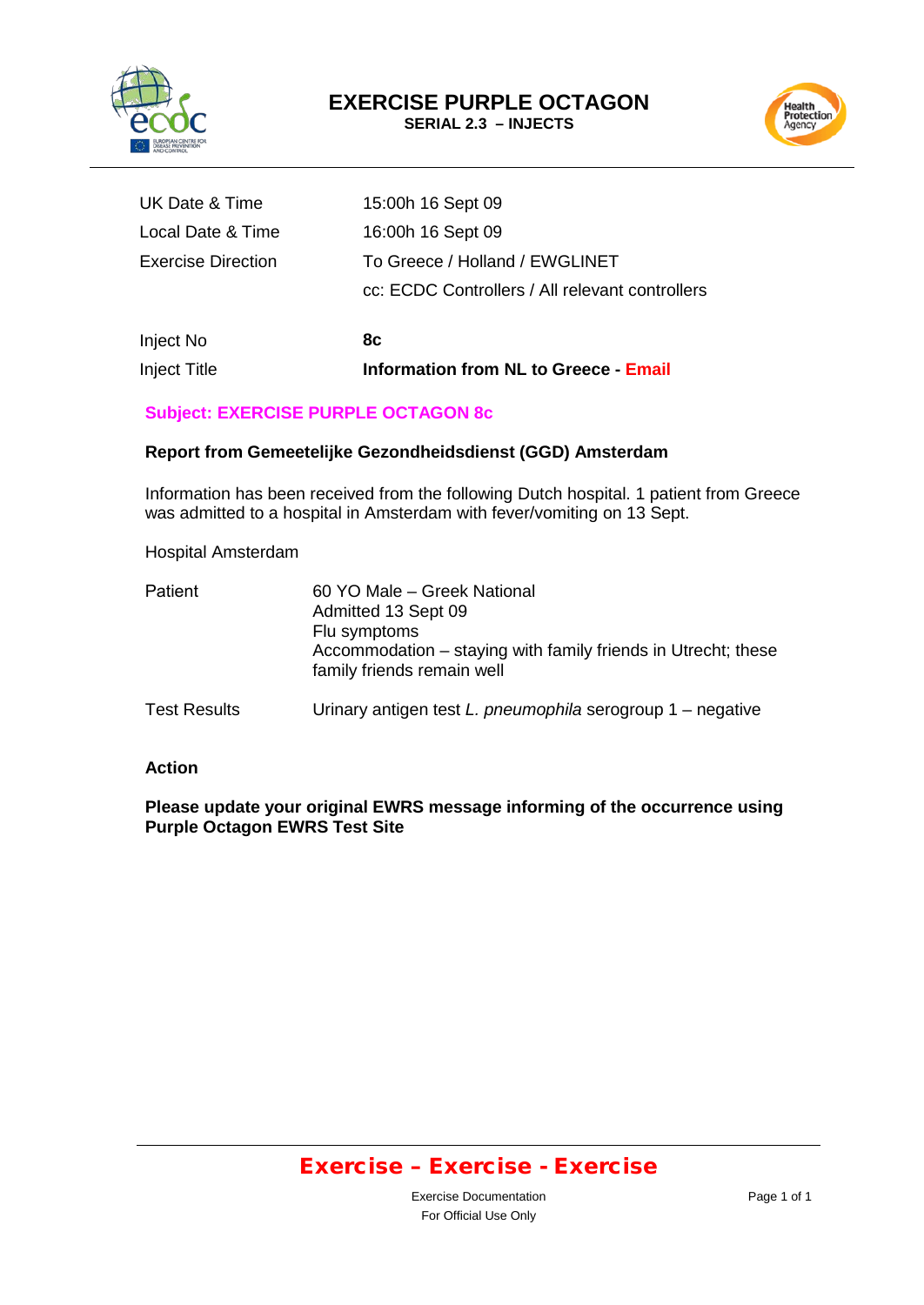



| <b>Inject Title</b>       | <b>Information from NL to Greece - Email</b>    |
|---------------------------|-------------------------------------------------|
| Inject No                 | 8с                                              |
|                           | cc: ECDC Controllers / All relevant controllers |
| <b>Exercise Direction</b> | To Greece / Holland / EWGLINET                  |
| Local Date & Time         | 16:00h 16 Sept 09                               |
| UK Date & Time            | 15:00h 16 Sept 09                               |
|                           |                                                 |

### **Subject: EXERCISE PURPLE OCTAGON 8c**

#### **Report from Gemeetelijke Gezondheidsdienst (GGD) Amsterdam**

Information has been received from the following Dutch hospital. 1 patient from Greece was admitted to a hospital in Amsterdam with fever/vomiting on 13 Sept.

#### Hospital Amsterdam

| Patient             | 60 YO Male – Greek National<br>Admitted 13 Sept 09<br>Flu symptoms<br>Accommodation – staying with family friends in Utrecht; these |
|---------------------|-------------------------------------------------------------------------------------------------------------------------------------|
| <b>Test Results</b> | family friends remain well<br>Urinary antigen test $L$ . pneumophila serogroup $1$ – negative                                       |
|                     |                                                                                                                                     |

#### **Action**

#### **Please update your original EWRS message informing of the occurrence using Purple Octagon EWRS Test Site**

### Exercise – Exercise - Exercise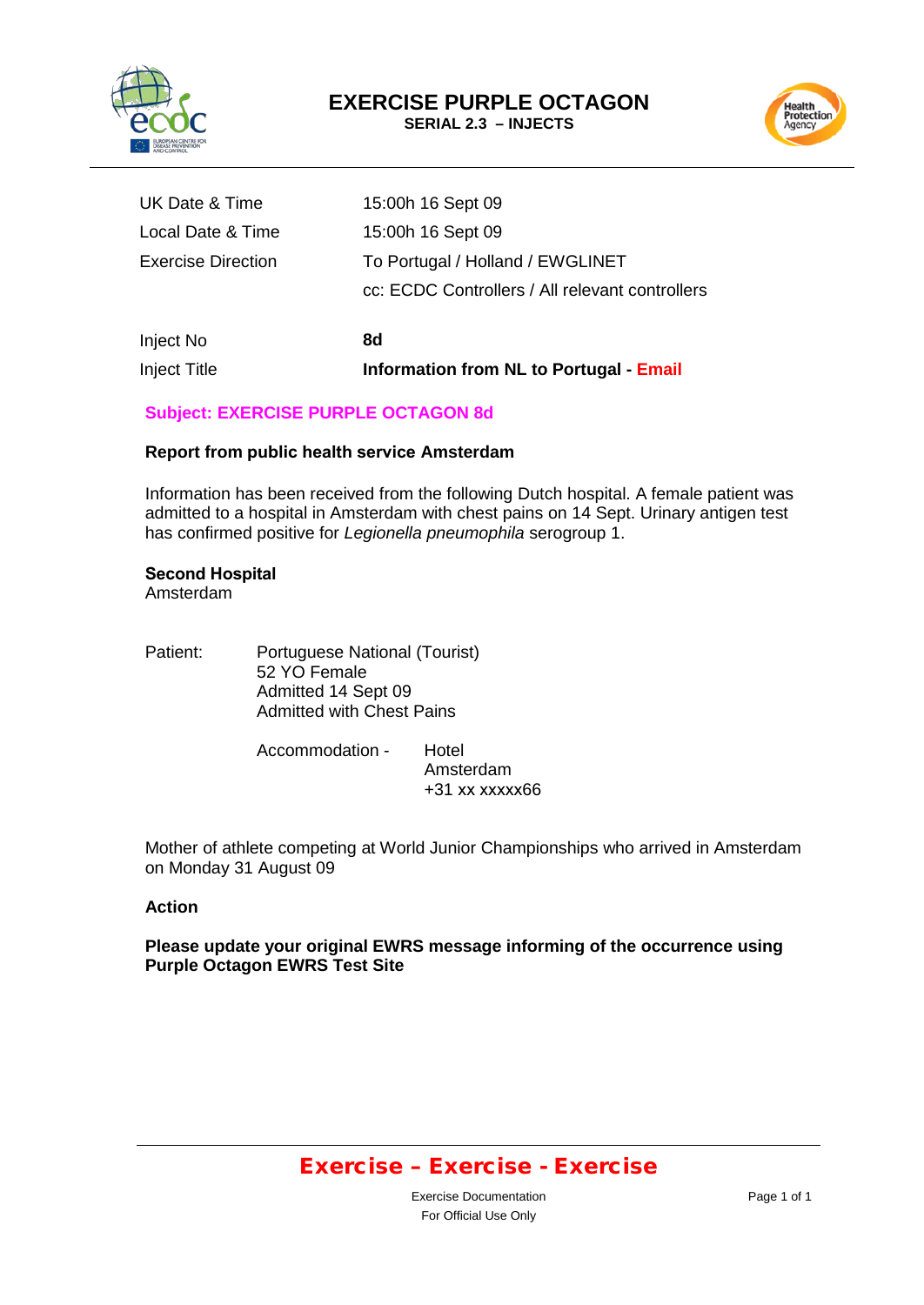



| <b>Inject Title</b>       | Information from NL to Portugal - Email         |
|---------------------------|-------------------------------------------------|
| Inject No                 | 8d                                              |
|                           | cc: ECDC Controllers / All relevant controllers |
| <b>Exercise Direction</b> | To Portugal / Holland / EWGLINET                |
| Local Date & Time         | 15:00h 16 Sept 09                               |
| UK Date & Time            | 15:00h 16 Sept 09                               |

### **Subject: EXERCISE PURPLE OCTAGON 8d**

#### **Report from public health service Amsterdam**

Information has been received from the following Dutch hospital. A female patient was admitted to a hospital in Amsterdam with chest pains on 14 Sept. Urinary antigen test has confirmed positive for *Legionella pneumophila* serogroup 1.

### **Second Hospital**

Amsterdam

| Patient: | Portuguese National (Tourist)<br>52 YO Female<br>Admitted 14 Sept 09<br><b>Admitted with Chest Pains</b> |       |  |
|----------|----------------------------------------------------------------------------------------------------------|-------|--|
|          | Accommodation -                                                                                          | Hotel |  |

Amsterdam +31 xx xxxxx66

Mother of athlete competing at World Junior Championships who arrived in Amsterdam on Monday 31 August 09

#### **Action**

**Please update your original EWRS message informing of the occurrence using Purple Octagon EWRS Test Site**

### Exercise – Exercise - Exercise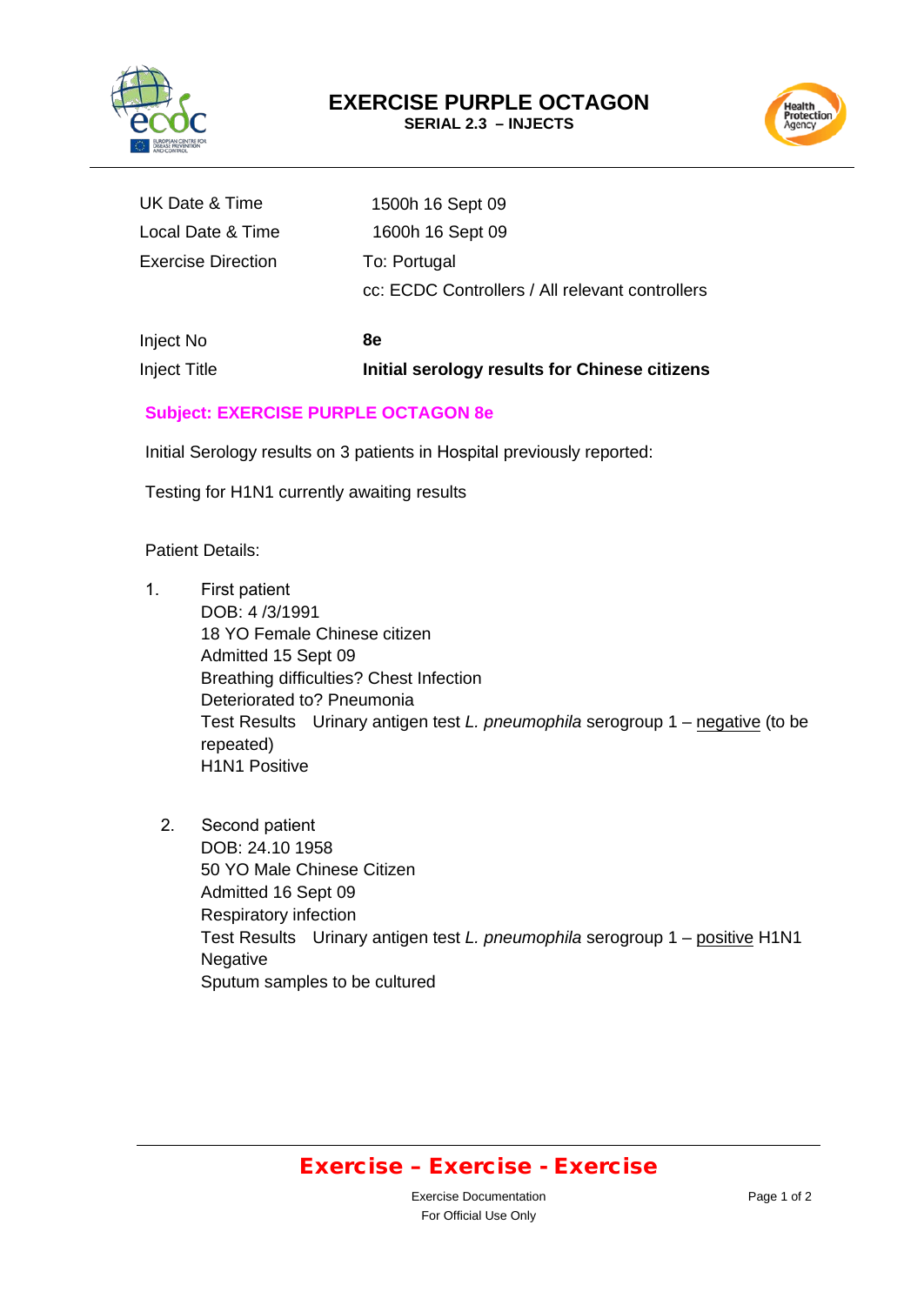

Health<br>Protection<br>Agency

| UK Date & Time            | 1500h 16 Sept 09                                |
|---------------------------|-------------------------------------------------|
| Local Date & Time         | 1600h 16 Sept 09                                |
| <b>Exercise Direction</b> | To: Portugal                                    |
|                           | cc: ECDC Controllers / All relevant controllers |
|                           |                                                 |

Inject No **8e** Inject Title **Initial serology results for Chinese citizens**

### **Subject: EXERCISE PURPLE OCTAGON 8e**

Initial Serology results on 3 patients in Hospital previously reported:

Testing for H1N1 currently awaiting results

Patient Details:

- 1. First patient DOB: 4 /3/1991 18 YO Female Chinese citizen Admitted 15 Sept 09 Breathing difficulties? Chest Infection Deteriorated to? Pneumonia Test Results Urinary antigen test *L. pneumophila* serogroup 1 – negative (to be repeated) H1N1 Positive
	- 2. Second patient DOB: 24.10 1958 50 YO Male Chinese Citizen Admitted 16 Sept 09 Respiratory infection Test Results Urinary antigen test *L. pneumophila* serogroup 1 – positive H1N1 Negative Sputum samples to be cultured

### Exercise – Exercise - Exercise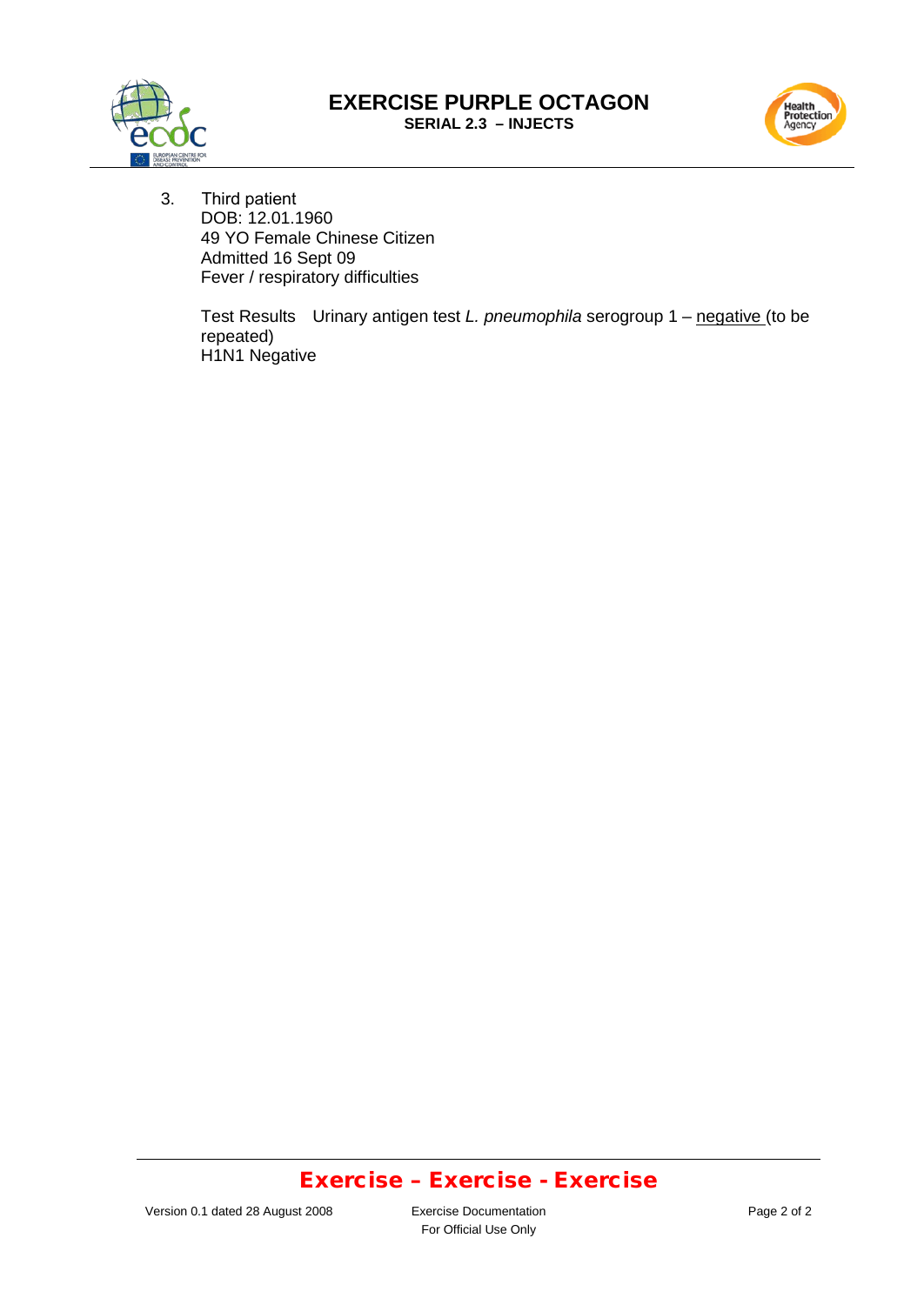#### **EXERCISE PURPLE OCTAGON SERIAL 2.3 – INJECTS**





3. Third patient DOB: 12.01.1960 49 YO Female Chinese Citizen Admitted 16 Sept 09 Fever / respiratory difficulties

> Test Results Urinary antigen test *L. pneumophila* serogroup 1 – negative (to be repeated) H1N1 Negative

### Exercise – Exercise - Exercise

For Official Use Only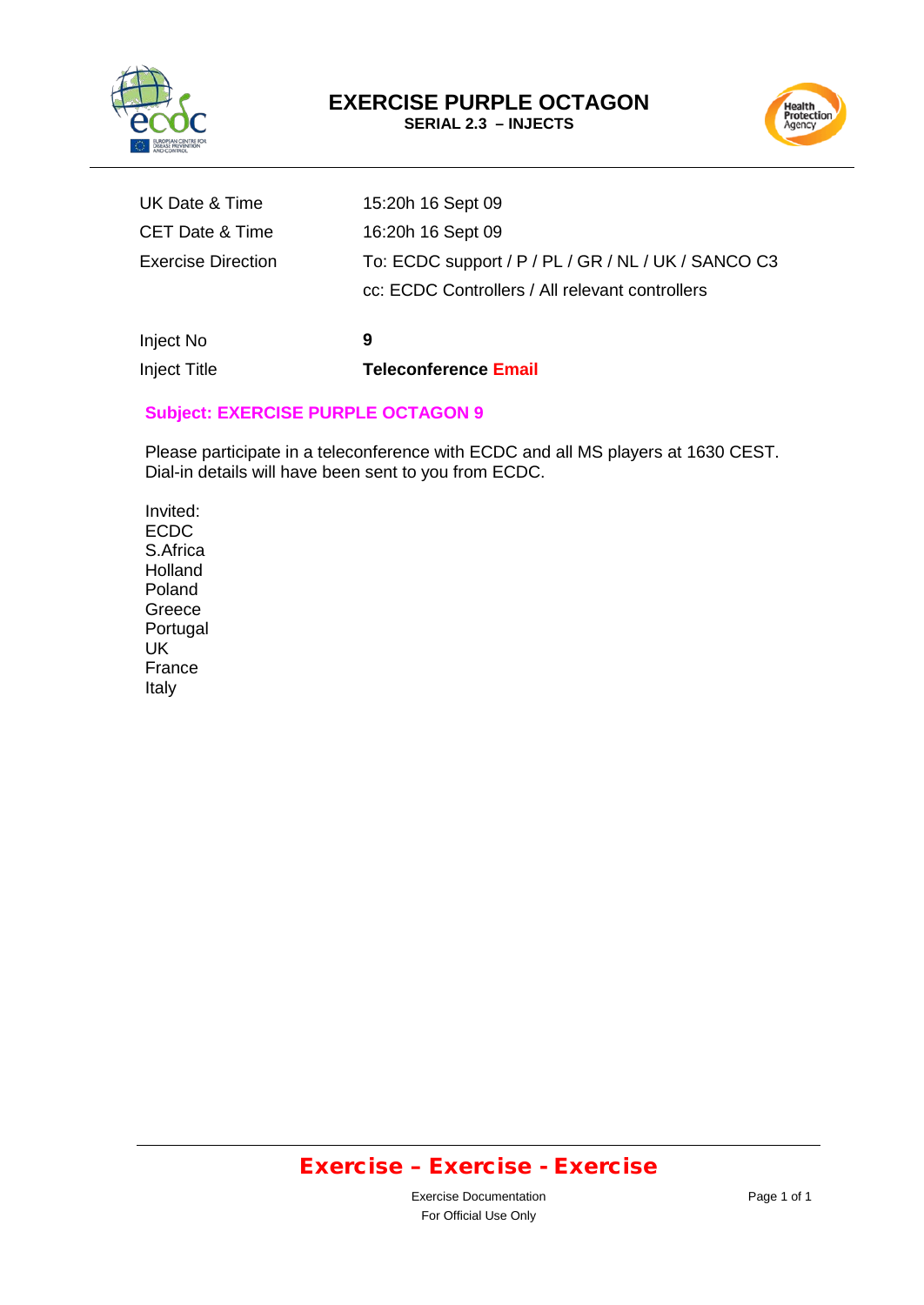



| Inject No                  | 9                                                   |
|----------------------------|-----------------------------------------------------|
|                            | cc: ECDC Controllers / All relevant controllers     |
| <b>Exercise Direction</b>  | To: ECDC support / P / PL / GR / NL / UK / SANCO C3 |
| <b>CET Date &amp; Time</b> | 16:20h 16 Sept 09                                   |
| UK Date & Time             | 15:20h 16 Sept 09                                   |

# **Subject: EXERCISE PURPLE OCTAGON 9**

Inject Title **Teleconference Email**

Please participate in a teleconference with ECDC and all MS players at 1630 CEST. Dial-in details will have been sent to you from ECDC.

Invited: ECDC S.Africa **Holland** Poland Greece Portugal UK France Italy

# Exercise – Exercise - Exercise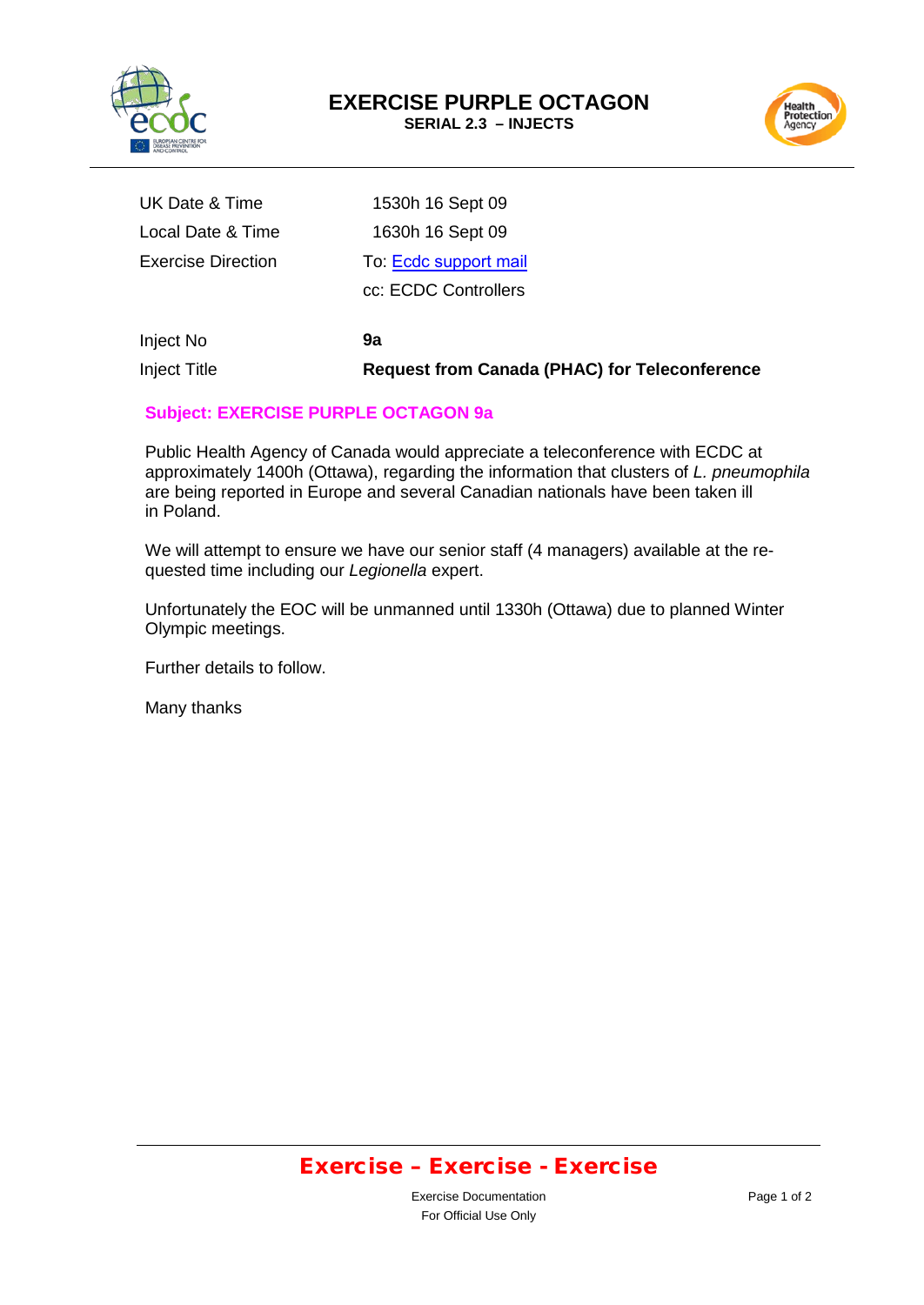



| <b>Inject Title</b>       | <b>Request from Canada (PHAC) for Teleconference</b> |
|---------------------------|------------------------------------------------------|
| Inject No                 | 9а                                                   |
|                           | cc: ECDC Controllers                                 |
| <b>Exercise Direction</b> | To: Ecdc support mail                                |
| Local Date & Time         | 1630h 16 Sept 09                                     |
| UK Date & Time            | 1530h 16 Sept 09                                     |

#### **Subject: EXERCISE PURPLE OCTAGON 9a**

Public Health Agency of Canada would appreciate a teleconference with ECDC at approximately 1400h (Ottawa), regarding the information that clusters of *L. pneumophila* are being reported in Europe and several Canadian nationals have been taken ill in Poland.

We will attempt to ensure we have our senior staff (4 managers) available at the requested time including our *Legionella* expert.

Unfortunately the EOC will be unmanned until 1330h (Ottawa) due to planned Winter Olympic meetings.

Further details to follow.

Many thanks

### Exercise – Exercise - Exercise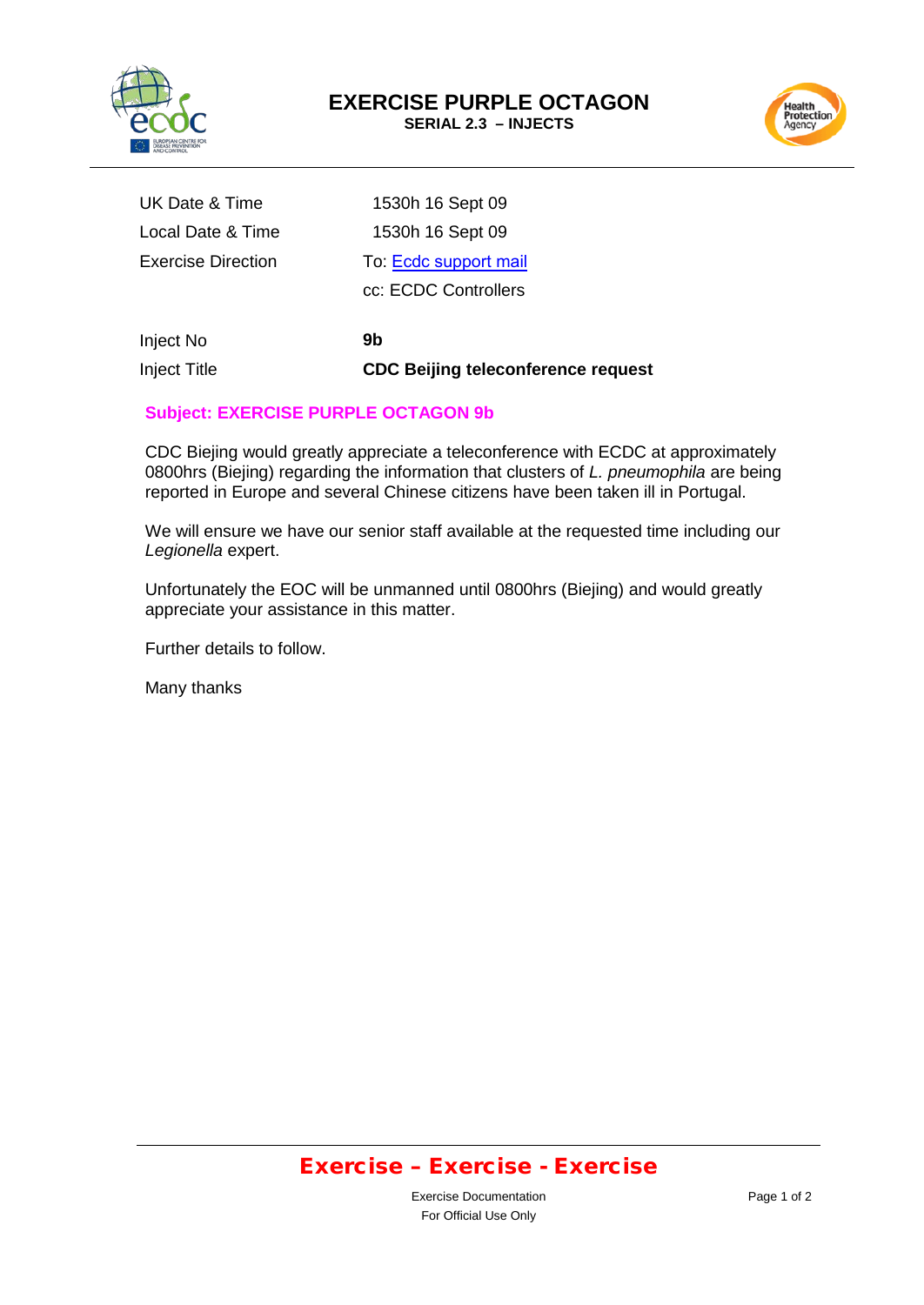



| Inject No          | 9b                    |
|--------------------|-----------------------|
|                    | cc: ECDC Controllers  |
| Exercise Direction | To: Ecdc support mail |
| Local Date & Time  | 1530h 16 Sept 09      |
| UK Date & Time     | 1530h 16 Sept 09      |

Inject Title

**CDC Beijing teleconference request**

### **Subject: EXERCISE PURPLE OCTAGON 9b**

CDC Biejing would greatly appreciate a teleconference with ECDC at approximately 0800hrs (Biejing) regarding the information that clusters of *L. pneumophila* are being reported in Europe and several Chinese citizens have been taken ill in Portugal.

We will ensure we have our senior staff available at the requested time including our *Legionella* expert.

Unfortunately the EOC will be unmanned until 0800hrs (Biejing) and would greatly appreciate your assistance in this matter.

Further details to follow.

Many thanks

### Exercise – Exercise - Exercise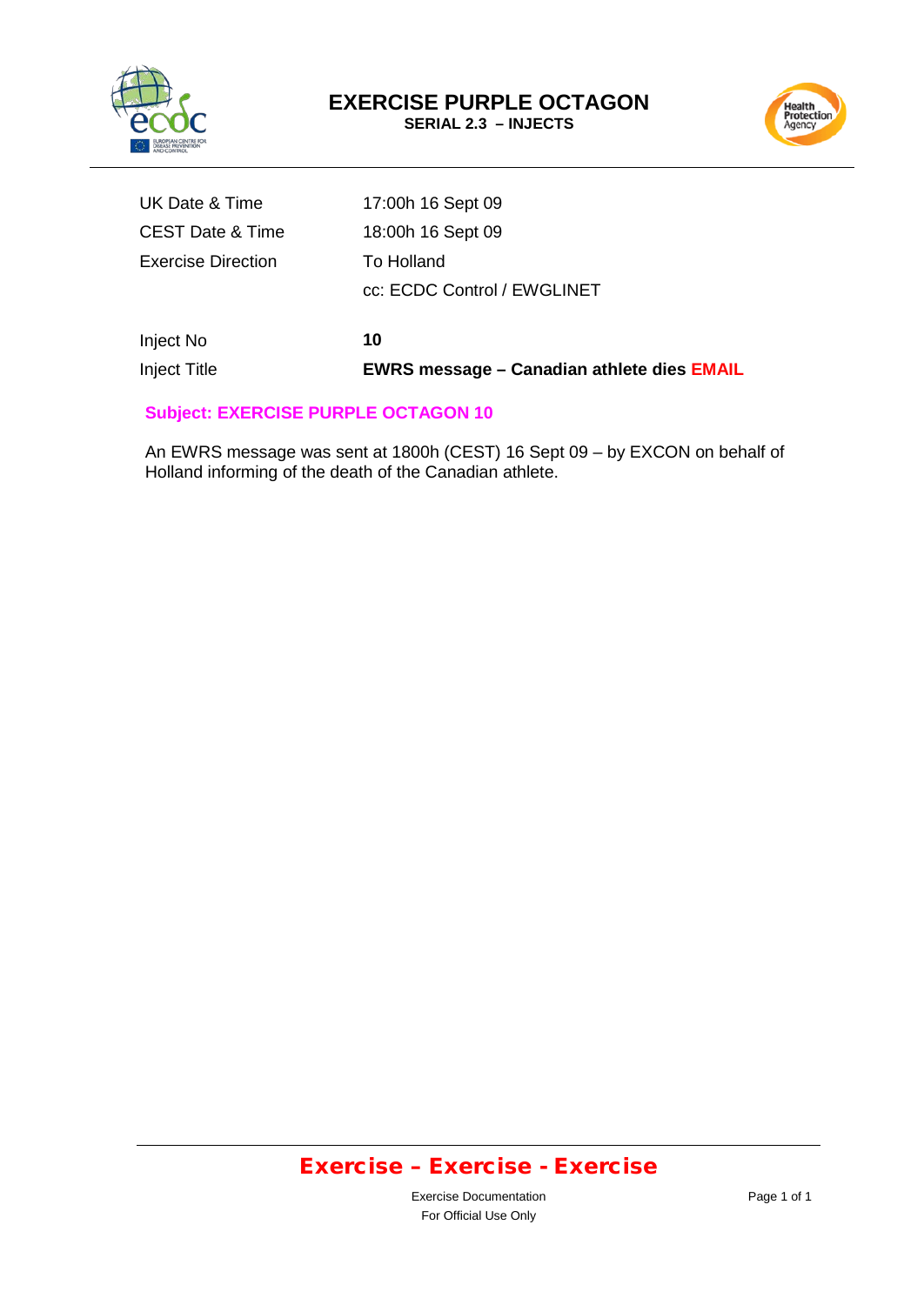



| Inject No          | 10                          |
|--------------------|-----------------------------|
|                    | cc: ECDC Control / EWGLINET |
| Exercise Direction | To Holland                  |
| CEST Date & Time   | 18:00h 16 Sept 09           |
| UK Date & Time     | 17:00h 16 Sept 09           |

Inject Title **EWRS message – Canadian athlete dies EMAIL**

### **Subject: EXERCISE PURPLE OCTAGON 10**

An EWRS message was sent at 1800h (CEST) 16 Sept 09 – by EXCON on behalf of Holland informing of the death of the Canadian athlete.

# Exercise – Exercise - Exercise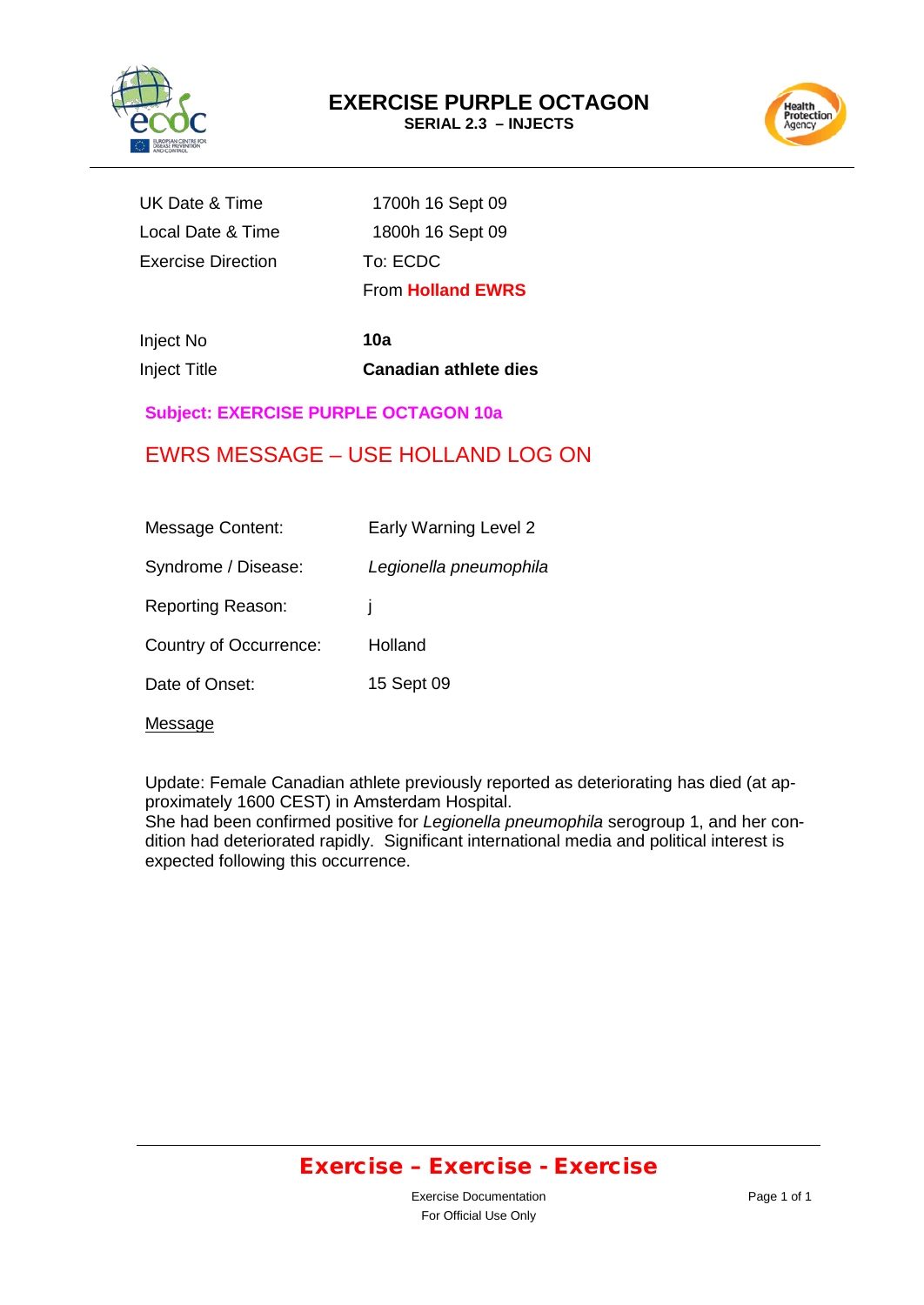



|                           | <b>From Holland EWRS</b> |
|---------------------------|--------------------------|
| <b>Exercise Direction</b> | To: ECDC                 |
| Local Date & Time         | 1800h 16 Sept 09         |
| UK Date & Time            | 1700h 16 Sept 09         |

Inject No **10a**

Inject Title **Canadian athlete dies**

### **Subject: EXERCISE PURPLE OCTAGON 10a**

### EWRS MESSAGE – USE HOLLAND LOG ON

| <b>Message Content:</b>  | Early Warning Level 2  |
|--------------------------|------------------------|
| Syndrome / Disease:      | Legionella pneumophila |
| <b>Reporting Reason:</b> |                        |
| Country of Occurrence:   | Holland                |
| Date of Onset:           | 15 Sept 09             |

Message

Update: Female Canadian athlete previously reported as deteriorating has died (at approximately 1600 CEST) in Amsterdam Hospital.

She had been confirmed positive for *Legionella pneumophila* serogroup 1, and her condition had deteriorated rapidly. Significant international media and political interest is expected following this occurrence.

### Exercise – Exercise - Exercise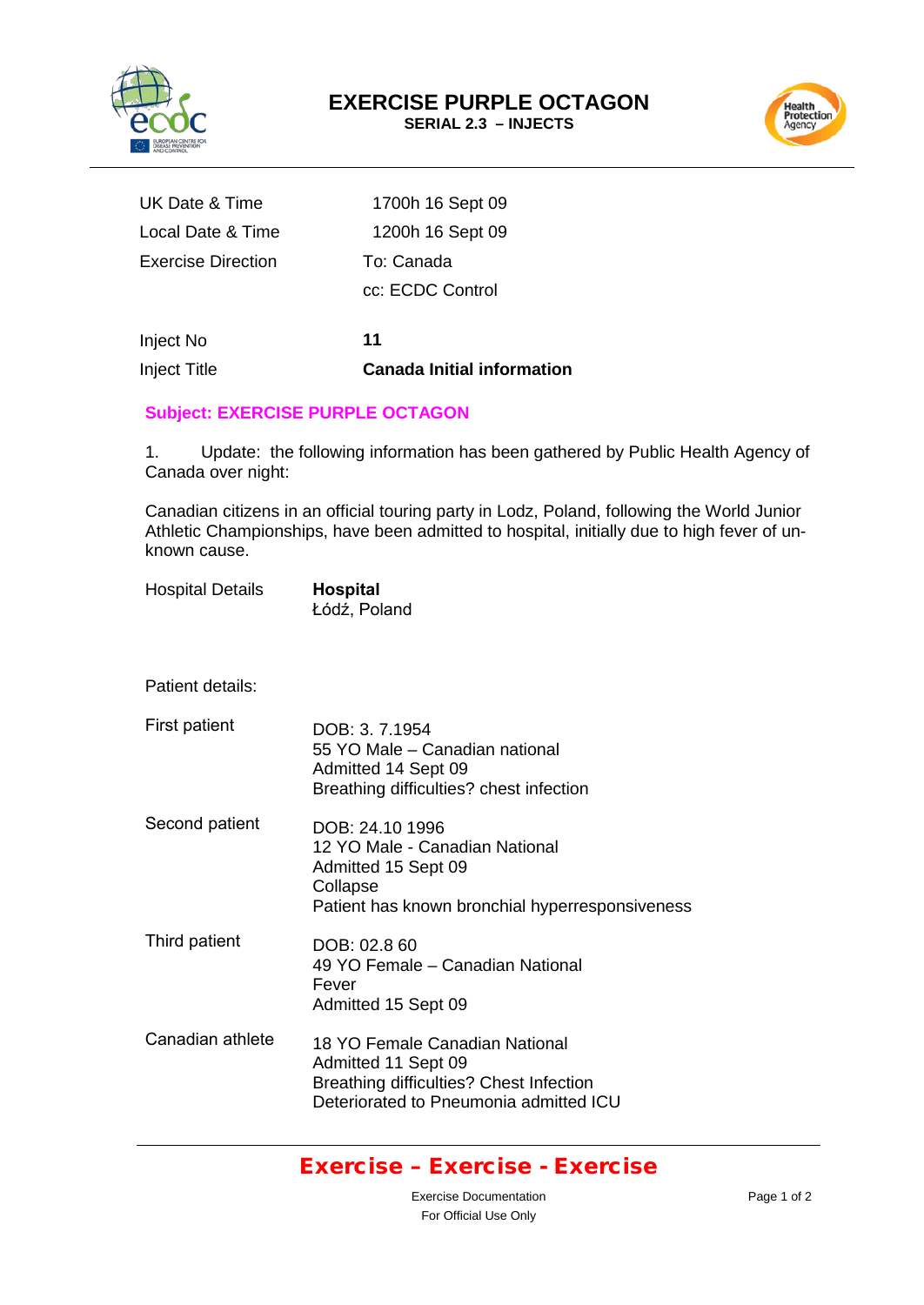



| UK Date & Time     | 1700h 16 Sept 09 |
|--------------------|------------------|
| Local Date & Time  | 1200h 16 Sept 09 |
| Exercise Direction | To: Canada       |
|                    | cc: ECDC Control |
|                    |                  |
| Inject No          | 11               |

Inject Title **Canada Initial information**

### **Subject: EXERCISE PURPLE OCTAGON**

1. Update: the following information has been gathered by Public Health Agency of Canada over night:

Canadian citizens in an official touring party in Lodz, Poland, following the World Junior Athletic Championships, have been admitted to hospital, initially due to high fever of unknown cause.

| <b>Hospital Details</b> | <b>Hospital</b> |  |
|-------------------------|-----------------|--|
|                         | Łódź, Poland    |  |

Patient details:

First patient Second patient Third patient Canadian athlete DOB: 3. 7.1954 55 YO Male – Canadian national Admitted 14 Sept 09 Breathing difficulties? chest infection DOB: 24.10 1996 12 YO Male - Canadian National Admitted 15 Sept 09 **Collapse** Patient has known bronchial hyperresponsiveness DOB: 02.8 60 49 YO Female – Canadian National Fever Admitted 15 Sept 09 18 YO Female Canadian National Admitted 11 Sept 09 Breathing difficulties? Chest Infection Deteriorated to Pneumonia admitted ICU

### Exercise – Exercise - Exercise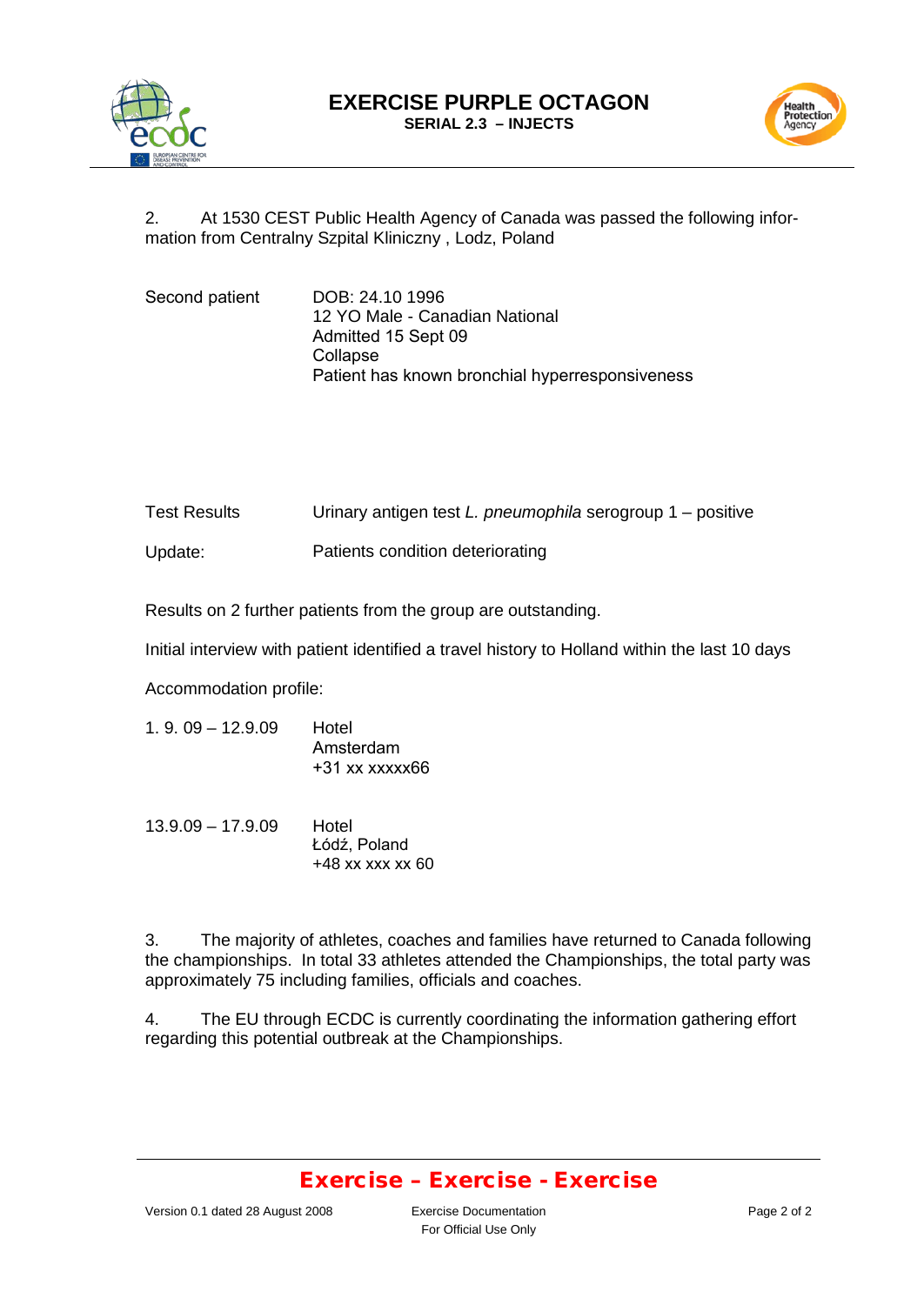



2. At 1530 CEST Public Health Agency of Canada was passed the following information from Centralny Szpital Kliniczny , Lodz, Poland

| Second patient | DOB: 24.10 1996                                 |
|----------------|-------------------------------------------------|
|                | 12 YO Male - Canadian National                  |
|                | Admitted 15 Sept 09                             |
|                | Collapse                                        |
|                | Patient has known bronchial hyperresponsiveness |

| <b>Test Results</b> | Urinary antigen test L. pneumophila serogroup $1$ – positive |
|---------------------|--------------------------------------------------------------|
| Update:             | Patients condition deteriorating                             |

Results on 2 further patients from the group are outstanding.

Initial interview with patient identified a travel history to Holland within the last 10 days

Accommodation profile:

| $1.9.09 - 12.9.09$ | Hotel            |
|--------------------|------------------|
|                    | Amsterdam        |
|                    | $+31$ xx xxxxx66 |
|                    |                  |

13.9.09 – 17.9.09 Hotel Łódź, Poland +48 xx xxx xx 60

3. The majority of athletes, coaches and families have returned to Canada following the championships. In total 33 athletes attended the Championships, the total party was approximately 75 including families, officials and coaches.

4. The EU through ECDC is currently coordinating the information gathering effort regarding this potential outbreak at the Championships.

### Exercise – Exercise - Exercise

For Official Use Only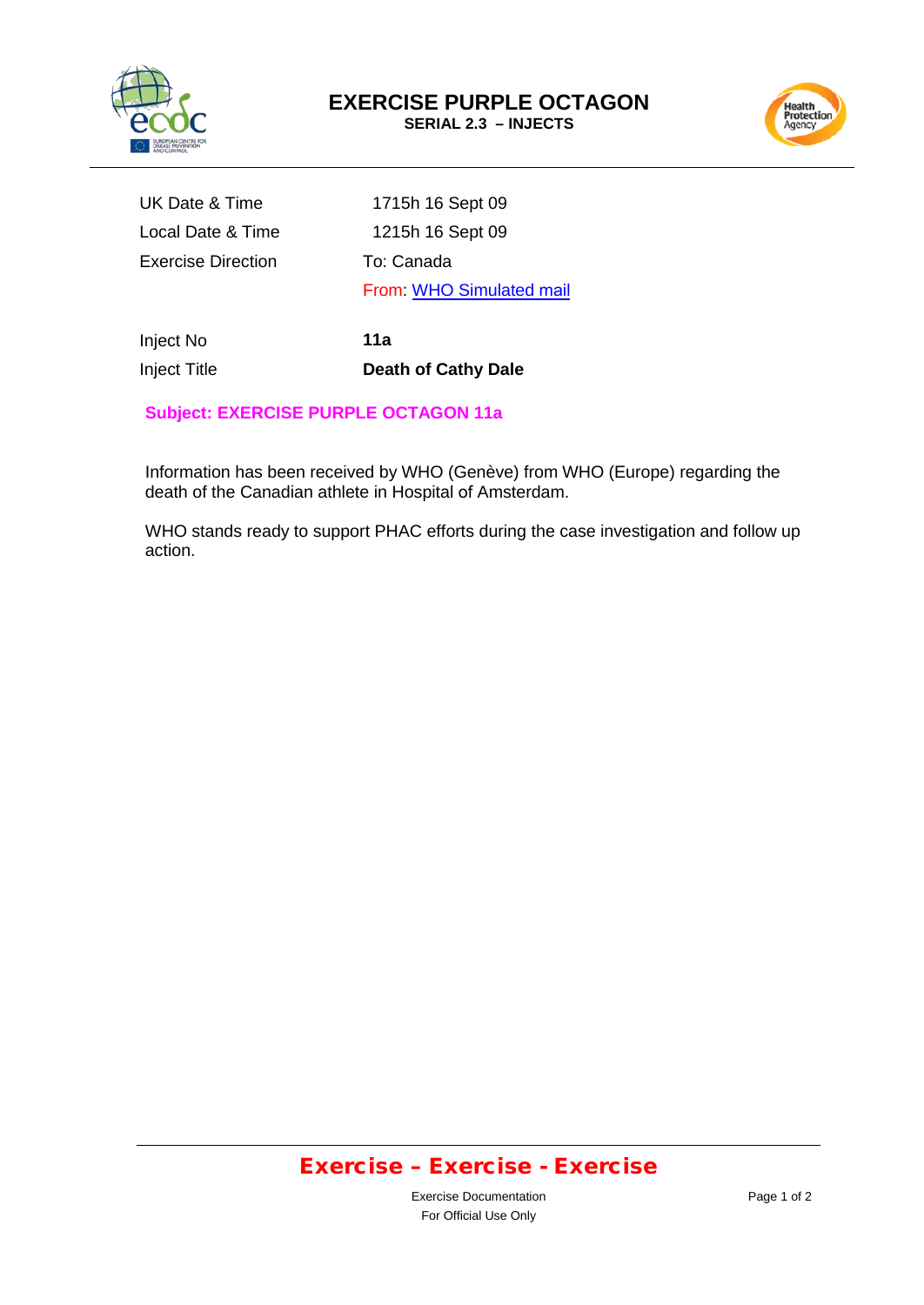



UK Date & Time 1715h 16 Sept 09 Local Date & Time Exercise Direction

 1215h 16 Sept 09 To: Canada From: WHO [Simulated](mailto:WHO.Simulated@hpa.org.uk) mail

Inject No Inject Title **11a Death of Cathy Dale**

### **Subject: EXERCISE PURPLE OCTAGON 11a**

Information has been received by WHO (Genève) from WHO (Europe) regarding the death of the Canadian athlete in Hospital of Amsterdam.

WHO stands ready to support PHAC efforts during the case investigation and follow up action.

### Exercise – Exercise - Exercise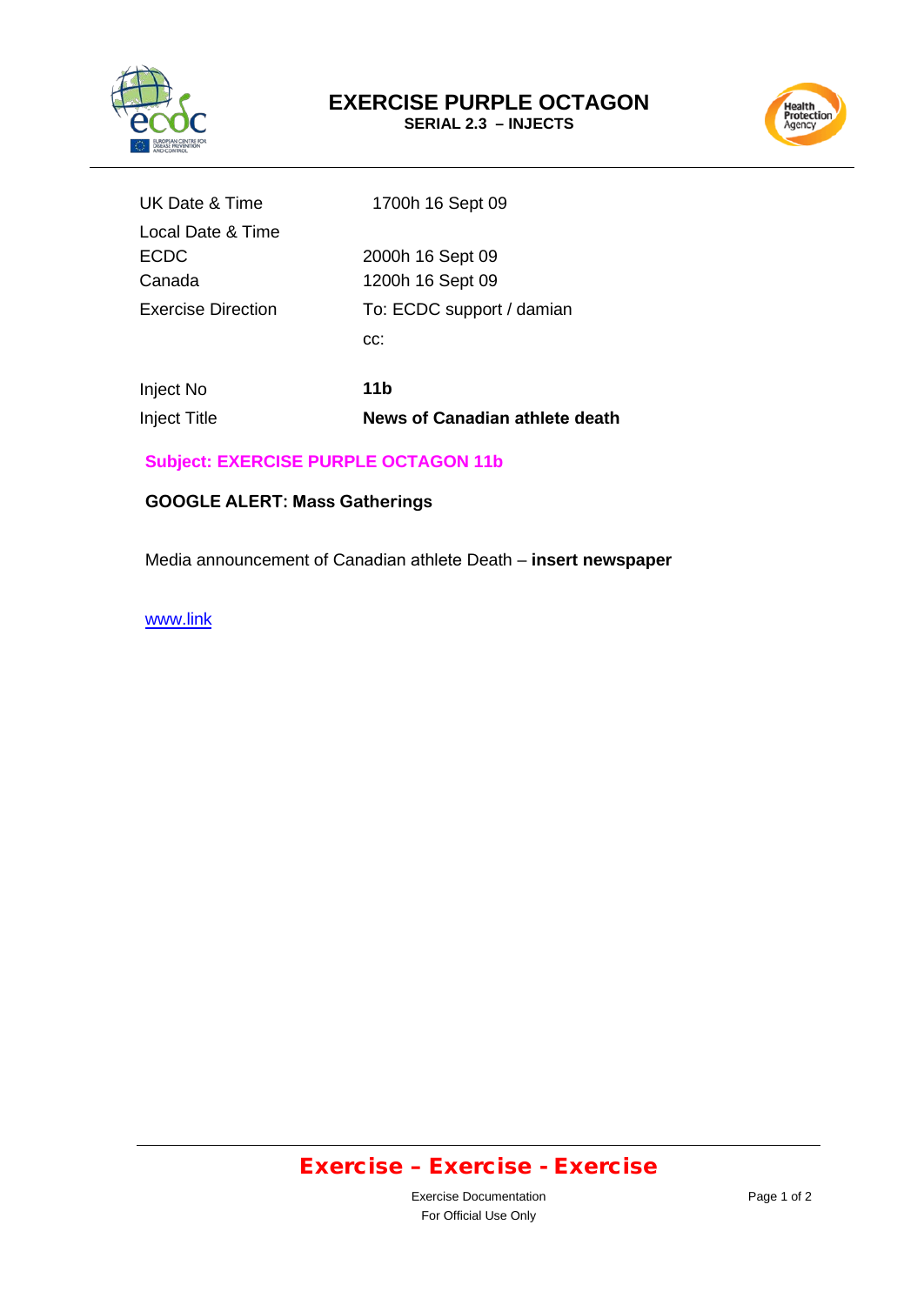

# **EXERCISE PURPLE OCTAGON**

**SERIAL 2.3 – INJECTS**



| UK Date & Time     | 1700h 16 Sept 09          |
|--------------------|---------------------------|
| Local Date & Time  |                           |
| <b>ECDC</b>        | 2000h 16 Sept 09          |
| Canada             | 1200h 16 Sept 09          |
| Exercise Direction | To: ECDC support / damian |
|                    | CC:                       |
|                    |                           |

Inject No Inject Title

**11b News of Canadian athlete death** 

### **Subject: EXERCISE PURPLE OCTAGON 11b**

### **GOOGLE ALERT: Mass Gatherings**

Media announcement of Canadian athlete Death – **insert newspaper**

[www.link](http://www.link/)

# Exercise – Exercise - Exercise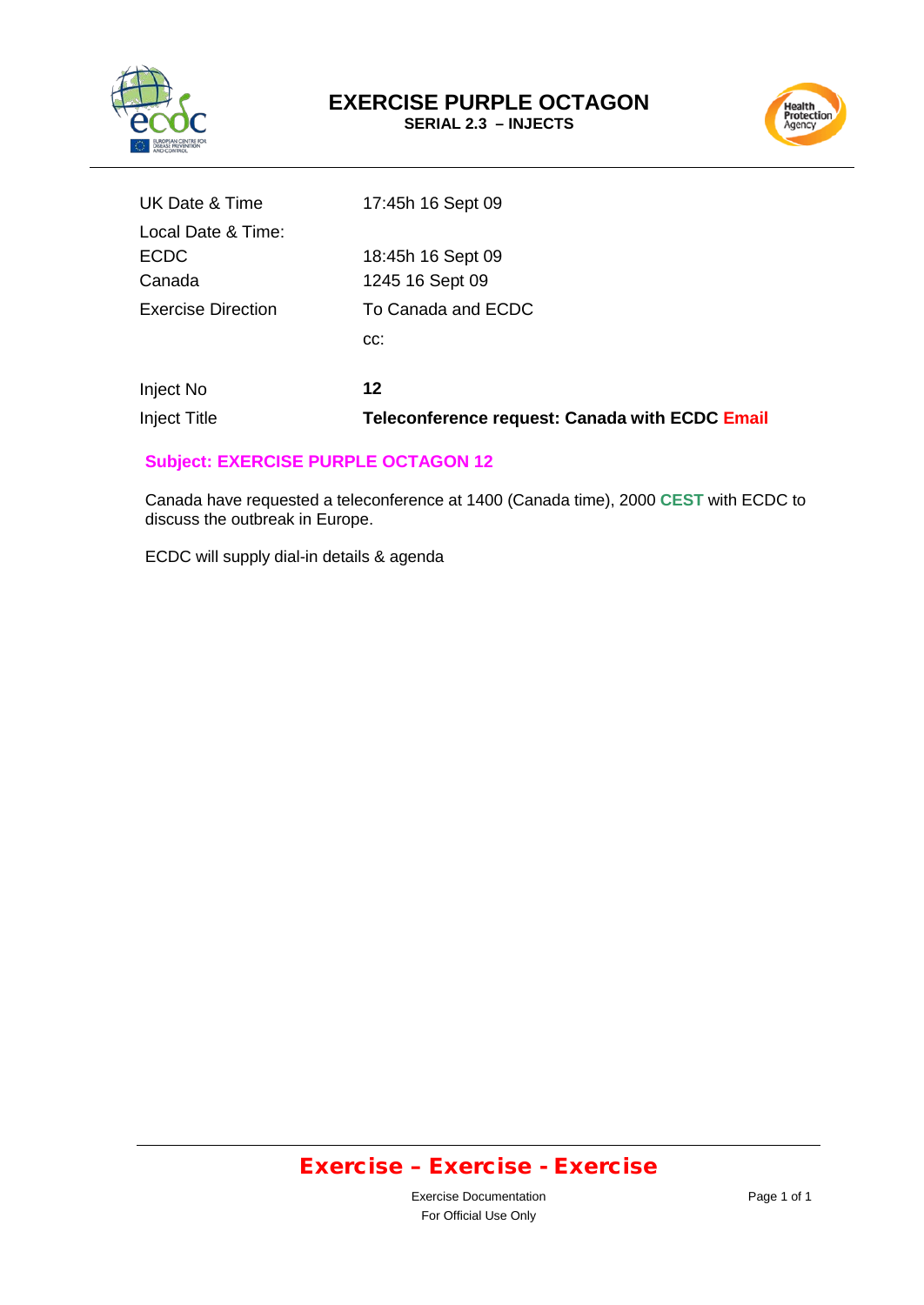



| Inject No                 | 12                 |
|---------------------------|--------------------|
|                           | CC:                |
| <b>Exercise Direction</b> | To Canada and ECDC |
| Canada                    | 1245 16 Sept 09    |
| <b>ECDC</b>               | 18:45h 16 Sept 09  |
| Local Date & Time:        |                    |
| UK Date & Time            | 17:45h 16 Sept 09  |

### **Inject Title <b>Transf Teleconference request: Canada with ECDC Email**

#### **Subject: EXERCISE PURPLE OCTAGON 12**

Canada have requested a teleconference at 1400 (Canada time), 2000 **CEST** with ECDC to discuss the outbreak in Europe.

ECDC will supply dial-in details & agenda

# Exercise – Exercise - Exercise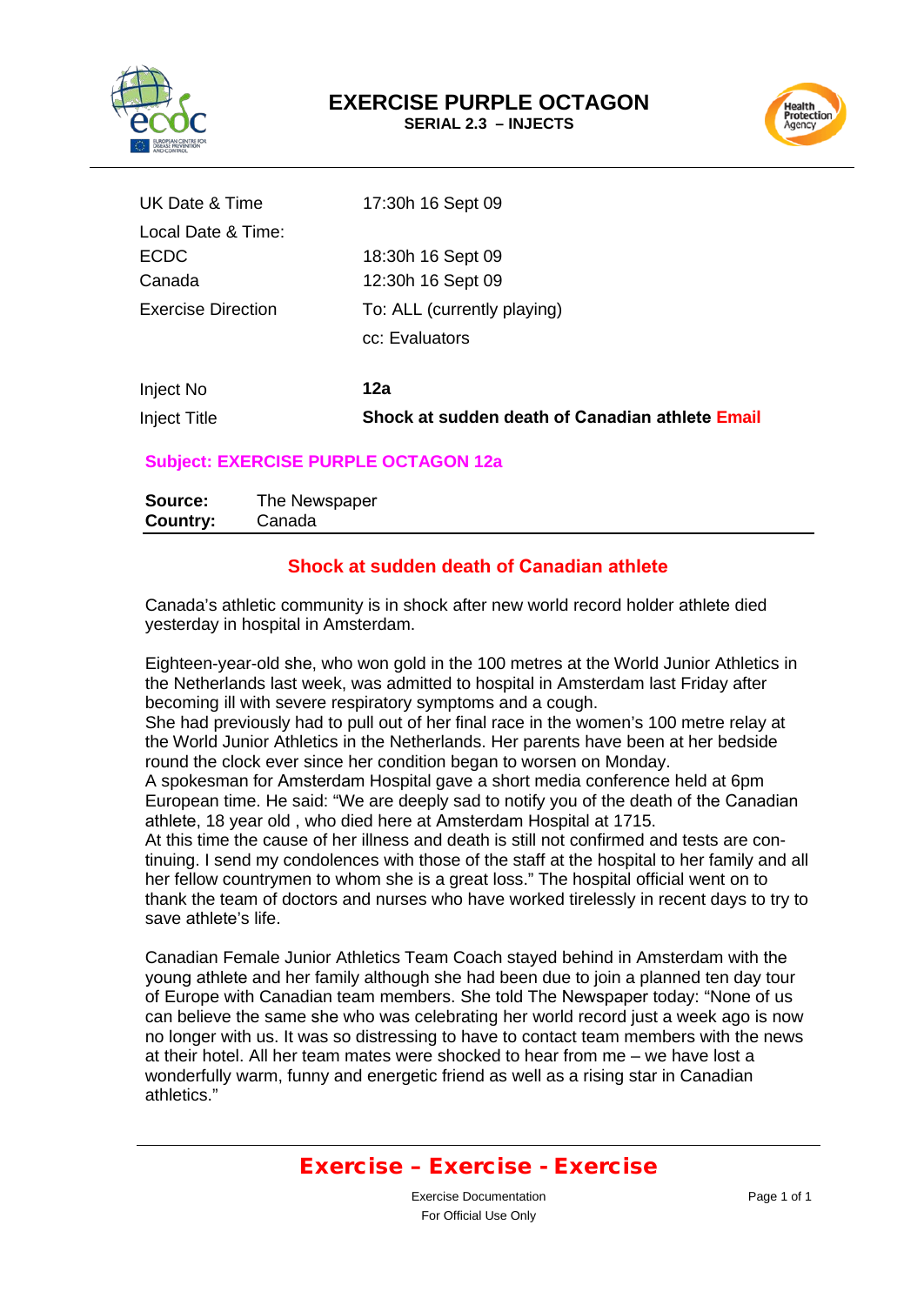



| <b>Inject Title</b>       | Shock at sudden death of Canadian athlete Email |
|---------------------------|-------------------------------------------------|
| Inject No                 | 12a                                             |
|                           | cc: Evaluators                                  |
| <b>Exercise Direction</b> | To: ALL (currently playing)                     |
| Canada                    | 12:30h 16 Sept 09                               |
| <b>ECDC</b>               | 18:30h 16 Sept 09                               |
| Local Date & Time:        |                                                 |
| UK Date & Time            | 17:30h 16 Sept 09                               |

#### **Subject: EXERCISE PURPLE OCTAGON 12a**

| Source:  | The Newspaper |
|----------|---------------|
| Country: | Canada        |

#### **Shock at sudden death of Canadian athlete**

Canada's athletic community is in shock after new world record holder athlete died yesterday in hospital in Amsterdam.

Eighteen-year-old she, who won gold in the 100 metres at the World Junior Athletics in the Netherlands last week, was admitted to hospital in Amsterdam last Friday after becoming ill with severe respiratory symptoms and a cough. She had previously had to pull out of her final race in the women's 100 metre relay at the World Junior Athletics in the Netherlands. Her parents have been at her bedside round the clock ever since her condition began to worsen on Monday. A spokesman for Amsterdam Hospital gave a short media conference held at 6pm European time. He said: "We are deeply sad to notify you of the death of the Canadian athlete, 18 year old , who died here at Amsterdam Hospital at 1715. At this time the cause of her illness and death is still not confirmed and tests are continuing. I send my condolences with those of the staff at the hospital to her family and all her fellow countrymen to whom she is a great loss." The hospital official went on to thank the team of doctors and nurses who have worked tirelessly in recent days to try to save athlete's life.

Canadian Female Junior Athletics Team Coach stayed behind in Amsterdam with the young athlete and her family although she had been due to join a planned ten day tour of Europe with Canadian team members. She told The Newspaper today: "None of us can believe the same she who was celebrating her world record just a week ago is now no longer with us. It was so distressing to have to contact team members with the news at their hotel. All her team mates were shocked to hear from me – we have lost a wonderfully warm, funny and energetic friend as well as a rising star in Canadian athletics."

### Exercise – Exercise - Exercise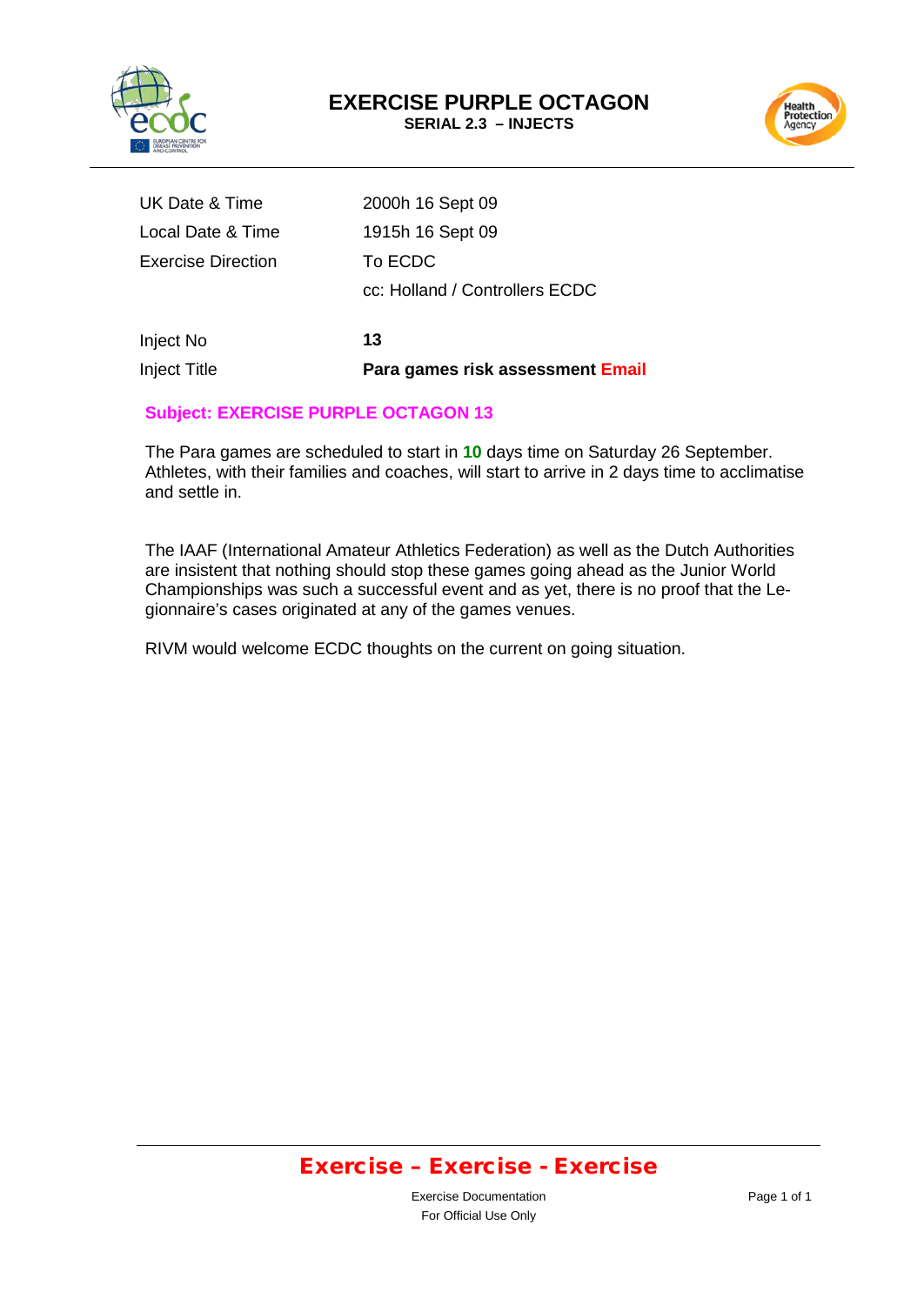



| Inject Title              | Para games risk assessment Email |
|---------------------------|----------------------------------|
| Inject No                 | 13                               |
|                           | cc: Holland / Controllers ECDC   |
| <b>Exercise Direction</b> | To ECDC                          |
| Local Date & Time         | 1915h 16 Sept 09                 |
| UK Date & Time            | 2000h 16 Sept 09                 |

#### **Subject: EXERCISE PURPLE OCTAGON 13**

The Para games are scheduled to start in **10** days time on Saturday 26 September. Athletes, with their families and coaches, will start to arrive in 2 days time to acclimatise and settle in.

The IAAF (International Amateur Athletics Federation) as well as the Dutch Authorities are insistent that nothing should stop these games going ahead as the Junior World Championships was such a successful event and as yet, there is no proof that the Legionnaire's cases originated at any of the games venues.

RIVM would welcome ECDC thoughts on the current on going situation.

### Exercise – Exercise - Exercise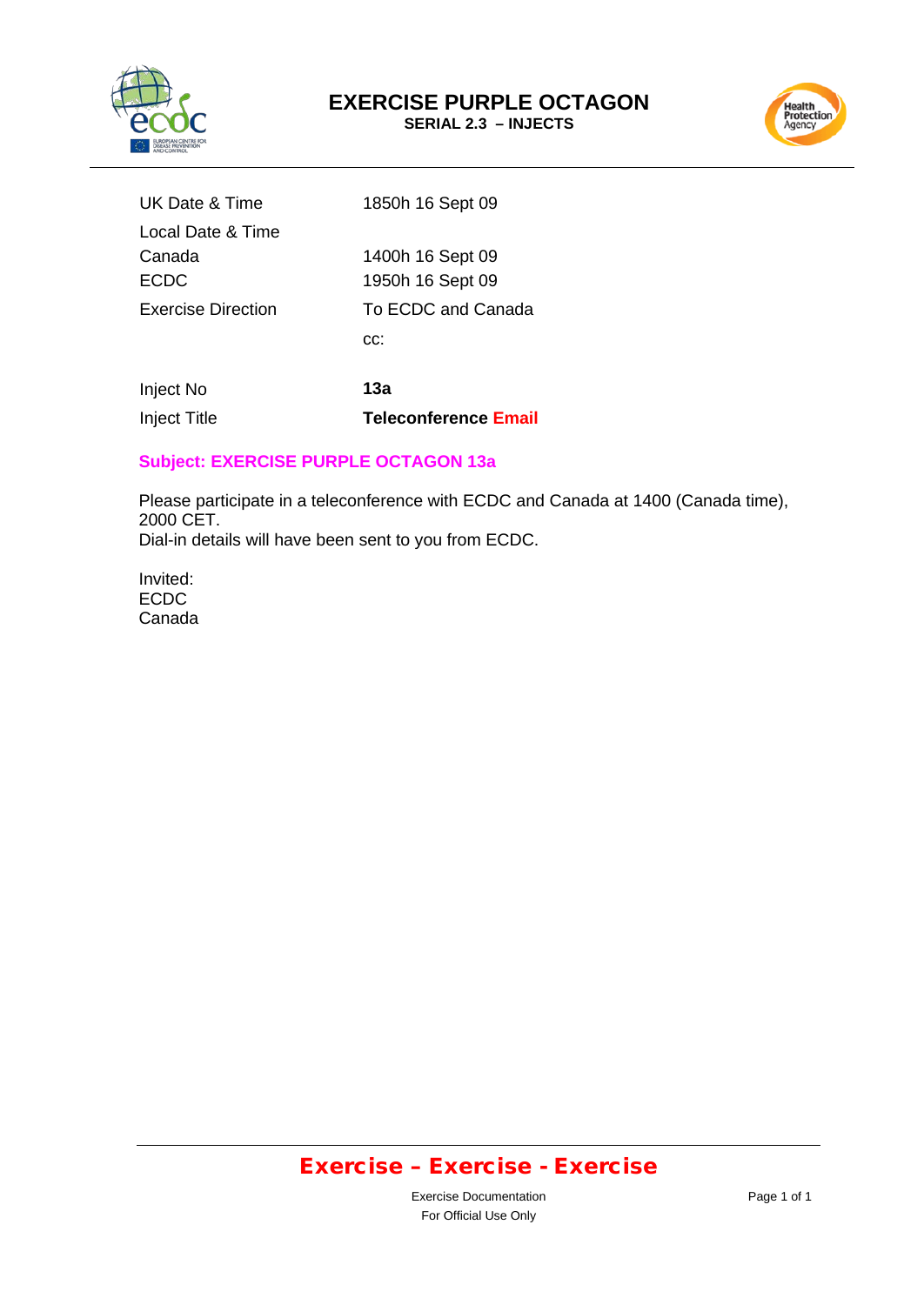



| UK Date & Time     | 1850h 16 Sept 09   |
|--------------------|--------------------|
| Local Date & Time  |                    |
| Canada             | 1400h 16 Sept 09   |
| <b>ECDC</b>        | 1950h 16 Sept 09   |
| Exercise Direction | To ECDC and Canada |
|                    | CC.                |
|                    |                    |

Inject No **13a** Inject Title **Teleconference Email**

### **Subject: EXERCISE PURPLE OCTAGON 13a**

Please participate in a teleconference with ECDC and Canada at 1400 (Canada time), 2000 CET. Dial-in details will have been sent to you from ECDC.

Invited: ECDC Canada

# Exercise – Exercise - Exercise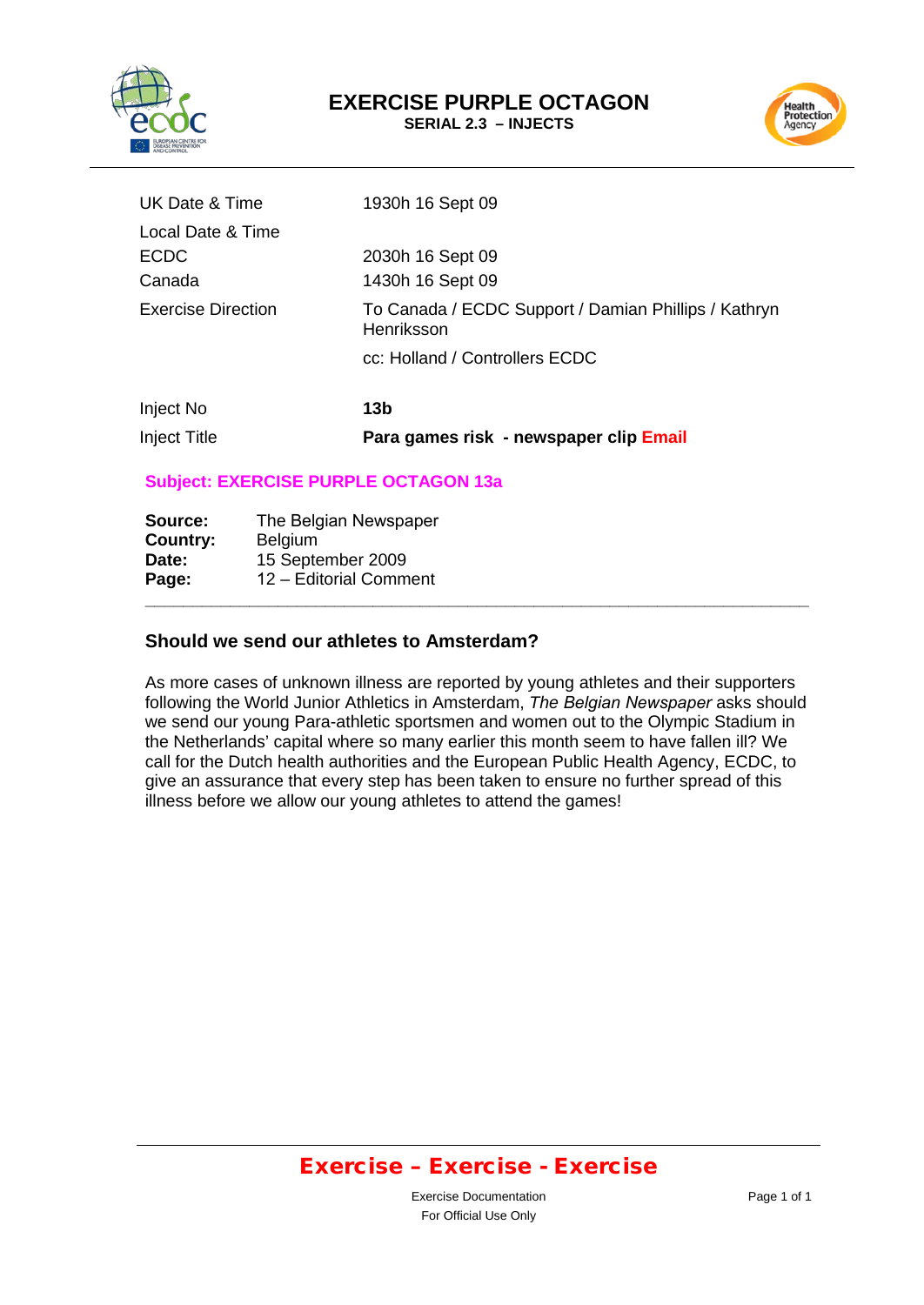



| <b>Inject Title</b>       | Para games risk - newspaper clip Email                             |
|---------------------------|--------------------------------------------------------------------|
| Inject No                 | 13 <sub>b</sub>                                                    |
|                           | cc: Holland / Controllers ECDC                                     |
| <b>Exercise Direction</b> | To Canada / ECDC Support / Damian Phillips / Kathryn<br>Henriksson |
| Canada                    | 1430h 16 Sept 09                                                   |
| <b>ECDC</b>               | 2030h 16 Sept 09                                                   |
| Local Date & Time         |                                                                    |
| UK Date & Time            | 1930h 16 Sept 09                                                   |

### **Subject: EXERCISE PURPLE OCTAGON 13a**

| Source:  | The Belgian Newspaper  |
|----------|------------------------|
| Country: | <b>Belgium</b>         |
| Date:    | 15 September 2009      |
| Page:    | 12 - Editorial Comment |
|          |                        |

#### **Should we send our athletes to Amsterdam?**

As more cases of unknown illness are reported by young athletes and their supporters following the World Junior Athletics in Amsterdam, *The Belgian Newspaper* asks should we send our young Para-athletic sportsmen and women out to the Olympic Stadium in the Netherlands' capital where so many earlier this month seem to have fallen ill? We call for the Dutch health authorities and the European Public Health Agency, ECDC, to give an assurance that every step has been taken to ensure no further spread of this illness before we allow our young athletes to attend the games!

### Exercise – Exercise - Exercise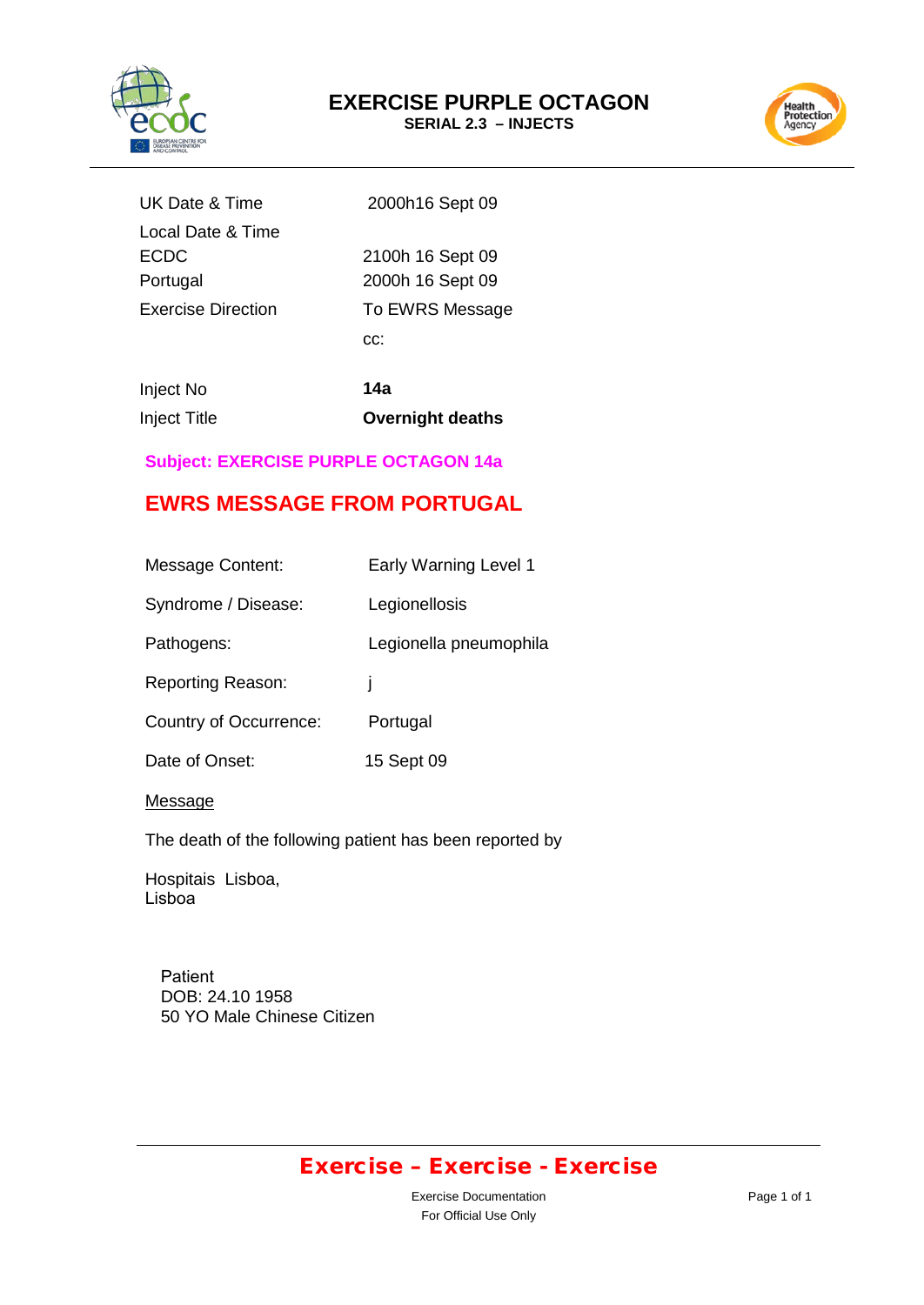



| UK Date & Time     | 2000h16 Sept 09  |
|--------------------|------------------|
| Local Date & Time  |                  |
| <b>ECDC</b>        | 2100h 16 Sept 09 |
| Portugal           | 2000h 16 Sept 09 |
| Exercise Direction | To EWRS Message  |
|                    | CC.              |
|                    |                  |

| Inject No           | 14a                     |
|---------------------|-------------------------|
| <b>Inject Title</b> | <b>Overnight deaths</b> |

### **Subject: EXERCISE PURPLE OCTAGON 14a**

### **EWRS MESSAGE FROM PORTUGAL**

| Message Content:         | <b>Early Warning Level 1</b> |
|--------------------------|------------------------------|
| Syndrome / Disease:      | Legionellosis                |
| Pathogens:               | Legionella pneumophila       |
| <b>Reporting Reason:</b> | ı                            |
| Country of Occurrence:   | Portugal                     |
| Date of Onset:           | 15 Sept 09                   |
|                          |                              |

#### **Message**

The death of the following patient has been reported by

Hospitais Lisboa, Lisboa

> Patient DOB: 24.10 1958 50 YO Male Chinese Citizen

# Exercise – Exercise - Exercise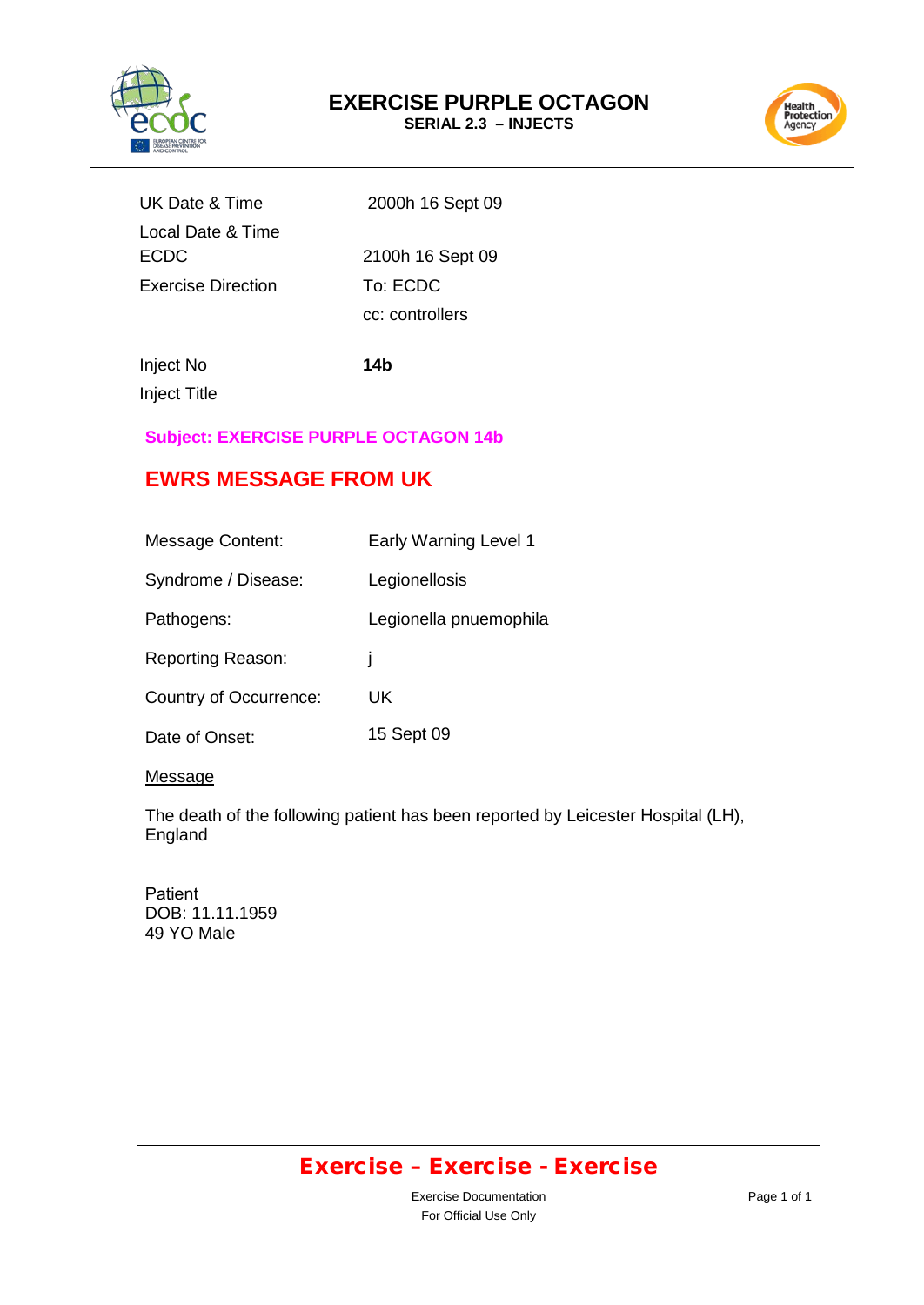



| UK Date & Time            | 2000h 16 Sept 09 |
|---------------------------|------------------|
| Local Date & Time         |                  |
| <b>ECDC</b>               | 2100h 16 Sept 09 |
| <b>Exercise Direction</b> | To: ECDC         |
|                           | cc: controllers  |

Inject No **14b**

Inject Title

### **Subject: EXERCISE PURPLE OCTAGON 14b**

# **EWRS MESSAGE FROM UK**

| <b>Message Content:</b>       | <b>Early Warning Level 1</b> |
|-------------------------------|------------------------------|
| Syndrome / Disease:           | Legionellosis                |
| Pathogens:                    | Legionella pnuemophila       |
| <b>Reporting Reason:</b>      | ı                            |
| <b>Country of Occurrence:</b> | UK                           |
| Date of Onset:                | 15 Sept 09                   |

#### Message

The death of the following patient has been reported by Leicester Hospital (LH), England

Patient DOB: 11.11.1959 49 YO Male

# Exercise – Exercise - Exercise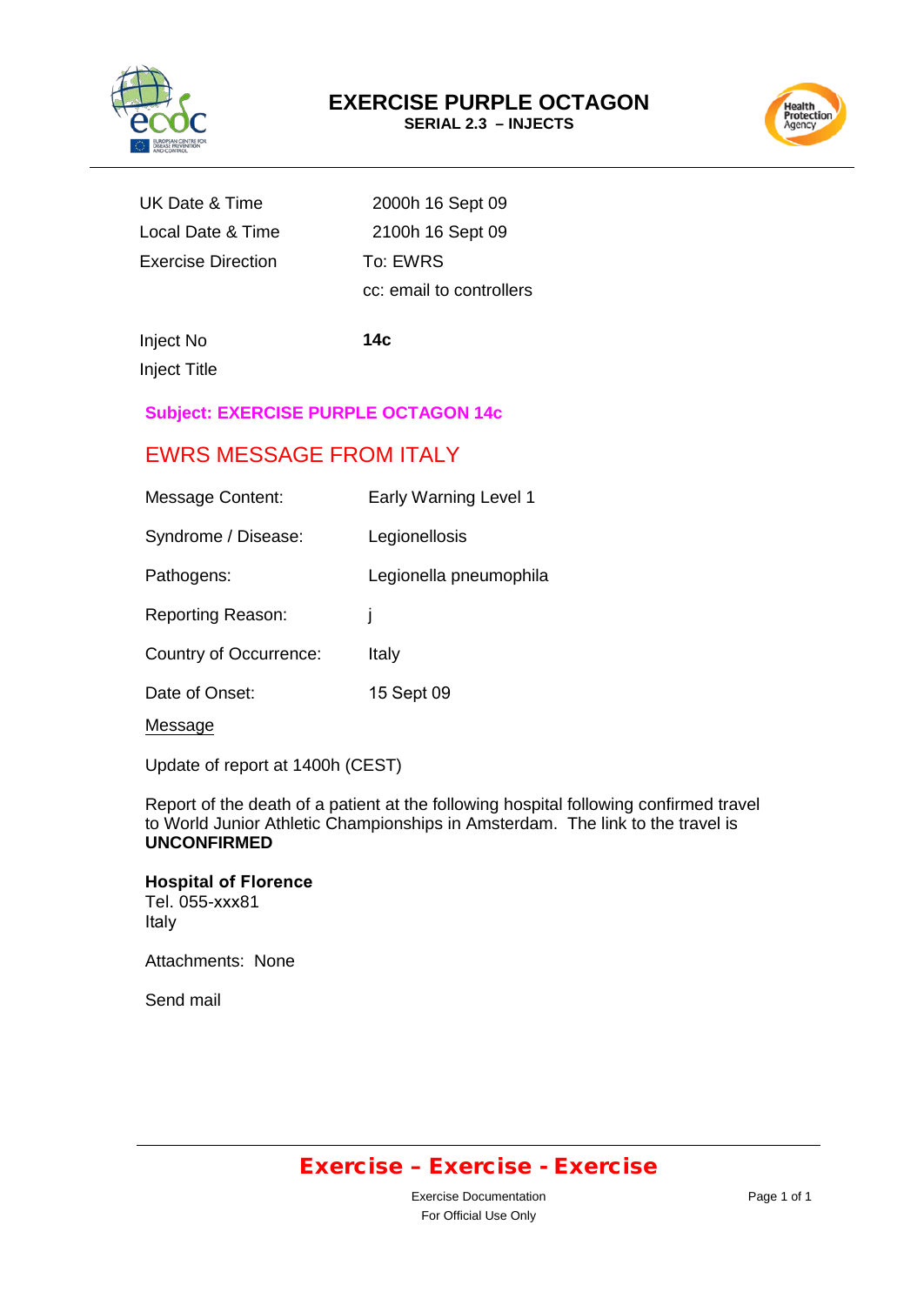

# **EXERCISE PURPLE OCTAGON**

**SERIAL 2.3 – INJECTS**



| UK Date & Time            | 2000h 16      |
|---------------------------|---------------|
| Local Date & Time         | 2100h 16      |
| <b>Exercise Direction</b> | To: EWRS      |
|                           | باللحميم بمما |

6 Sept 09 6 Sept 09 cc: email to controllers

Inject No **14c** Inject Title

### **Subject: EXERCISE PURPLE OCTAGON 14c**

### EWRS MESSAGE FROM ITALY

| <b>Message Content:</b>  | Early Warning Level 1  |
|--------------------------|------------------------|
| Syndrome / Disease:      | Legionellosis          |
| Pathogens:               | Legionella pneumophila |
| <b>Reporting Reason:</b> | ı                      |
| Country of Occurrence:   | Italy                  |
| Date of Onset:           | 15 Sept 09             |
| Message                  |                        |

Update of report at 1400h (CEST)

Report of the death of a patient at the following hospital following confirmed travel to World Junior Athletic Championships in Amsterdam. The link to the travel is **UNCONFIRMED**

**Hospital of Florence** Tel. 055-xxx81 Italy

Attachments: None

Send mail

### Exercise – Exercise - Exercise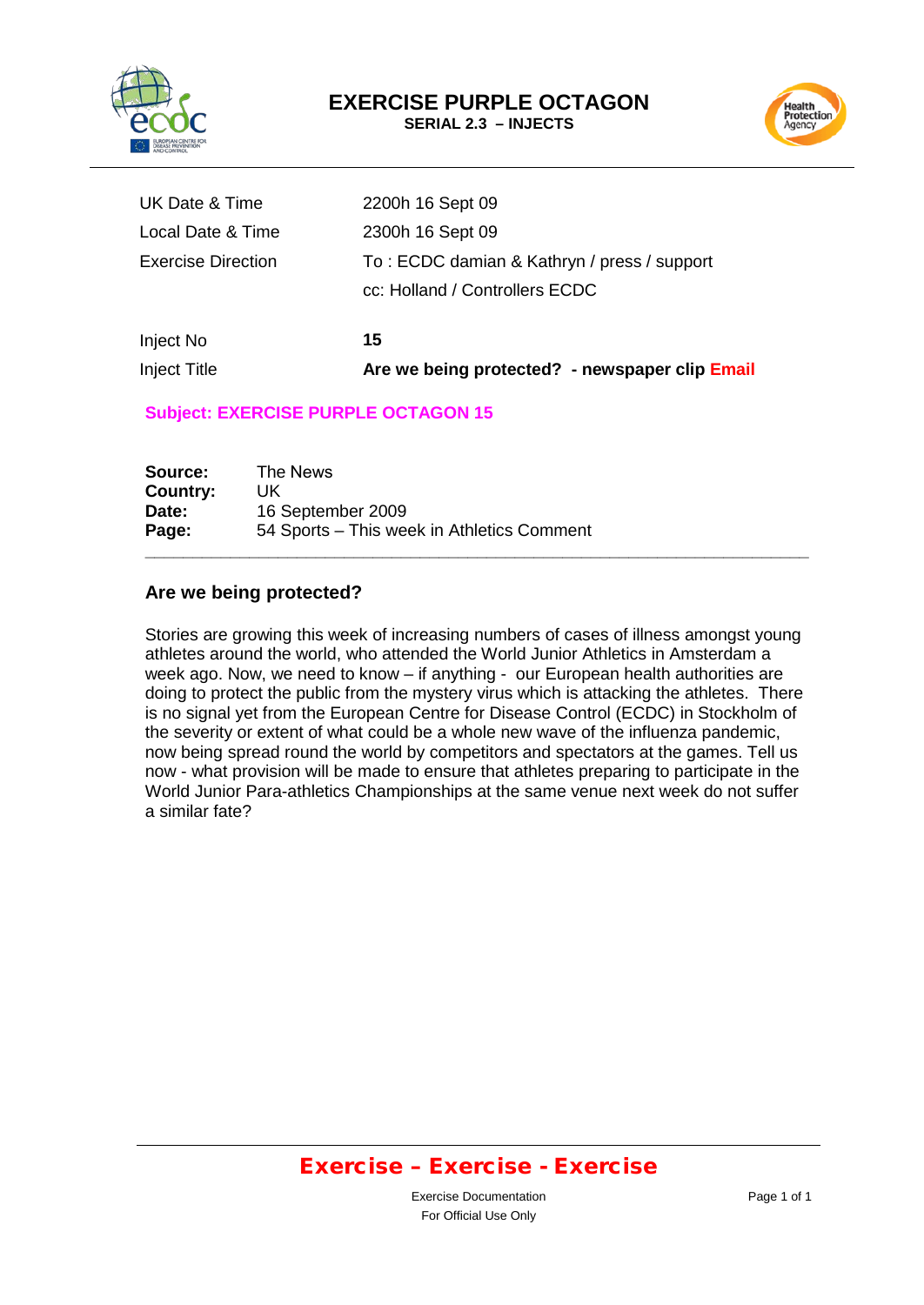

# **EXERCISE PURPLE OCTAGON**

**SERIAL 2.3 – INJECTS**



| <b>Inject Title</b>       | Are we being protected? - newspaper clip Email |
|---------------------------|------------------------------------------------|
| Inject No                 | 15                                             |
|                           | cc: Holland / Controllers ECDC                 |
| <b>Exercise Direction</b> | To: ECDC damian & Kathryn / press / support    |
| Local Date & Time         | 2300h 16 Sept 09                               |
| UK Date & Time            | 2200h 16 Sept 09                               |

#### **Subject: EXERCISE PURPLE OCTAGON 15**

| Source:  | The News                                   |
|----------|--------------------------------------------|
| Country: | UK.                                        |
| Date:    | 16 September 2009                          |
| Page:    | 54 Sports - This week in Athletics Comment |

#### **Are we being protected?**

Stories are growing this week of increasing numbers of cases of illness amongst young athletes around the world, who attended the World Junior Athletics in Amsterdam a week ago. Now, we need to know – if anything - our European health authorities are doing to protect the public from the mystery virus which is attacking the athletes. There is no signal yet from the European Centre for Disease Control (ECDC) in Stockholm of the severity or extent of what could be a whole new wave of the influenza pandemic, now being spread round the world by competitors and spectators at the games. Tell us now - what provision will be made to ensure that athletes preparing to participate in the World Junior Para-athletics Championships at the same venue next week do not suffer a similar fate?

**\_\_\_\_\_\_\_\_\_\_\_\_\_\_\_\_\_\_\_\_\_\_\_\_\_\_\_\_\_\_\_\_\_\_\_\_\_\_\_\_\_\_\_\_\_\_\_\_\_\_\_\_\_\_\_\_\_\_\_\_\_\_\_\_\_\_\_\_\_\_**

### Exercise – Exercise - Exercise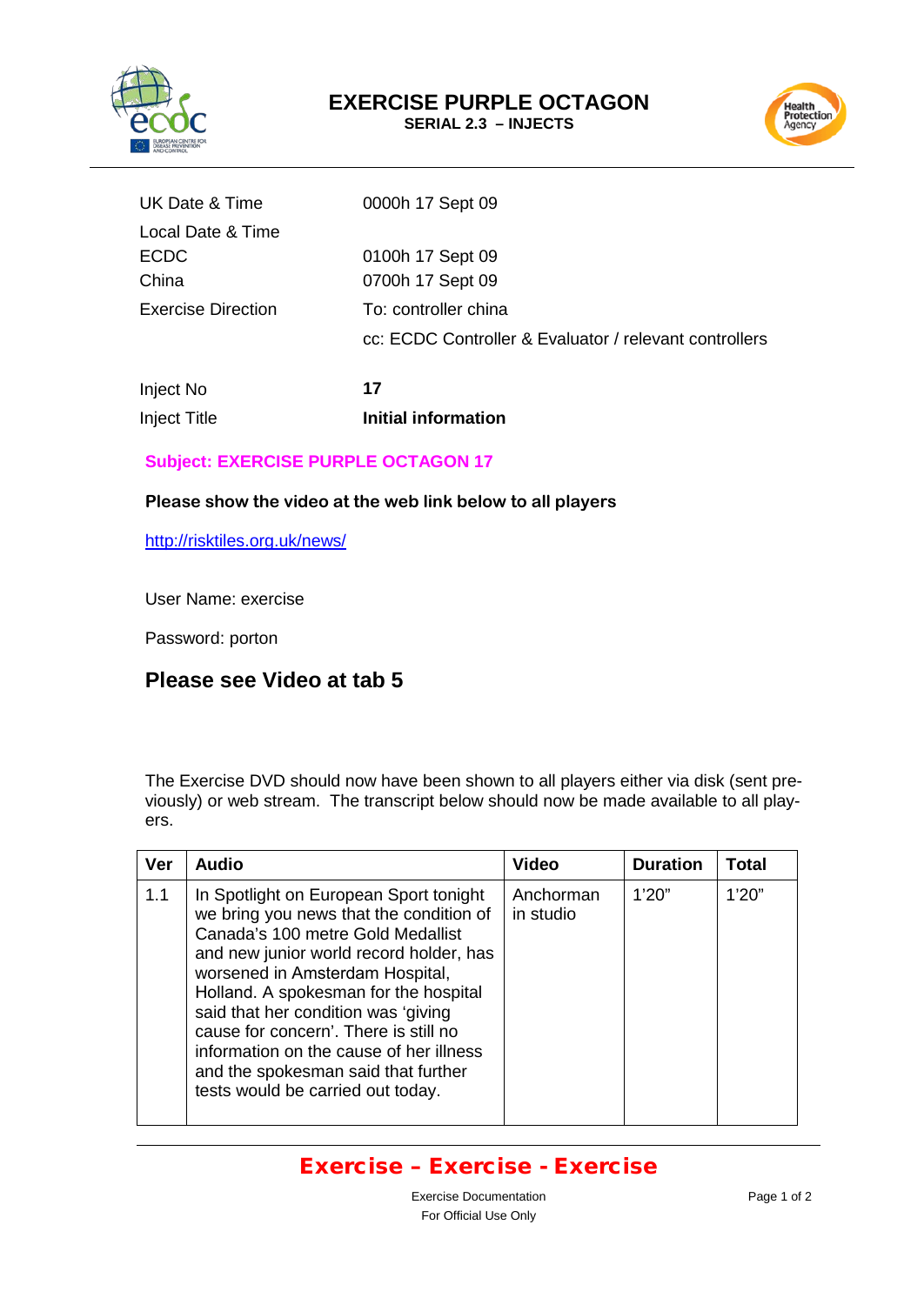



| UK Date & Time            | 0000h 17 Sept 09                                       |
|---------------------------|--------------------------------------------------------|
| Local Date & Time         |                                                        |
| ECDC                      | 0100h 17 Sept 09                                       |
| China                     | 0700h 17 Sept 09                                       |
| <b>Exercise Direction</b> | To: controller china                                   |
|                           | cc: ECDC Controller & Evaluator / relevant controllers |
|                           |                                                        |

| Inject No    | 17                  |
|--------------|---------------------|
| Inject Title | Initial information |

### **Subject: EXERCISE PURPLE OCTAGON 17**

#### **Please show the video at the web link below to all players**

<http://risktiles.org.uk/news/>

User Name: exercise

Password: porton

### **Please see Video at tab 5**

The Exercise DVD should now have been shown to all players either via disk (sent previously) or web stream. The transcript below should now be made available to all players.

| <b>Ver</b> | <b>Audio</b>                                                                                                                                                                                                                                                                                                                                                                                                                                         | <b>Video</b>           | <b>Duration</b> | Total |
|------------|------------------------------------------------------------------------------------------------------------------------------------------------------------------------------------------------------------------------------------------------------------------------------------------------------------------------------------------------------------------------------------------------------------------------------------------------------|------------------------|-----------------|-------|
| 1.1        | In Spotlight on European Sport tonight<br>we bring you news that the condition of<br>Canada's 100 metre Gold Medallist<br>and new junior world record holder, has<br>worsened in Amsterdam Hospital,<br>Holland. A spokesman for the hospital<br>said that her condition was 'giving<br>cause for concern'. There is still no<br>information on the cause of her illness<br>and the spokesman said that further<br>tests would be carried out today. | Anchorman<br>in studio | 1'20"           | 1'20" |

### Exercise – Exercise - Exercise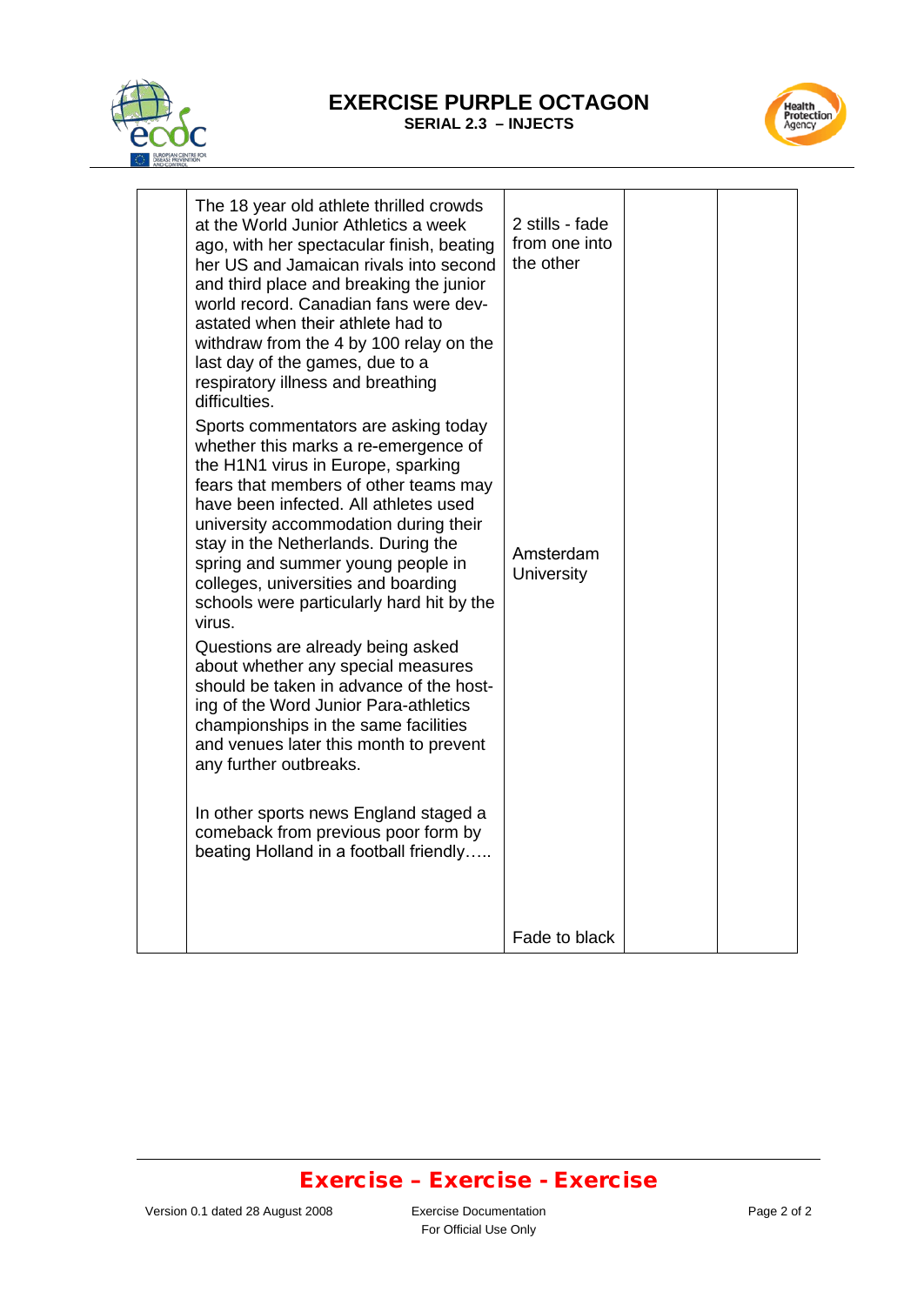

#### **EXERCISE PURPLE OCTAGON SERIAL 2.3 – INJECTS**



| The 18 year old athlete thrilled crowds<br>at the World Junior Athletics a week<br>ago, with her spectacular finish, beating<br>her US and Jamaican rivals into second<br>and third place and breaking the junior<br>world record. Canadian fans were dev-<br>astated when their athlete had to<br>withdraw from the 4 by 100 relay on the<br>last day of the games, due to a<br>respiratory illness and breathing<br>difficulties.<br>Sports commentators are asking today<br>whether this marks a re-emergence of<br>the H1N1 virus in Europe, sparking<br>fears that members of other teams may<br>have been infected. All athletes used<br>university accommodation during their<br>stay in the Netherlands. During the<br>spring and summer young people in<br>colleges, universities and boarding<br>schools were particularly hard hit by the<br>virus.<br>Questions are already being asked<br>about whether any special measures<br>should be taken in advance of the host-<br>ing of the Word Junior Para-athletics<br>championships in the same facilities<br>and venues later this month to prevent<br>any further outbreaks.<br>In other sports news England staged a<br>comeback from previous poor form by<br>beating Holland in a football friendly | 2 stills - fade<br>from one into<br>the other<br>Amsterdam<br>University |  |
|---------------------------------------------------------------------------------------------------------------------------------------------------------------------------------------------------------------------------------------------------------------------------------------------------------------------------------------------------------------------------------------------------------------------------------------------------------------------------------------------------------------------------------------------------------------------------------------------------------------------------------------------------------------------------------------------------------------------------------------------------------------------------------------------------------------------------------------------------------------------------------------------------------------------------------------------------------------------------------------------------------------------------------------------------------------------------------------------------------------------------------------------------------------------------------------------------------------------------------------------------------------------|--------------------------------------------------------------------------|--|
|                                                                                                                                                                                                                                                                                                                                                                                                                                                                                                                                                                                                                                                                                                                                                                                                                                                                                                                                                                                                                                                                                                                                                                                                                                                                     | Fade to black                                                            |  |

### Exercise – Exercise - Exercise

For Official Use Only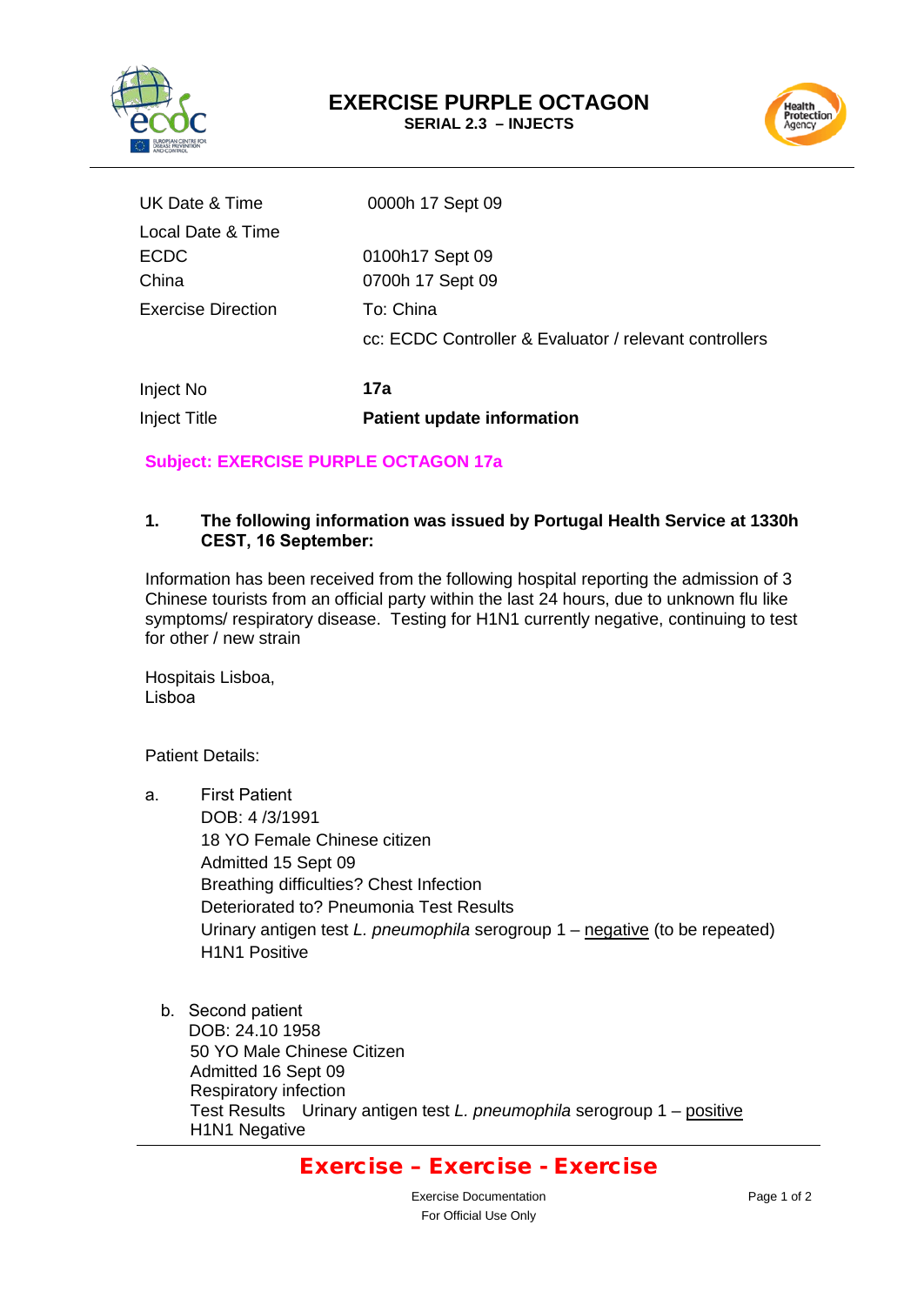



| Inject No                 | 17a                                                    |
|---------------------------|--------------------------------------------------------|
|                           | cc: ECDC Controller & Evaluator / relevant controllers |
| <b>Exercise Direction</b> | To: China                                              |
| China                     | 0700h 17 Sept 09                                       |
| <b>ECDC</b>               | 0100h17 Sept 09                                        |
| Local Date & Time         |                                                        |
| UK Date & Time            | 0000h 17 Sept 09                                       |
|                           |                                                        |

**Subject: EXERCISE PURPLE OCTAGON 17a** 

Inject Title **Patient update information**

#### **1. The following information was issued by Portugal Health Service at 1330h CEST, 16 September:**

Information has been received from the following hospital reporting the admission of 3 Chinese tourists from an official party within the last 24 hours, due to unknown flu like symptoms/ respiratory disease. Testing for H1N1 currently negative, continuing to test for other / new strain

Hospitais Lisboa, Lisboa

Patient Details:

- a. First Patient DOB: 4 /3/1991 18 YO Female Chinese citizen Admitted 15 Sept 09 Breathing difficulties? Chest Infection Deteriorated to? Pneumonia Test Results Urinary antigen test *L. pneumophila* serogroup 1 – negative (to be repeated) H1N1 Positive
	- b. Second patient DOB: 24.10 1958 50 YO Male Chinese Citizen Admitted 16 Sept 09 Respiratory infection Test Results Urinary antigen test *L. pneumophila* serogroup 1 – positive H1N1 Negative

### Exercise – Exercise - Exercise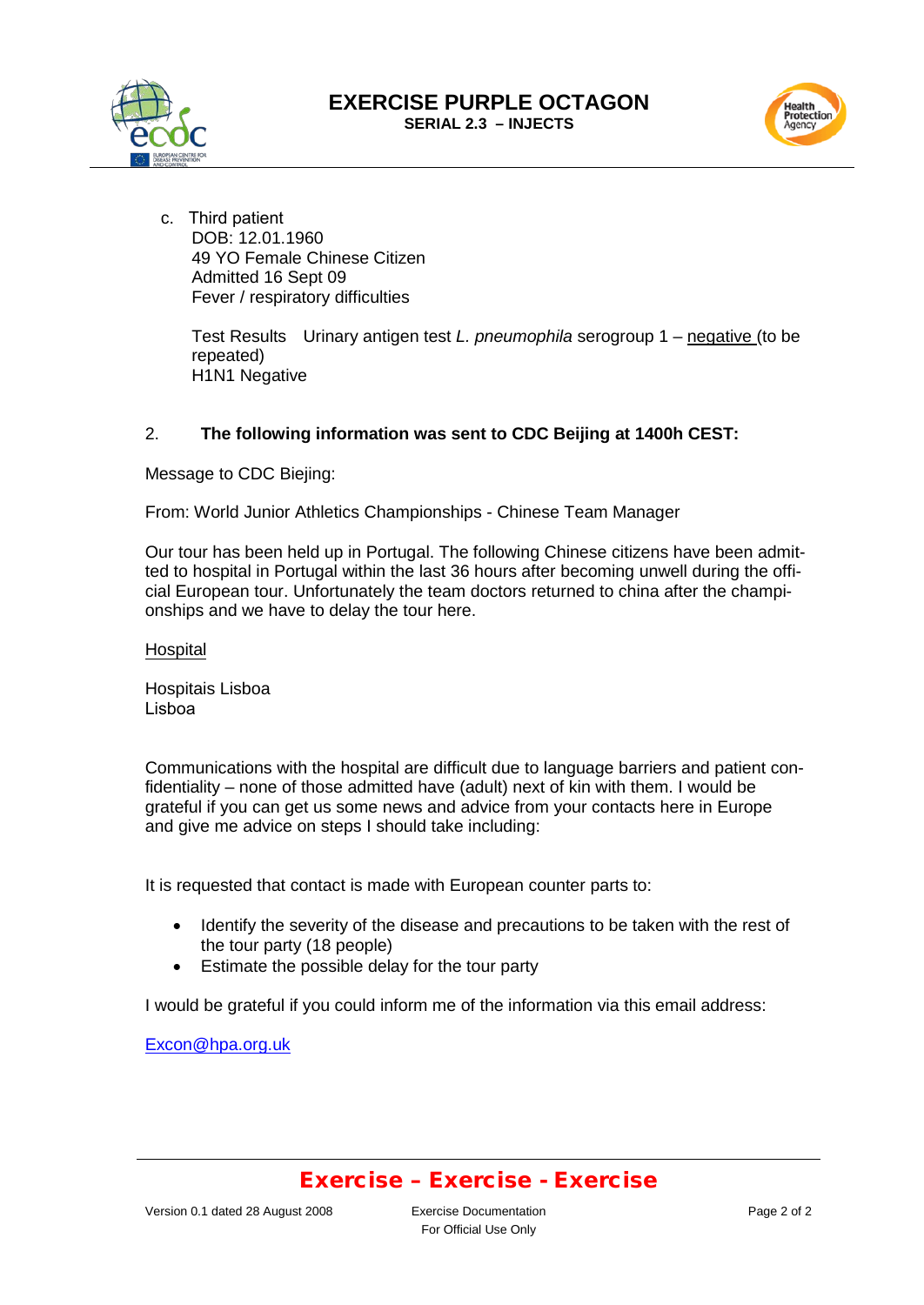





c. Third patient DOB: 12.01.1960 49 YO Female Chinese Citizen Admitted 16 Sept 09 Fever / respiratory difficulties

> Test Results Urinary antigen test *L. pneumophila* serogroup 1 – negative (to be repeated) H1N1 Negative

#### 2. **The following information was sent to CDC Beijing at 1400h CEST:**

Message to CDC Biejing:

From: World Junior Athletics Championships - Chinese Team Manager

Our tour has been held up in Portugal. The following Chinese citizens have been admitted to hospital in Portugal within the last 36 hours after becoming unwell during the official European tour. Unfortunately the team doctors returned to china after the championships and we have to delay the tour here.

**Hospital** 

Hospitais Lisboa Lisboa

Communications with the hospital are difficult due to language barriers and patient confidentiality – none of those admitted have (adult) next of kin with them. I would be grateful if you can get us some news and advice from your contacts here in Europe and give me advice on steps I should take including:

It is requested that contact is made with European counter parts to:

- Identify the severity of the disease and precautions to be taken with the rest of the tour party (18 people)
- Estimate the possible delay for the tour party

I would be grateful if you could inform me of the information via this email address:

[Excon@hpa.org.uk](mailto:Excon@hpa.org.uk)

### Exercise – Exercise - Exercise

Version 0.1 dated 28 August 2008 Exercise Documentation

For Official Use Only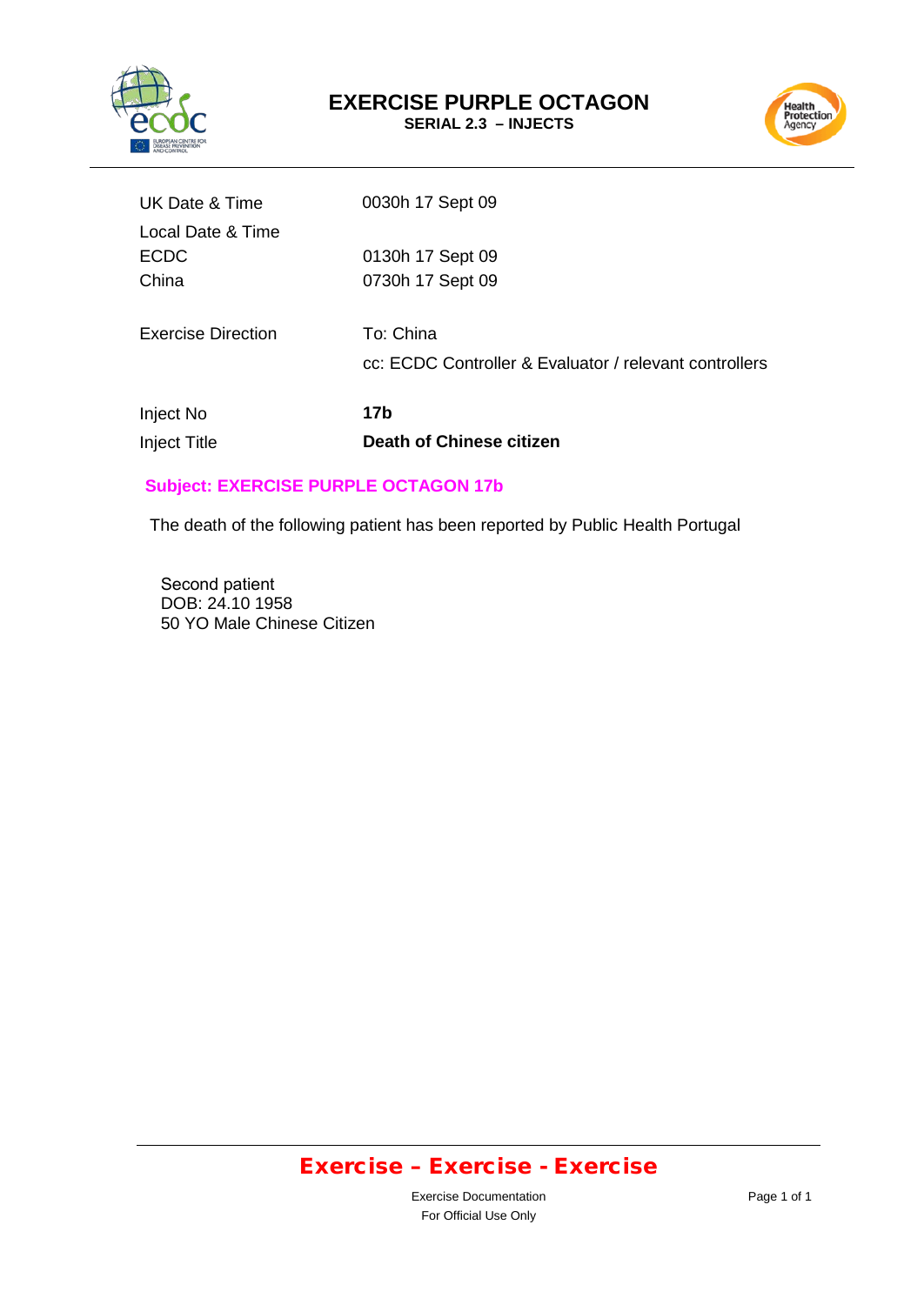



| UK Date & Time            | 0030h 17 Sept 09                                       |
|---------------------------|--------------------------------------------------------|
| Local Date & Time         |                                                        |
| <b>ECDC</b>               | 0130h 17 Sept 09                                       |
| China                     | 0730h 17 Sept 09                                       |
|                           |                                                        |
| <b>Exercise Direction</b> | To: China                                              |
|                           | cc: ECDC Controller & Evaluator / relevant controllers |
|                           |                                                        |
| Inject No                 | 17b                                                    |
| <b>Inject Title</b>       | Death of Chinese citizen                               |
|                           |                                                        |

### **Subject: EXERCISE PURPLE OCTAGON 17b**

The death of the following patient has been reported by Public Health Portugal

Second patient DOB: 24.10 1958 50 YO Male Chinese Citizen

# Exercise – Exercise - Exercise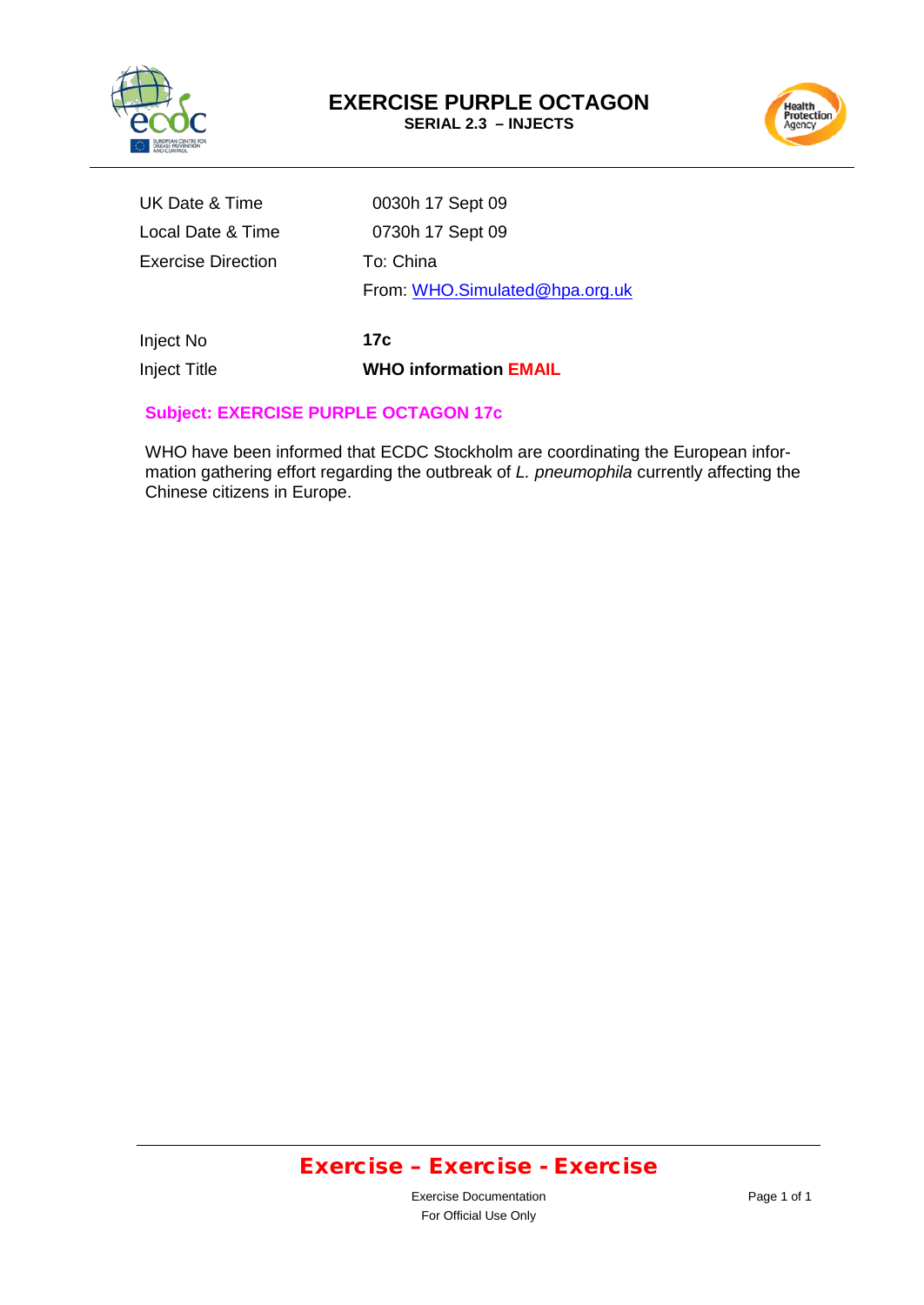



| UK Date & Time            | 0030h 17 Sept 09               |
|---------------------------|--------------------------------|
| Local Date & Time         | 0730h 17 Sept 09               |
| <b>Exercise Direction</b> | To: China                      |
|                           | From: WHO.Simulated@hpa.org.uk |
|                           |                                |

Inject No **17c**

Inject Title **WHO information EMAIL**

### **Subject: EXERCISE PURPLE OCTAGON 17c**

WHO have been informed that ECDC Stockholm are coordinating the European information gathering effort regarding the outbreak of *L. pneumophila* currently affecting the Chinese citizens in Europe.

# Exercise – Exercise - Exercise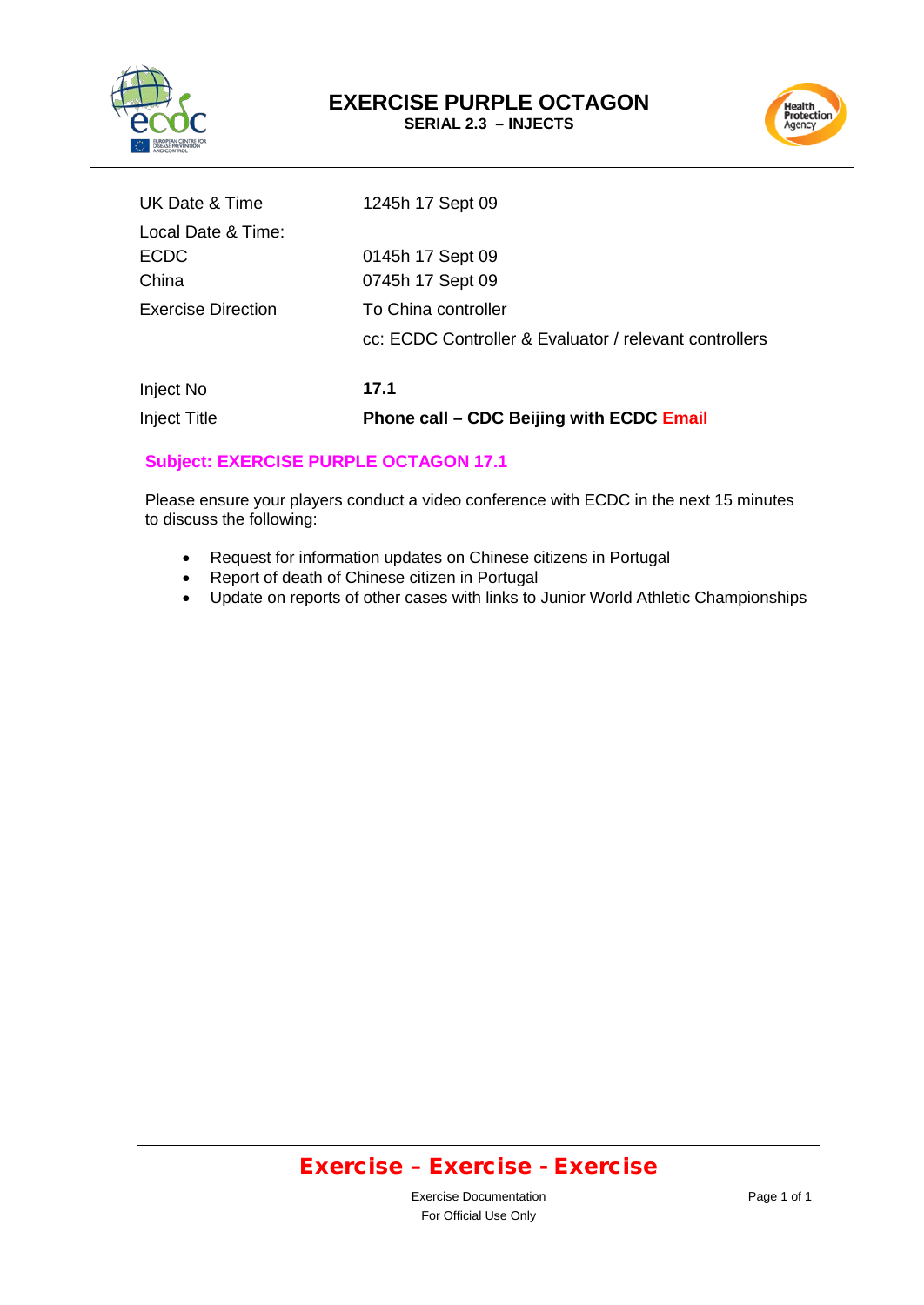

# **EXERCISE PURPLE OCTAGON**

**SERIAL 2.3 – INJECTS**



| Injoot No                 | 474                                                    |
|---------------------------|--------------------------------------------------------|
|                           | cc: ECDC Controller & Evaluator / relevant controllers |
| <b>Exercise Direction</b> | To China controller                                    |
| China                     | 0745h 17 Sept 09                                       |
| <b>ECDC</b>               | 0145h 17 Sept 09                                       |
| Local Date & Time:        |                                                        |
| UK Date & Time            | 1245h 17 Sept 09                                       |
|                           |                                                        |

### Inject No **17.1** Inject Title **Phone call – CDC Beijing with ECDC Email**

#### **Subject: EXERCISE PURPLE OCTAGON 17.1**

Please ensure your players conduct a video conference with ECDC in the next 15 minutes to discuss the following:

- Request for information updates on Chinese citizens in Portugal
- Report of death of Chinese citizen in Portugal
- Update on reports of other cases with links to Junior World Athletic Championships

### Exercise – Exercise - Exercise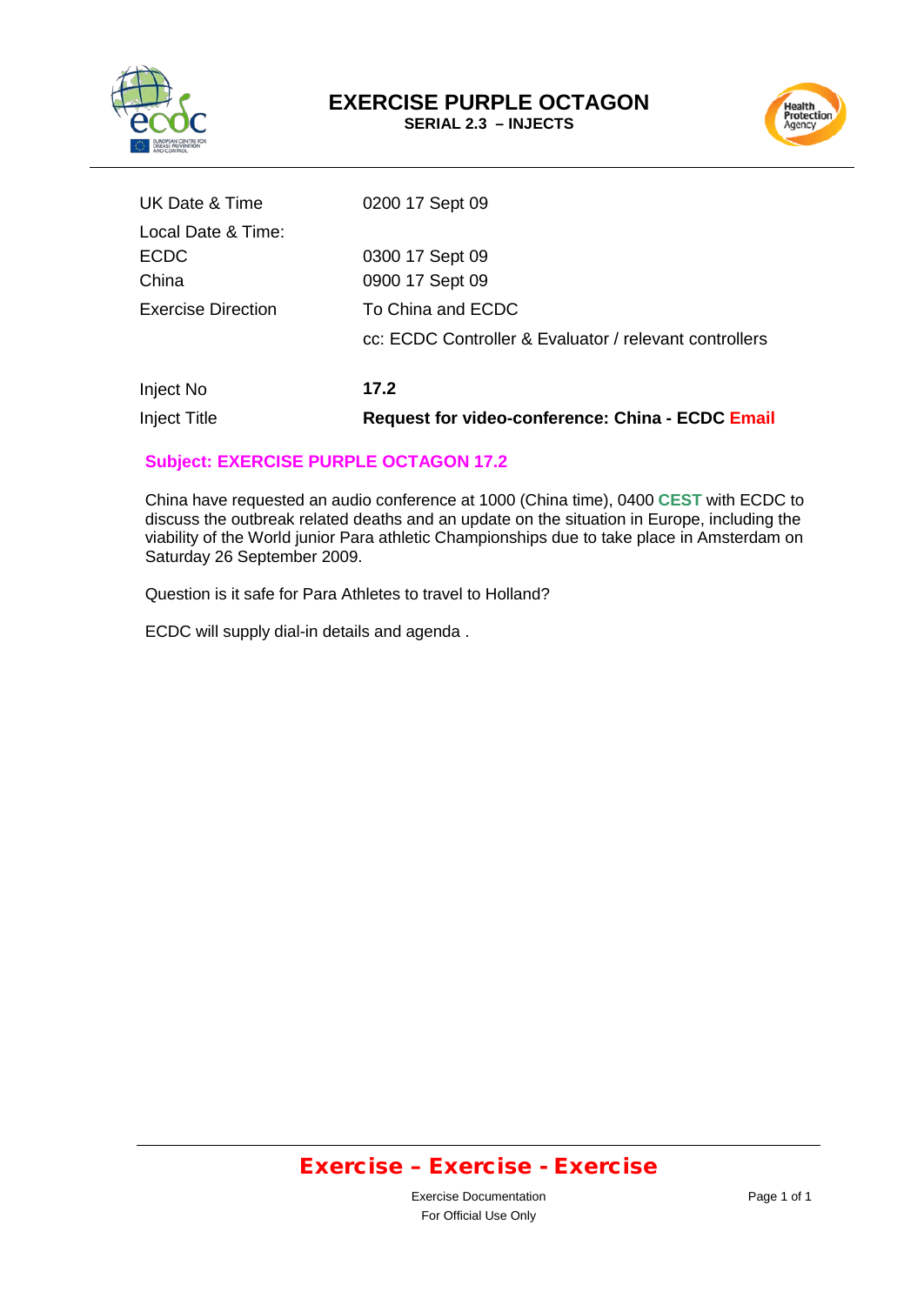



| UK Date & Time            | 0200 17 Sept 09                                        |
|---------------------------|--------------------------------------------------------|
| Local Date & Time:        |                                                        |
| <b>ECDC</b>               | 0300 17 Sept 09                                        |
| China                     | 0900 17 Sept 09                                        |
| <b>Exercise Direction</b> | To China and ECDC                                      |
|                           | cc: ECDC Controller & Evaluator / relevant controllers |
| Inject No                 | 17.2                                                   |

Inject Title **Request for video-conference: China - ECDC Email**

#### **Subject: EXERCISE PURPLE OCTAGON 17.2**

China have requested an audio conference at 1000 (China time), 0400 **CEST** with ECDC to discuss the outbreak related deaths and an update on the situation in Europe, including the viability of the World junior Para athletic Championships due to take place in Amsterdam on Saturday 26 September 2009.

Question is it safe for Para Athletes to travel to Holland?

ECDC will supply dial-in details and agenda .

# Exercise – Exercise - Exercise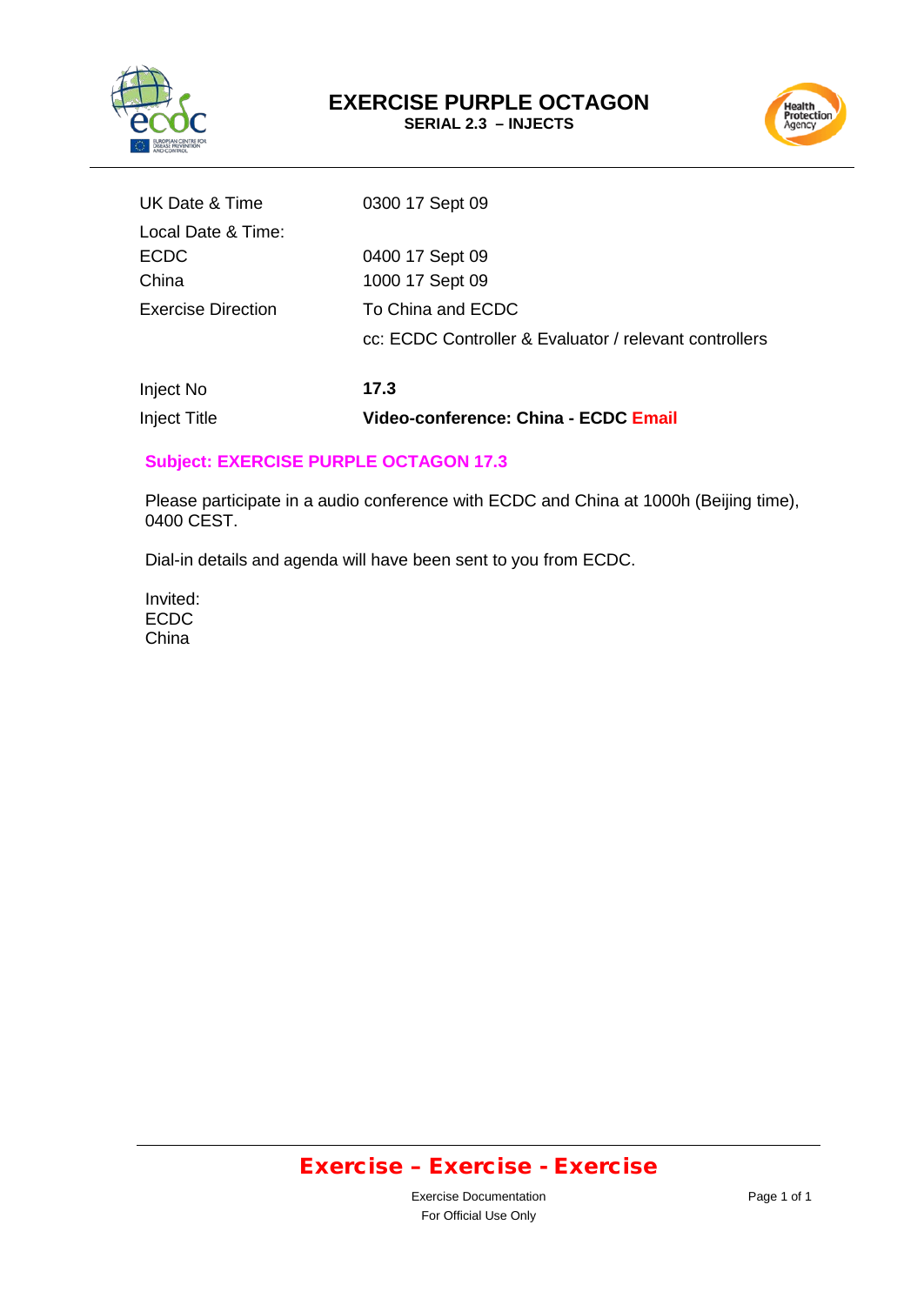



| UK Date & Time            | 0300 17 Sept 09                                        |
|---------------------------|--------------------------------------------------------|
| Local Date & Time:        |                                                        |
| <b>ECDC</b>               | 0400 17 Sept 09                                        |
| China                     | 1000 17 Sept 09                                        |
| <b>Exercise Direction</b> | To China and ECDC                                      |
|                           | cc: ECDC Controller & Evaluator / relevant controllers |
|                           |                                                        |

Inject No **17.3** Inject Title **Video-conference: China - ECDC Email**

#### **Subject: EXERCISE PURPLE OCTAGON 17.3**

Please participate in a audio conference with ECDC and China at 1000h (Beijing time), 0400 CEST.

Dial-in details and agenda will have been sent to you from ECDC.

Invited: ECDC China

# Exercise – Exercise - Exercise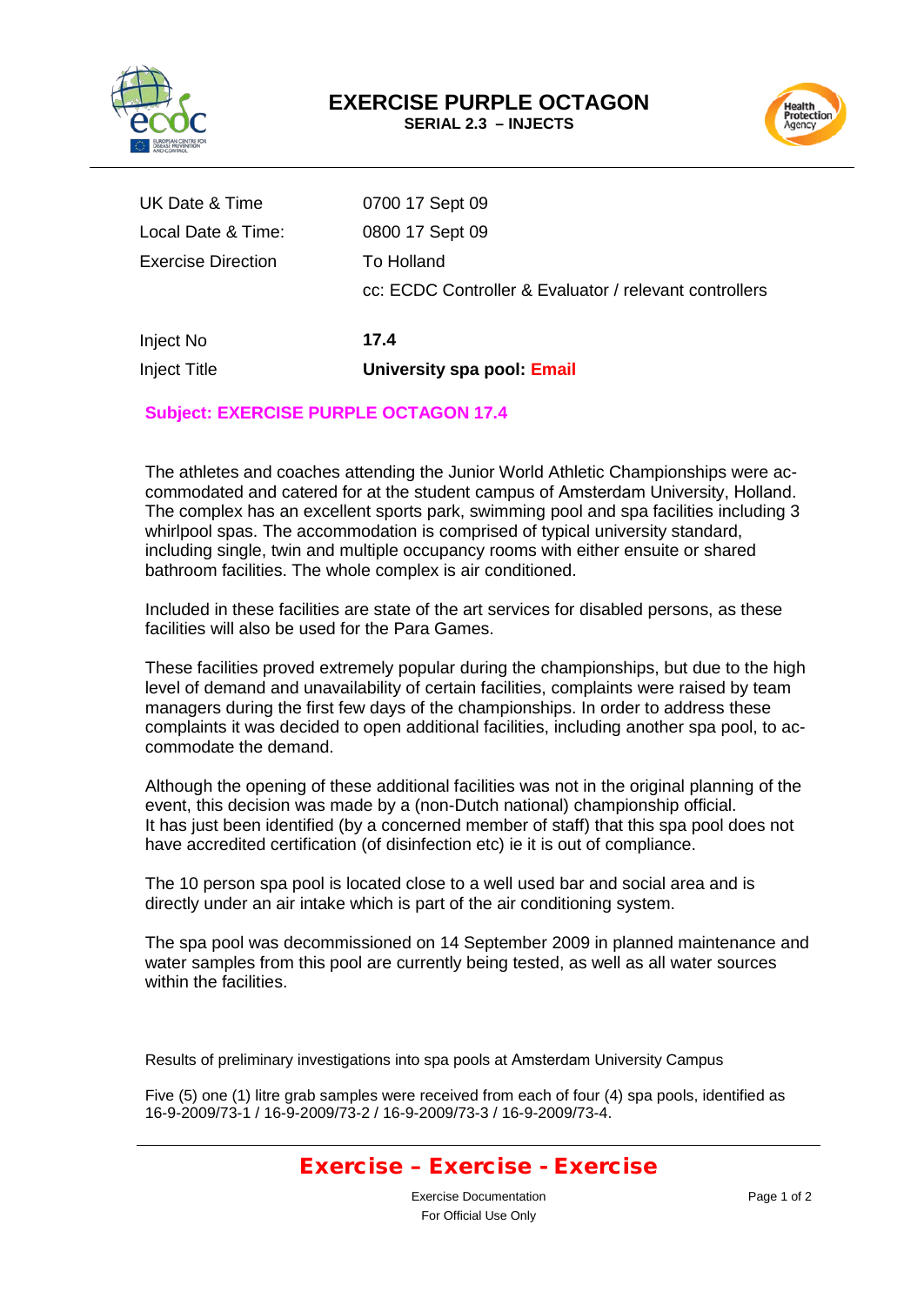



| Inject Title              | University spa pool: Email                             |
|---------------------------|--------------------------------------------------------|
| Inject No                 | 17.4                                                   |
|                           | cc: ECDC Controller & Evaluator / relevant controllers |
| <b>Exercise Direction</b> | To Holland                                             |
| Local Date & Time:        | 0800 17 Sept 09                                        |
| UK Date & Time            | 0700 17 Sept 09                                        |

### **Subject: EXERCISE PURPLE OCTAGON 17.4**

The athletes and coaches attending the Junior World Athletic Championships were accommodated and catered for at the student campus of Amsterdam University, Holland. The complex has an excellent sports park, swimming pool and spa facilities including 3 whirlpool spas. The accommodation is comprised of typical university standard, including single, twin and multiple occupancy rooms with either ensuite or shared bathroom facilities. The whole complex is air conditioned.

Included in these facilities are state of the art services for disabled persons, as these facilities will also be used for the Para Games.

These facilities proved extremely popular during the championships, but due to the high level of demand and unavailability of certain facilities, complaints were raised by team managers during the first few days of the championships. In order to address these complaints it was decided to open additional facilities, including another spa pool, to accommodate the demand.

Although the opening of these additional facilities was not in the original planning of the event, this decision was made by a (non-Dutch national) championship official. It has just been identified (by a concerned member of staff) that this spa pool does not have accredited certification (of disinfection etc) ie it is out of compliance.

The 10 person spa pool is located close to a well used bar and social area and is directly under an air intake which is part of the air conditioning system.

The spa pool was decommissioned on 14 September 2009 in planned maintenance and water samples from this pool are currently being tested, as well as all water sources within the facilities.

Results of preliminary investigations into spa pools at Amsterdam University Campus

Five (5) one (1) litre grab samples were received from each of four (4) spa pools, identified as 16-9-2009/73-1 / 16-9-2009/73-2 / 16-9-2009/73-3 / 16-9-2009/73-4.

### Exercise – Exercise - Exercise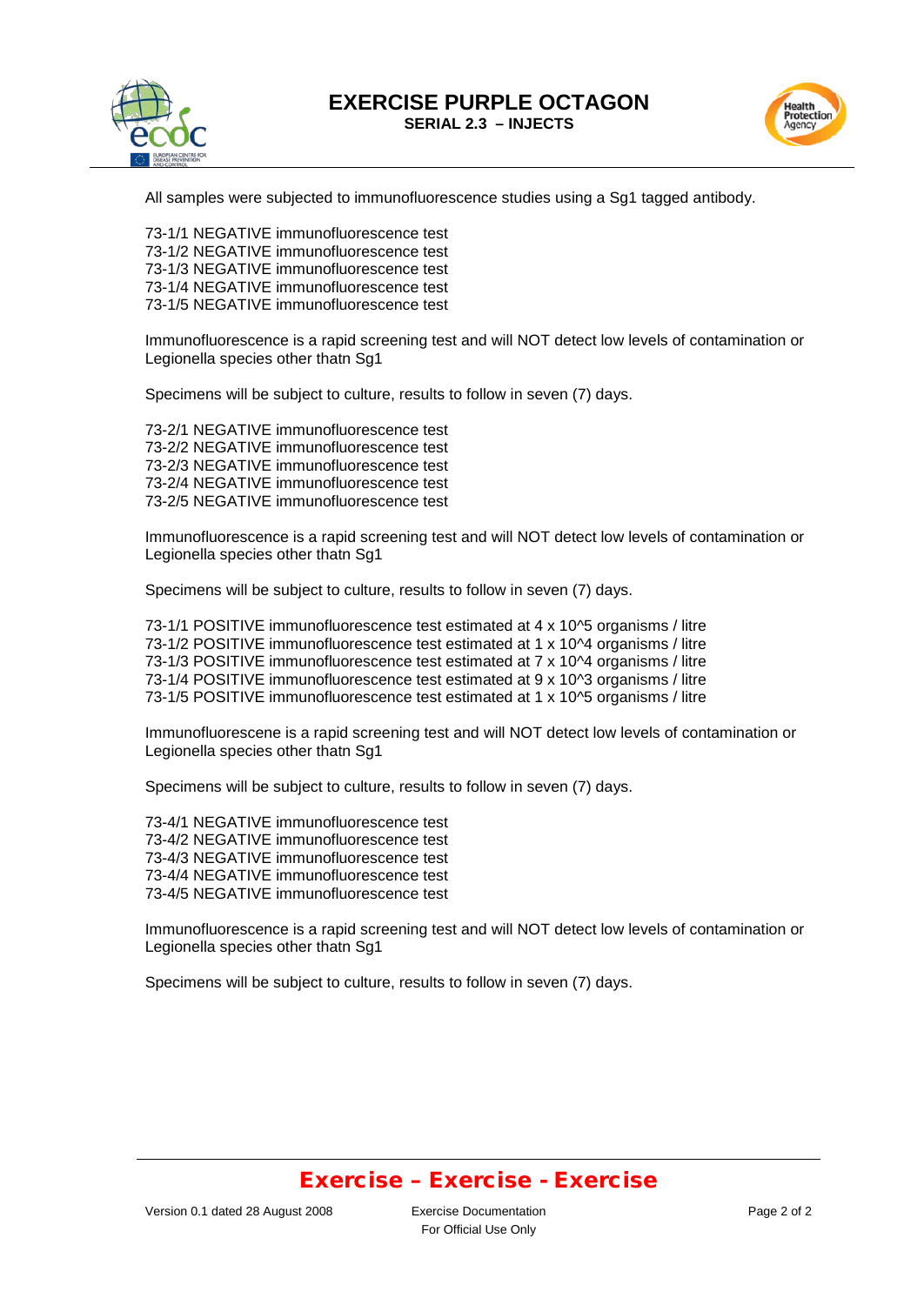





All samples were subjected to immunofluorescence studies using a Sg1 tagged antibody.

73-1/1 NEGATIVE immunofluorescence test 73-1/2 NEGATIVE immunofluorescence test 73-1/3 NEGATIVE immunofluorescence test 73-1/4 NEGATIVE immunofluorescence test 73-1/5 NEGATIVE immunofluorescence test

Immunofluorescence is a rapid screening test and will NOT detect low levels of contamination or Legionella species other thatn Sg1

Specimens will be subject to culture, results to follow in seven (7) days.

73-2/1 NEGATIVE immunofluorescence test 73-2/2 NEGATIVE immunofluorescence test 73-2/3 NEGATIVE immunofluorescence test 73-2/4 NEGATIVE immunofluorescence test 73-2/5 NEGATIVE immunofluorescence test

Immunofluorescence is a rapid screening test and will NOT detect low levels of contamination or Legionella species other thatn Sg1

Specimens will be subject to culture, results to follow in seven (7) days.

73-1/1 POSITIVE immunofluorescence test estimated at 4 x 10^5 organisms / litre 73-1/2 POSITIVE immunofluorescence test estimated at 1 x 10^4 organisms / litre 73-1/3 POSITIVE immunofluorescence test estimated at 7 x 10^4 organisms / litre 73-1/4 POSITIVE immunofluorescence test estimated at 9 x 10^3 organisms / litre 73-1/5 POSITIVE immunofluorescence test estimated at 1 x 10^5 organisms / litre

Immunofluorescene is a rapid screening test and will NOT detect low levels of contamination or Legionella species other thatn Sg1

Specimens will be subject to culture, results to follow in seven (7) days.

73-4/1 NEGATIVE immunofluorescence test 73-4/2 NEGATIVE immunofluorescence test 73-4/3 NEGATIVE immunofluorescence test 73-4/4 NEGATIVE immunofluorescence test 73-4/5 NEGATIVE immunofluorescence test

Immunofluorescence is a rapid screening test and will NOT detect low levels of contamination or Legionella species other thatn Sg1

Specimens will be subject to culture, results to follow in seven (7) days.

### Exercise – Exercise - Exercise

For Official Use Only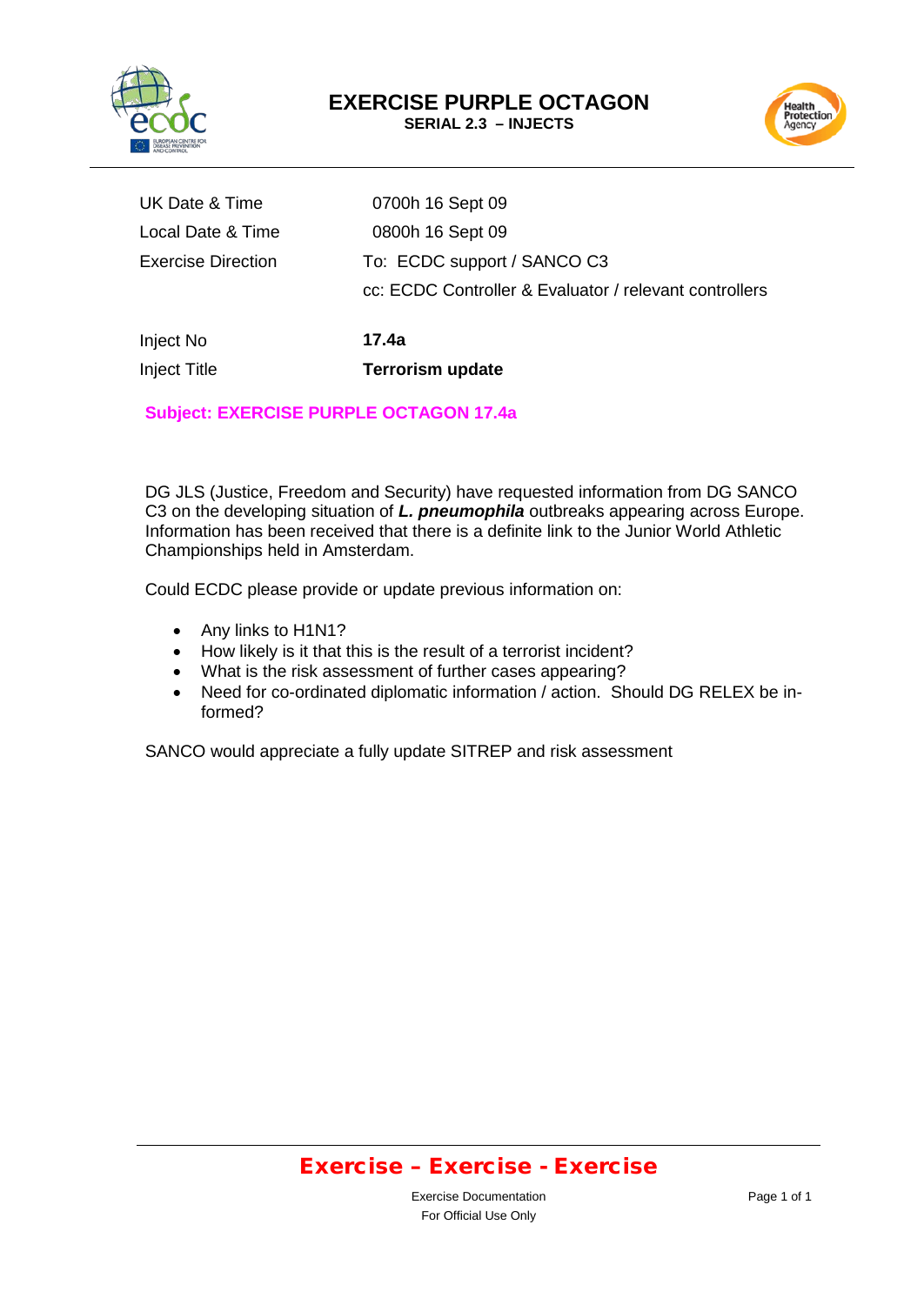



| Inject No                 | 17.4a                                                  |
|---------------------------|--------------------------------------------------------|
|                           | cc: ECDC Controller & Evaluator / relevant controllers |
| <b>Exercise Direction</b> | To: ECDC support / SANCO C3                            |
| Local Date & Time         | 0800h 16 Sept 09                                       |
| UK Date & Time            | 0700h 16 Sept 09                                       |
|                           |                                                        |

Inject Title **Terrorism update**

### **Subject: EXERCISE PURPLE OCTAGON 17.4a**

DG JLS (Justice, Freedom and Security) have requested information from DG SANCO C3 on the developing situation of *L. pneumophila* outbreaks appearing across Europe. Information has been received that there is a definite link to the Junior World Athletic Championships held in Amsterdam.

Could ECDC please provide or update previous information on:

- Any links to H1N1?
- How likely is it that this is the result of a terrorist incident?
- What is the risk assessment of further cases appearing?
- Need for co-ordinated diplomatic information / action. Should DG RELEX be informed?

SANCO would appreciate a fully update SITREP and risk assessment

## Exercise – Exercise - Exercise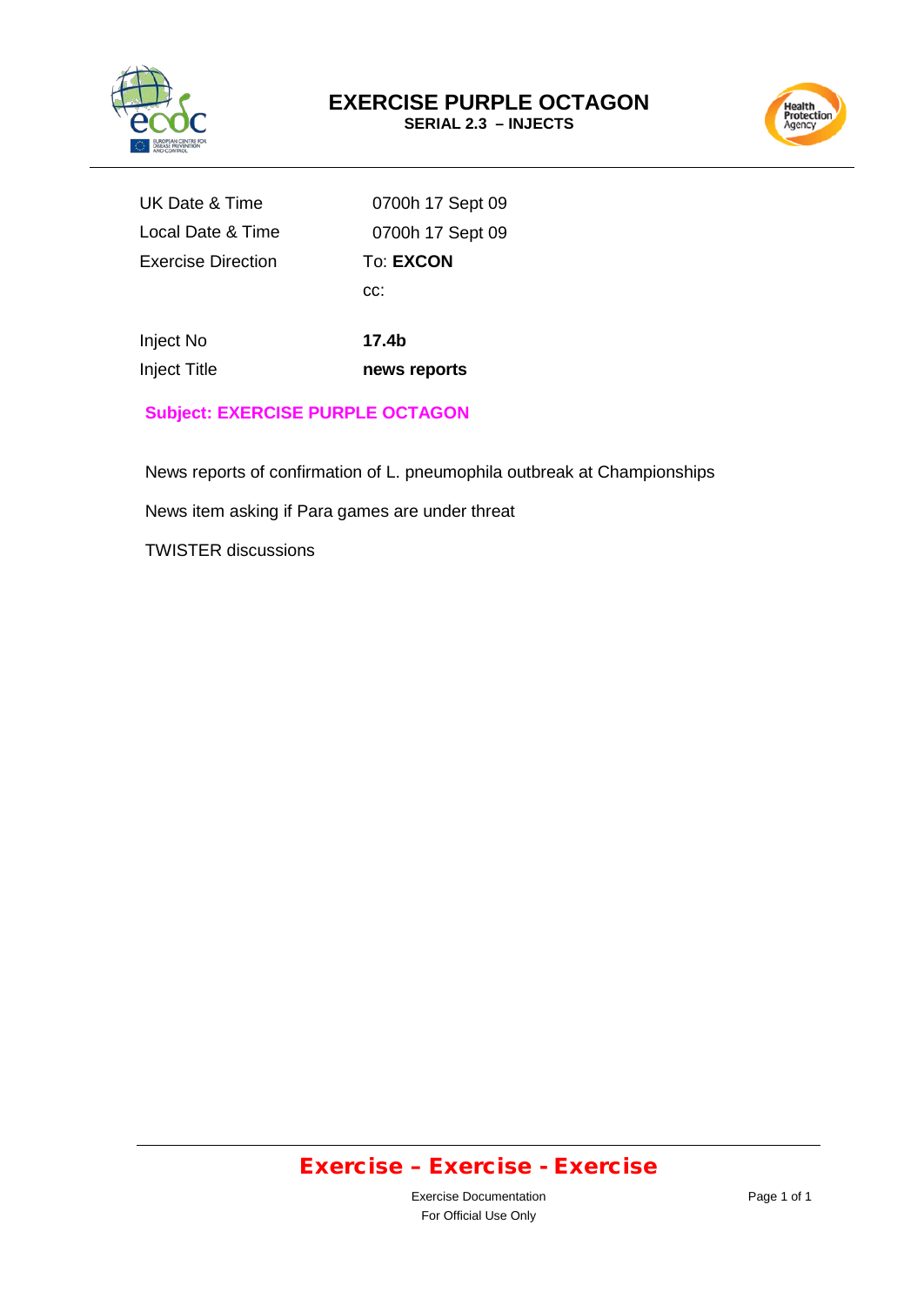

Health<br>Protection<br>Agency

UK Date & Time Local Date & Time Exercise Direction

0700h 17 Sept 09 0700h 17 Sept 09 To: **EXCON** cc:

Inject No Inject Title

**17.4b news reports** 

**Subject: EXERCISE PURPLE OCTAGON**

News reports of confirmation of L. pneumophila outbreak at Championships

News item asking if Para games are under threat

TWISTER discussions

# Exercise – Exercise - Exercise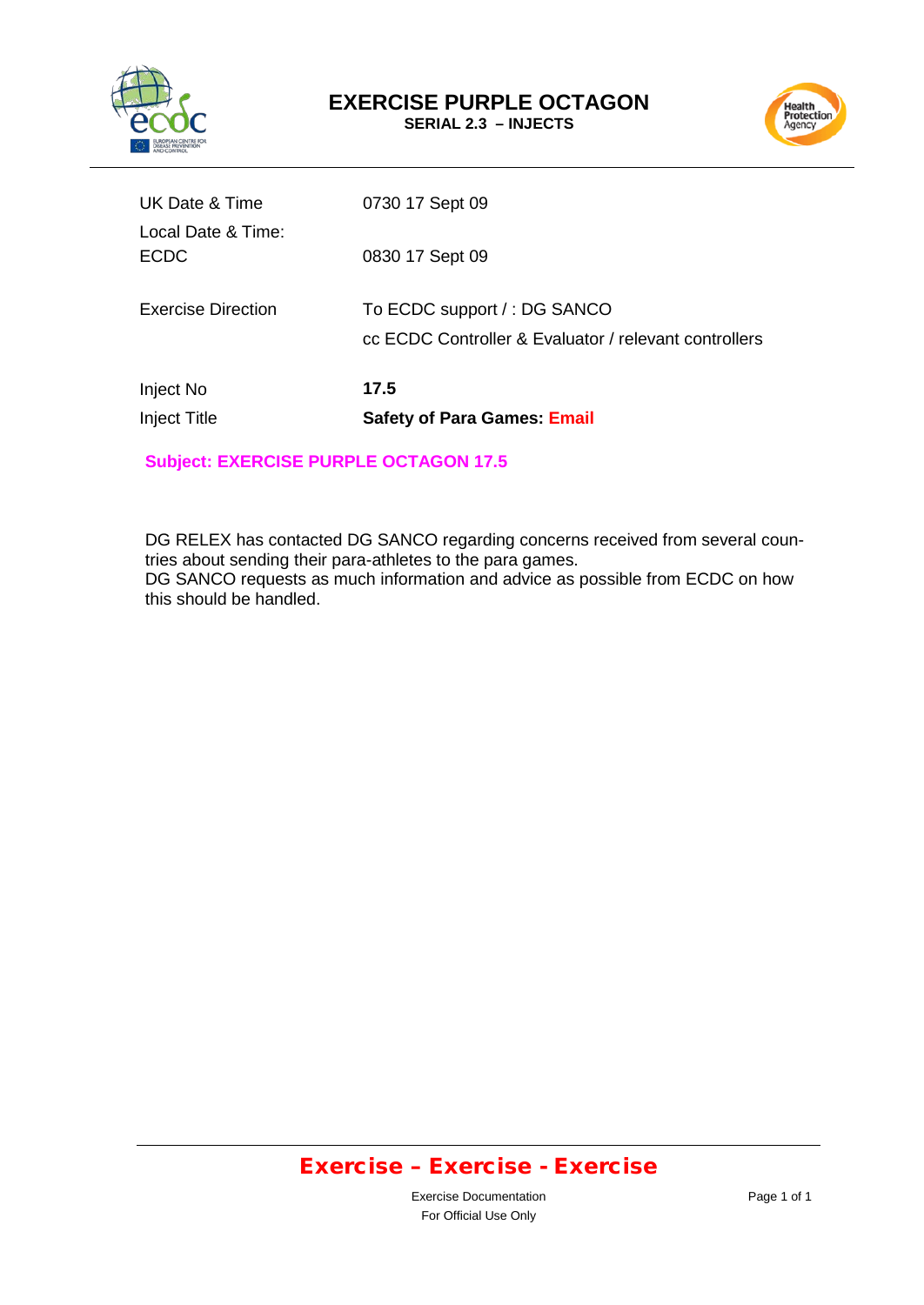



| UK Date & Time<br>Local Date & Time: | 0730 17 Sept 09                                                                      |
|--------------------------------------|--------------------------------------------------------------------------------------|
| <b>ECDC</b>                          | 0830 17 Sept 09                                                                      |
| Exercise Direction                   | To ECDC support /: DG SANCO<br>cc ECDC Controller & Evaluator / relevant controllers |
| Inject No<br><b>Inject Title</b>     | 17.5<br><b>Safety of Para Games: Email</b>                                           |

### **Subject: EXERCISE PURPLE OCTAGON 17.5**

DG RELEX has contacted DG SANCO regarding concerns received from several countries about sending their para-athletes to the para games. DG SANCO requests as much information and advice as possible from ECDC on how this should be handled.

## Exercise – Exercise - Exercise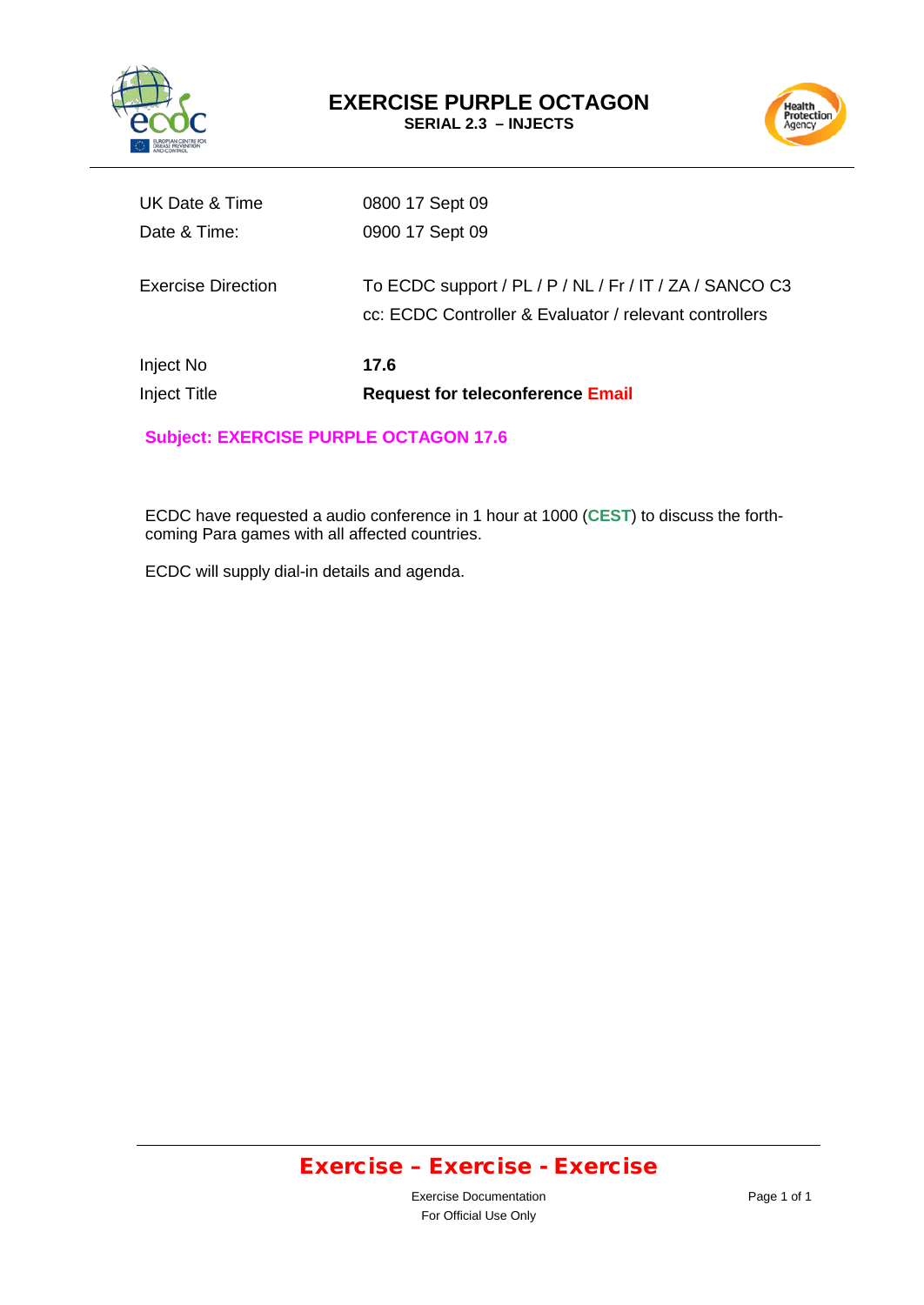



| UK Date & Time                   | 0800 17 Sept 09                                                                                                   |
|----------------------------------|-------------------------------------------------------------------------------------------------------------------|
| Date & Time:                     | 0900 17 Sept 09                                                                                                   |
| <b>Exercise Direction</b>        | To ECDC support / PL / P / NL / Fr / IT / ZA / SANCO C3<br>cc: ECDC Controller & Evaluator / relevant controllers |
| Inject No<br><b>Inject Title</b> | 17.6<br><b>Request for teleconference Email</b>                                                                   |

**Subject: EXERCISE PURPLE OCTAGON 17.6** 

ECDC have requested a audio conference in 1 hour at 1000 (**CEST**) to discuss the forthcoming Para games with all affected countries.

ECDC will supply dial-in details and agenda.

# Exercise – Exercise - Exercise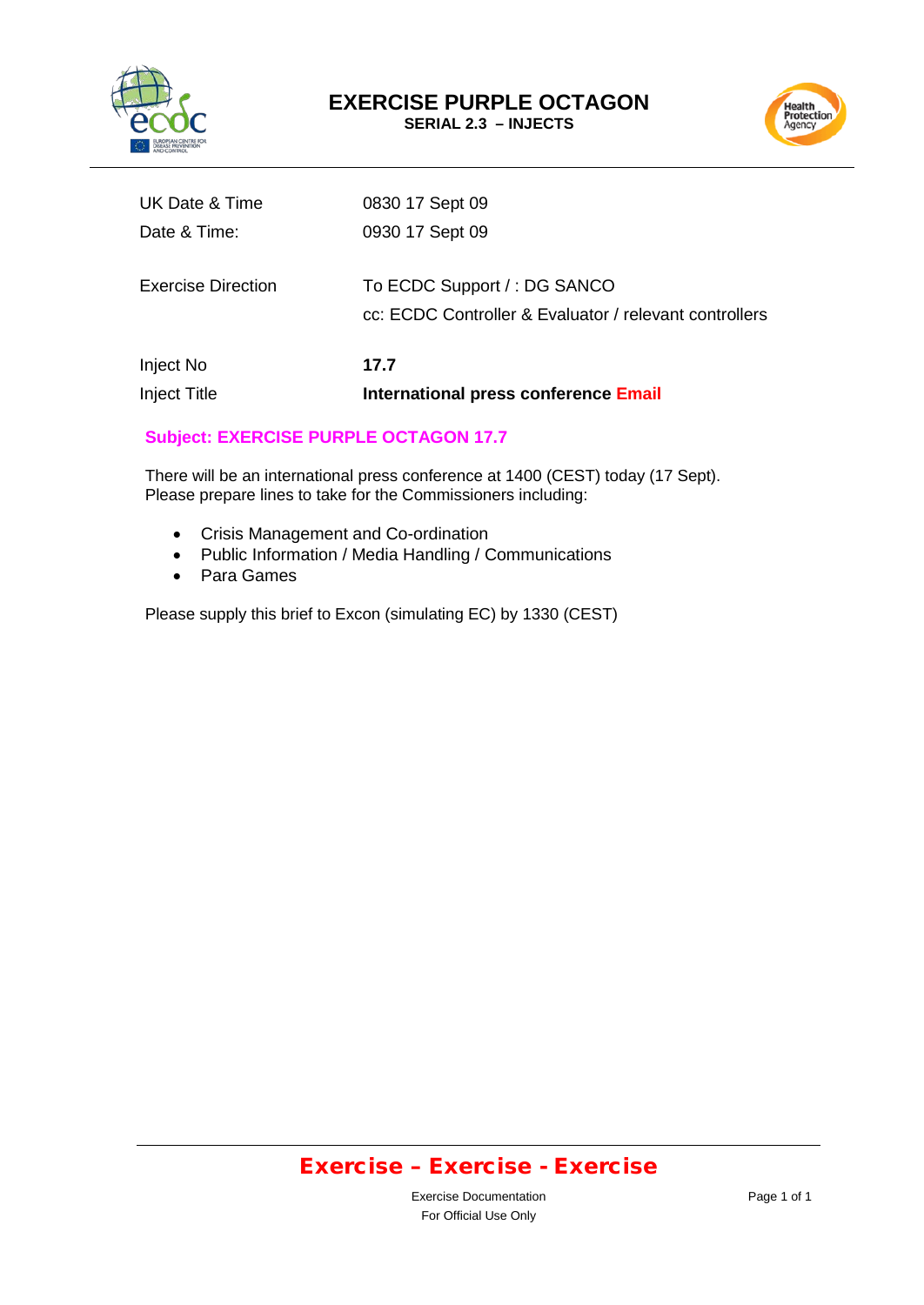



| <b>Inject Title</b> | International press conference Email                                                  |
|---------------------|---------------------------------------------------------------------------------------|
| Inject No           | 17.7                                                                                  |
| Exercise Direction  | To ECDC Support /: DG SANCO<br>cc: ECDC Controller & Evaluator / relevant controllers |
| Date & Time:        | 0930 17 Sept 09                                                                       |
| UK Date & Time      | 0830 17 Sept 09                                                                       |

### **Subject: EXERCISE PURPLE OCTAGON 17.7**

There will be an international press conference at 1400 (CEST) today (17 Sept). Please prepare lines to take for the Commissioners including:

- Crisis Management and Co-ordination
- Public Information / Media Handling / Communications
- Para Games

Please supply this brief to Excon (simulating EC) by 1330 (CEST)

## Exercise – Exercise - Exercise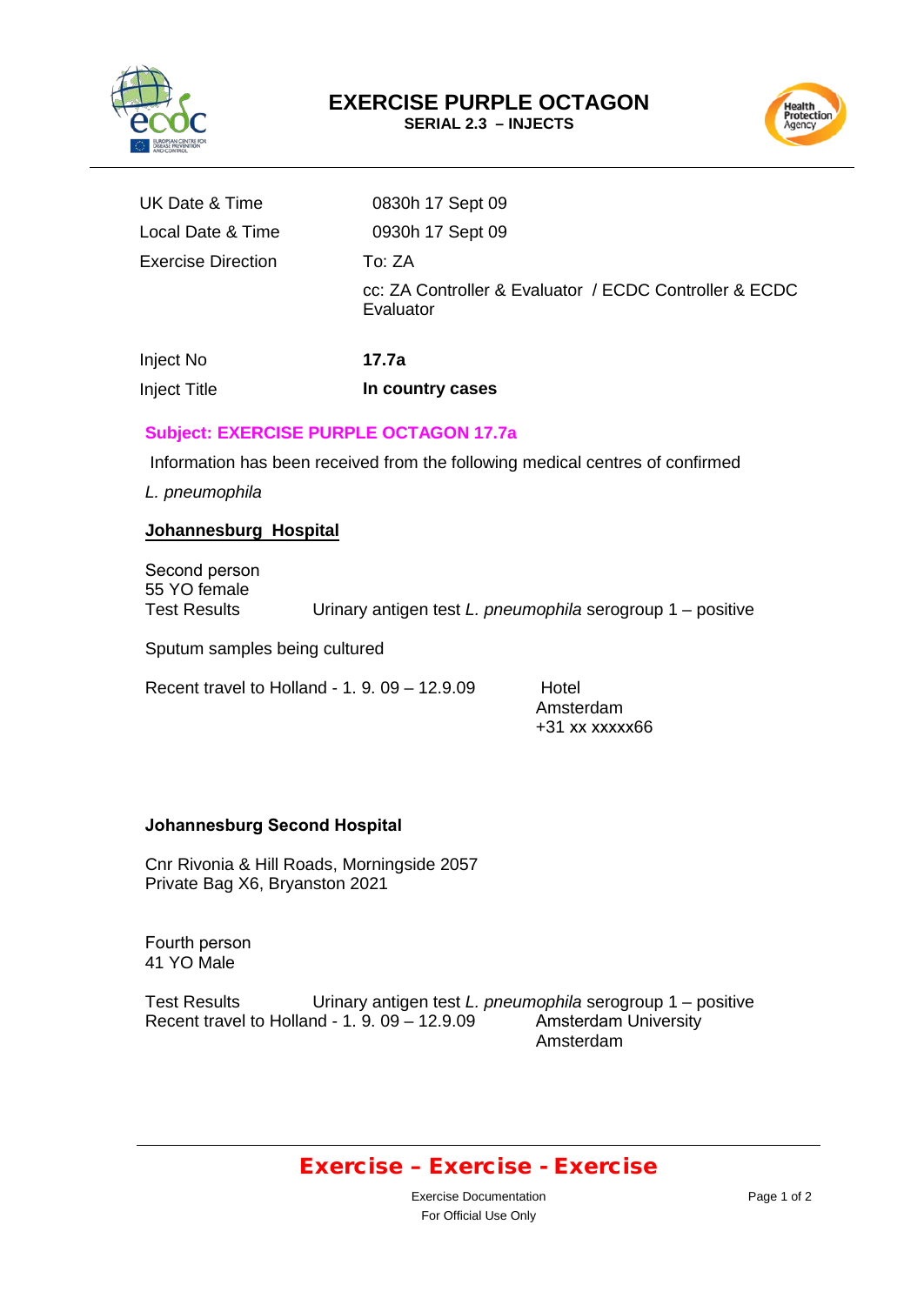



| UK Date & Time                                                  | 0830h 17 Sept 09                                                              |
|-----------------------------------------------------------------|-------------------------------------------------------------------------------|
| Local Date & Time                                               | 0930h 17 Sept 09                                                              |
| Exercise Direction                                              | To: ZA                                                                        |
|                                                                 | cc: ZA Controller & Evaluator / ECDC Controller & ECDC<br>Evaluator           |
| Inject No                                                       | 17.7a                                                                         |
| <b>Inject Title</b>                                             | In country cases                                                              |
| <b>Subject: EXERCISE PURPLE OCTAGON 17.7a</b><br>L. pneumophila | Information has been received from the following medical centres of confirmed |
|                                                                 |                                                                               |

#### **Johannesburg Hospital**

Second person 55 YO female

Test Results Urinary antigen test *L. pneumophila* serogroup 1 – positive

Sputum samples being cultured

Recent travel to Holland -  $1.9.09 - 12.9.09$  Hotel

Amsterdam +31 xx xxxxx66

#### **Johannesburg Second Hospital**

Cnr Rivonia & Hill Roads, Morningside 2057 Private Bag X6, Bryanston 2021

Fourth person 41 YO Male

Test Results Urinary antigen test *L. pneumophila* serogroup 1 – positive<br>Recent travel to Holland - 1. 9. 09 – 12.9.09 Amsterdam University Recent travel to Holland - 1.  $9.09 - 12.9.09$ Amsterdam

### Exercise – Exercise - Exercise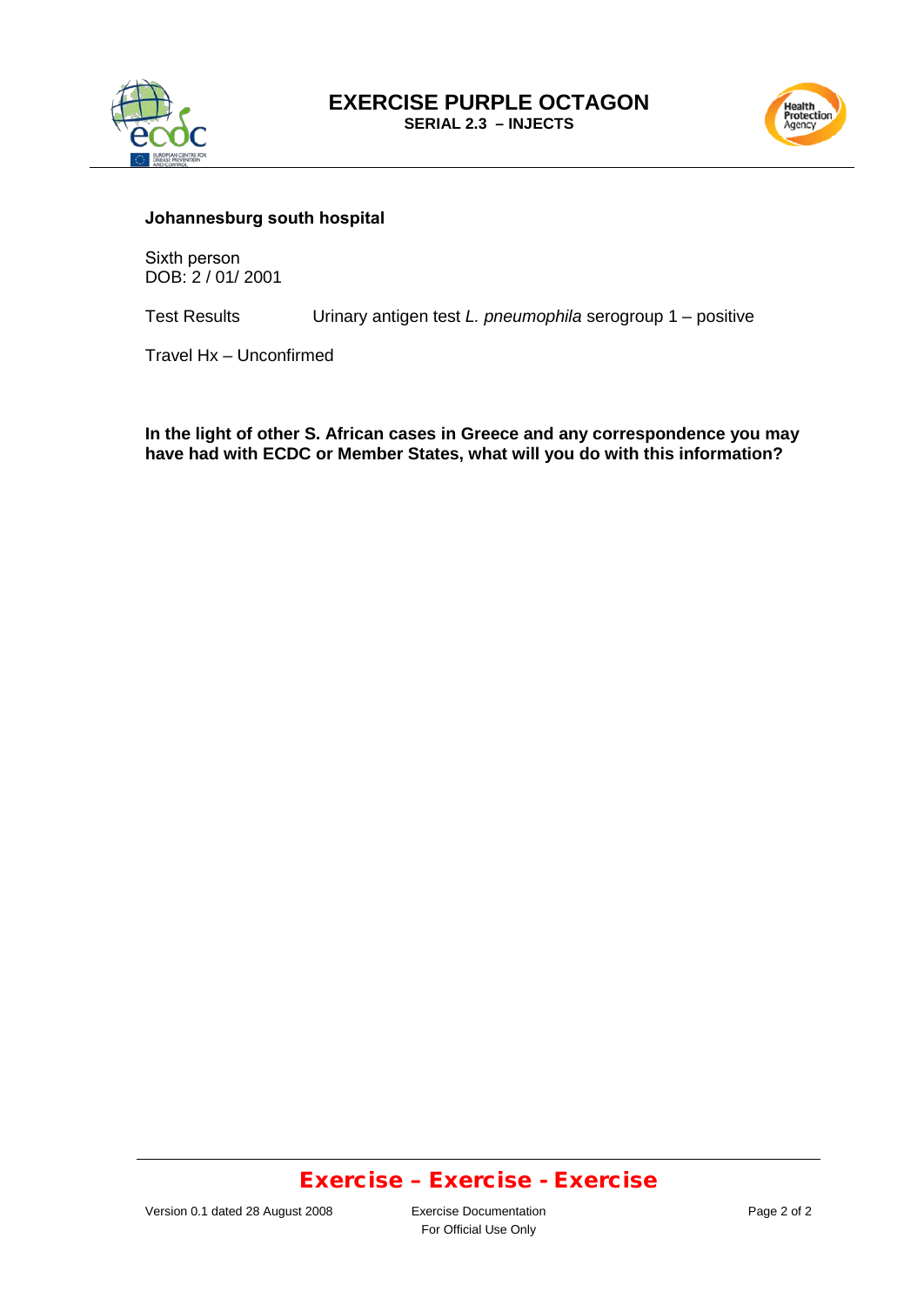



#### **Johannesburg south hospital**

Sixth person DOB: 2 / 01/ 2001

Urinary antigen test *L. pneumophila* serogroup 1 – positive Test Results

Travel Hx – Unconfirmed

**In the light of other S. African cases in Greece and any correspondence you may have had with ECDC or Member States, what will you do with this information?**

### Exercise – Exercise - Exercise

For Official Use Only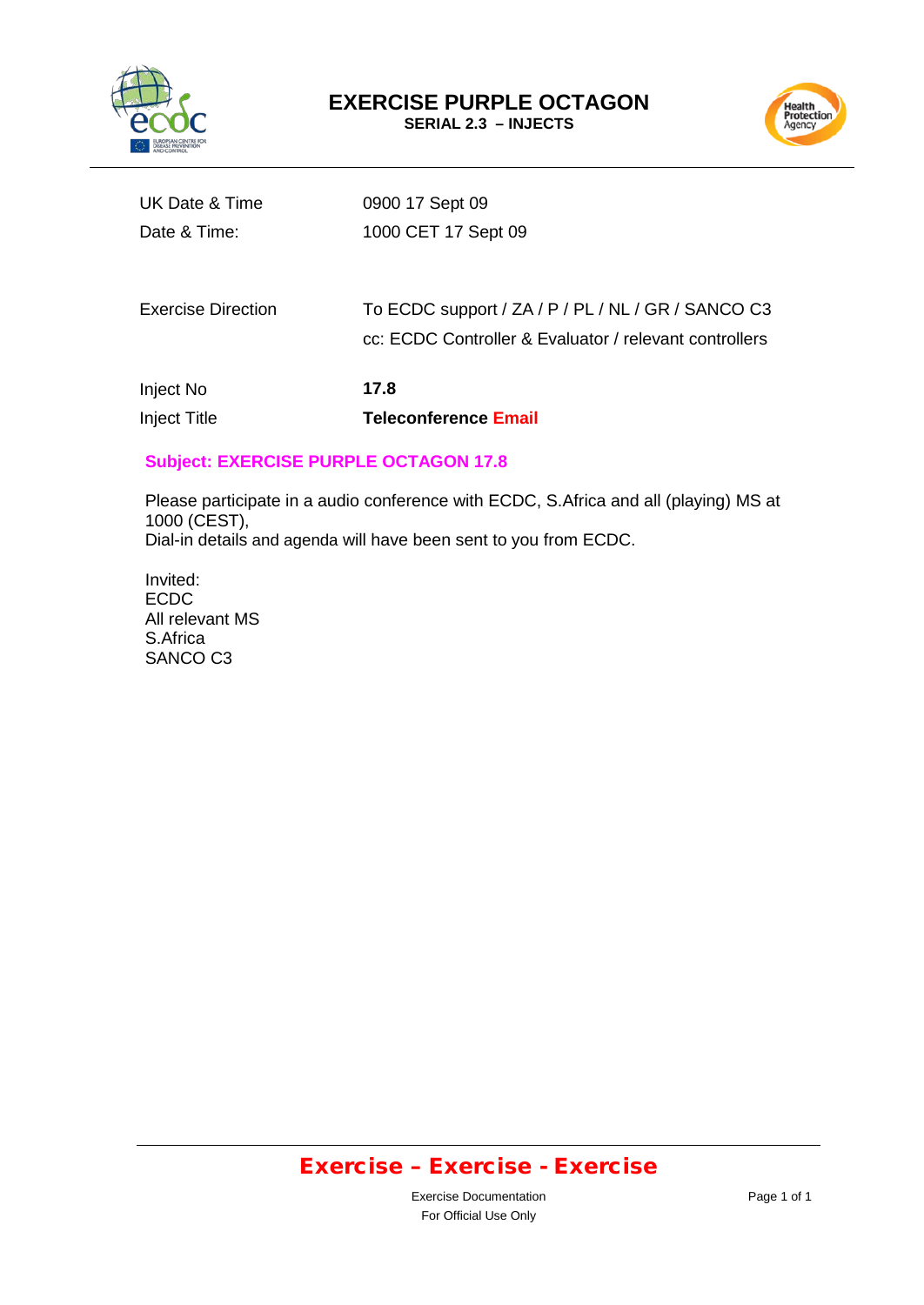



| Inject No<br><b>Inject Title</b> | 17.8<br><b>Teleconference Email</b>                                                                          |
|----------------------------------|--------------------------------------------------------------------------------------------------------------|
| <b>Exercise Direction</b>        | To ECDC support / ZA / P / PL / NL / GR / SANCO C3<br>cc: ECDC Controller & Evaluator / relevant controllers |
| Date & Time:                     | 1000 CET 17 Sept 09                                                                                          |
| UK Date & Time                   | 0900 17 Sept 09                                                                                              |

### **Subject: EXERCISE PURPLE OCTAGON 17.8**

Please participate in a audio conference with ECDC, S.Africa and all (playing) MS at 1000 (CEST), Dial-in details and agenda will have been sent to you from ECDC.

Invited: ECDC All relevant MS S.Africa SANCO C3

# Exercise – Exercise - Exercise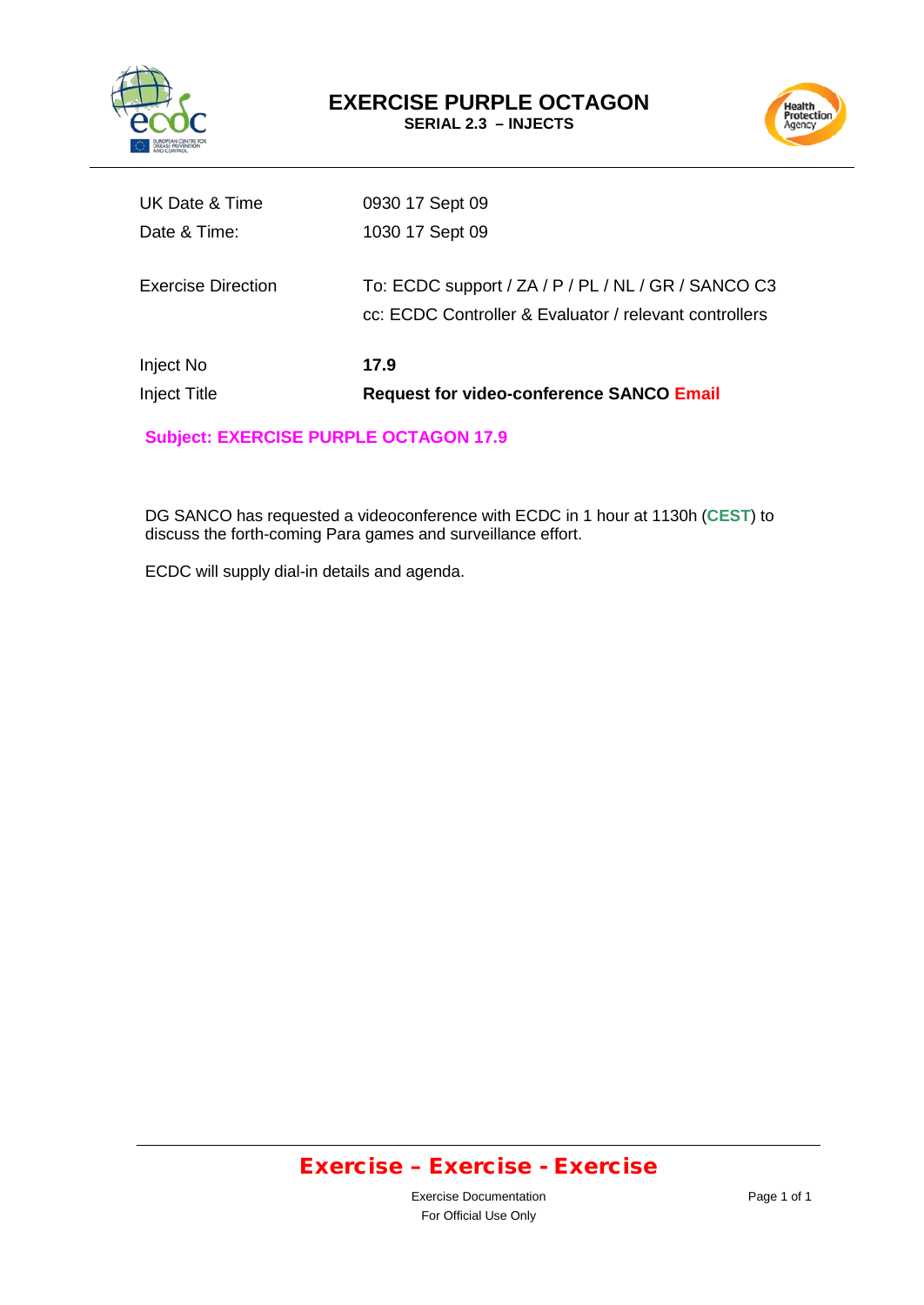



| Inject No<br>Inject Title | 17.9<br><b>Request for video-conference SANCO Email</b>                                                       |
|---------------------------|---------------------------------------------------------------------------------------------------------------|
| <b>Exercise Direction</b> | To: ECDC support / ZA / P / PL / NL / GR / SANCO C3<br>cc: ECDC Controller & Evaluator / relevant controllers |
| Date & Time:              | 1030 17 Sept 09                                                                                               |
| UK Date & Time            | 0930 17 Sept 09                                                                                               |

**Subject: EXERCISE PURPLE OCTAGON 17.9** 

DG SANCO has requested a videoconference with ECDC in 1 hour at 1130h (**CEST**) to discuss the forth-coming Para games and surveillance effort.

ECDC will supply dial-in details and agenda.

# Exercise – Exercise - Exercise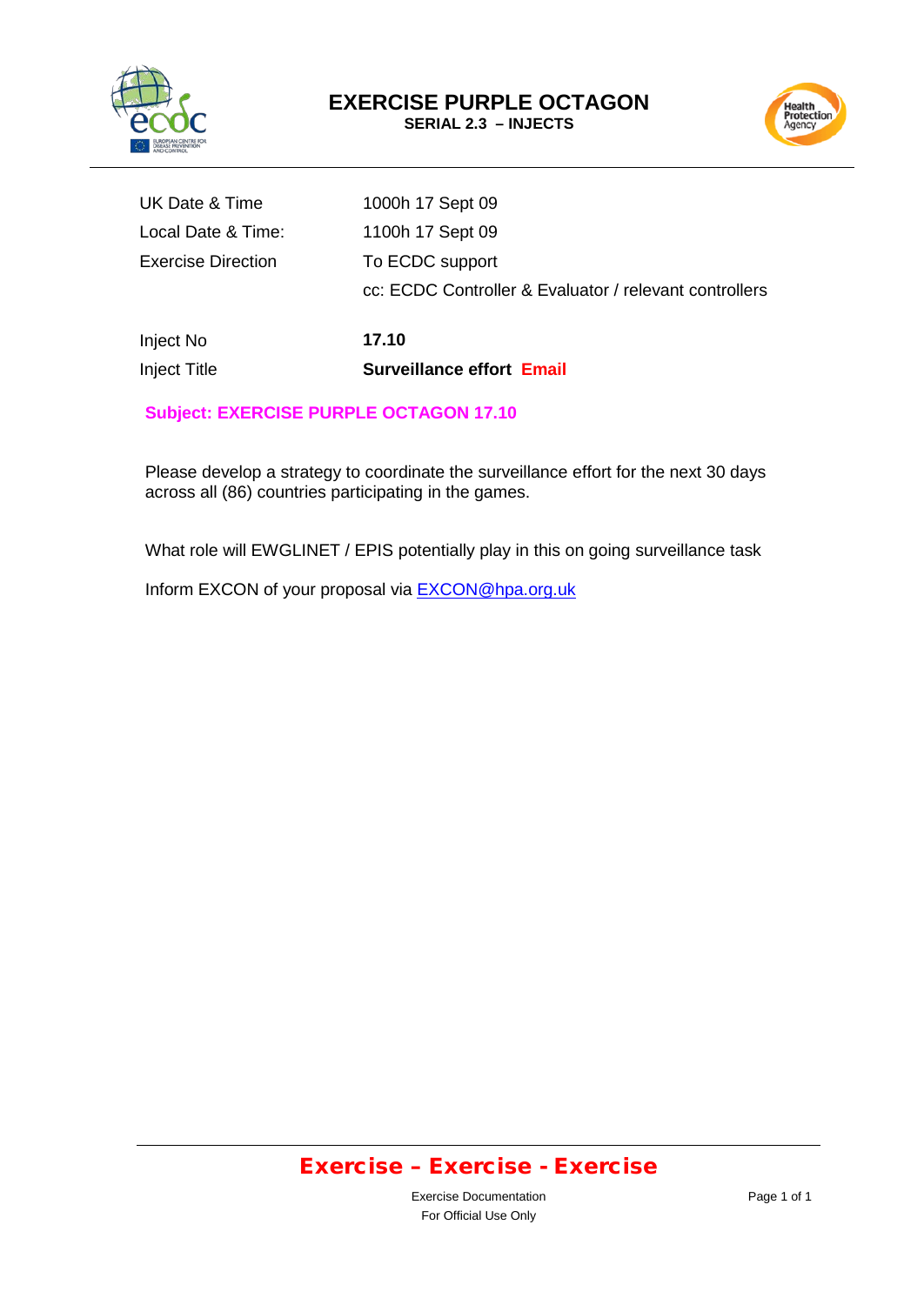



| <b>Inject Title</b>       | <b>Surveillance effort Email</b>                       |
|---------------------------|--------------------------------------------------------|
| Inject No                 | 17.10                                                  |
|                           | cc: ECDC Controller & Evaluator / relevant controllers |
| <b>Exercise Direction</b> | To ECDC support                                        |
| Local Date & Time:        | 1100h 17 Sept 09                                       |
| UK Date & Time            | 1000h 17 Sept 09                                       |

### **Subject: EXERCISE PURPLE OCTAGON 17.10**

Please develop a strategy to coordinate the surveillance effort for the next 30 days across all (86) countries participating in the games.

What role will EWGLINET / EPIS potentially play in this on going surveillance task

Inform EXCON of your proposal via **EXCON@hpa.org.uk** 

## Exercise – Exercise - Exercise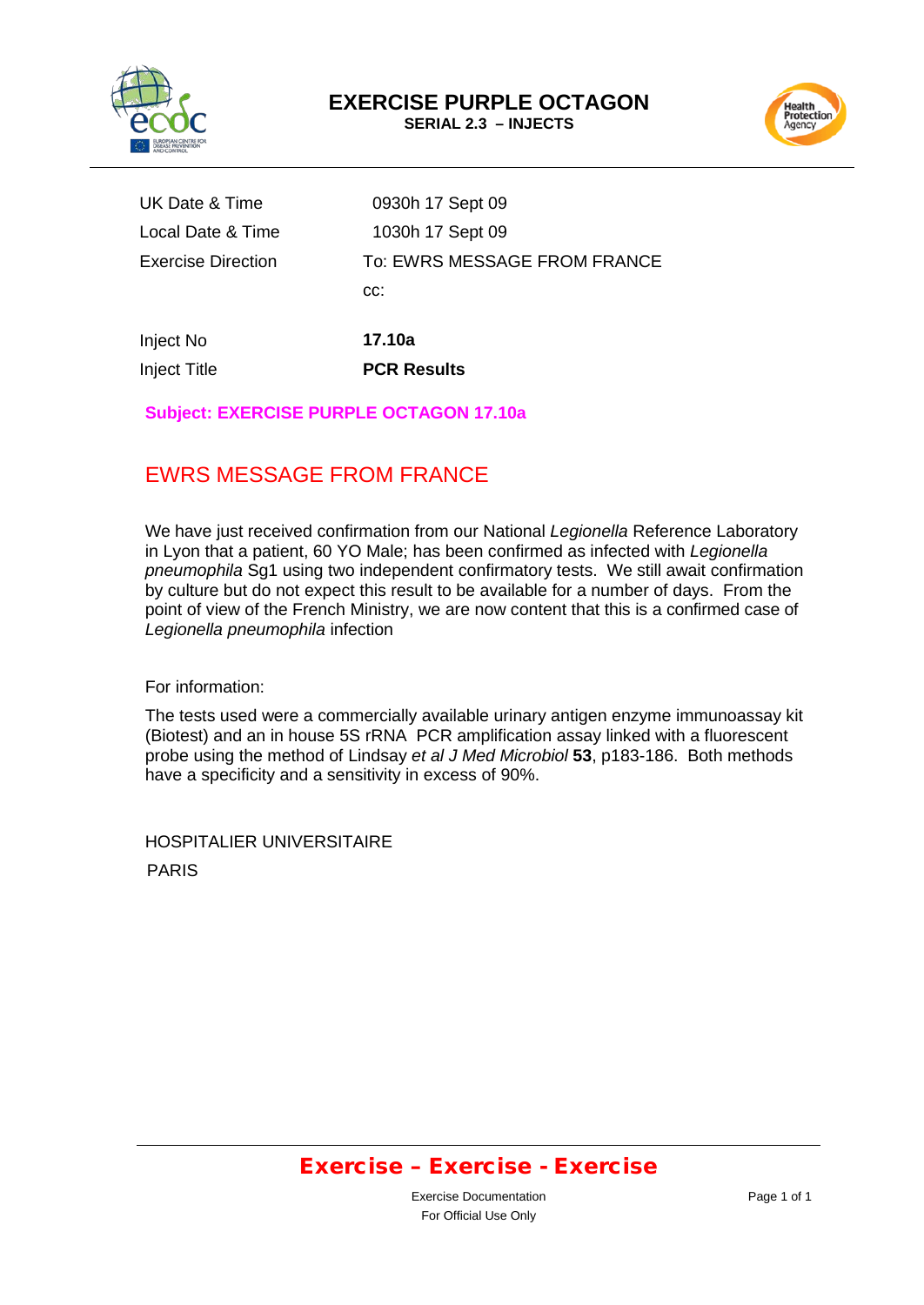



| UK Date & Time      | 0930h 17 Sept 09             |
|---------------------|------------------------------|
| Local Date & Time   | 1030h 17 Sept 09             |
| Exercise Direction  | To: EWRS MESSAGE FROM FRANCE |
|                     | CC:                          |
|                     |                              |
| Inject No           | 17.10a                       |
| <b>Inject Title</b> | <b>PCR Results</b>           |

### **Subject: EXERCISE PURPLE OCTAGON 17.10a**

## EWRS MESSAGE FROM FRANCE

We have just received confirmation from our National *Legionella* Reference Laboratory in Lyon that a patient, 60 YO Male; has been confirmed as infected with *Legionella pneumophila* Sg1 using two independent confirmatory tests. We still await confirmation by culture but do not expect this result to be available for a number of days. From the point of view of the French Ministry, we are now content that this is a confirmed case of *Legionella pneumophila* infection

For information:

The tests used were a commercially available urinary antigen enzyme immunoassay kit (Biotest) and an in house 5S rRNA PCR amplification assay linked with a fluorescent probe using the method of Lindsay *et al J Med Microbiol* **53**, p183-186. Both methods have a specificity and a sensitivity in excess of 90%.

HOSPITALIER UNIVERSITAIRE PARIS

## Exercise – Exercise - Exercise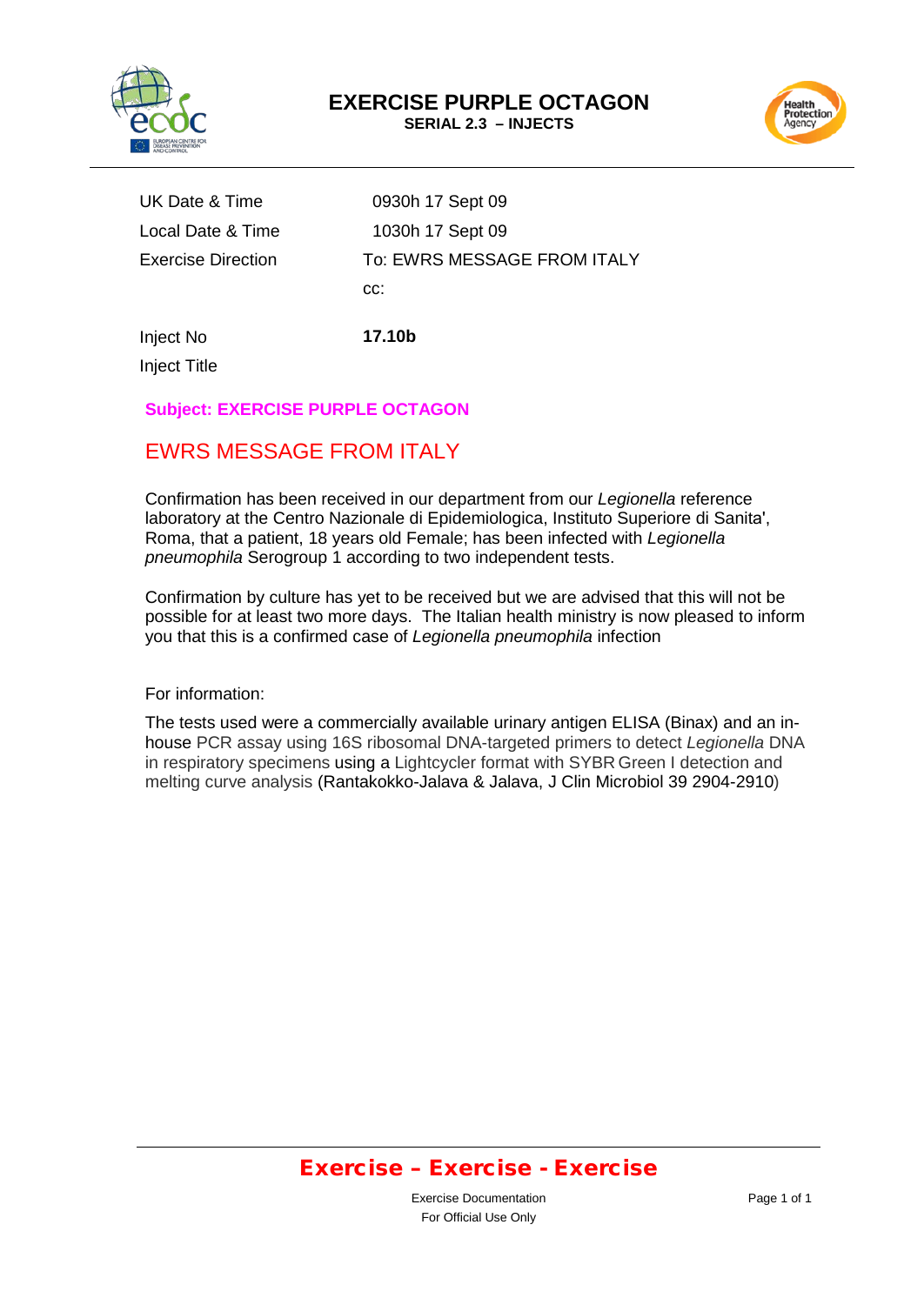



UK Date & Time 0930h 17 Sept 09 Local Date & Time 1030h 17 Sept 09 Exercise Direction To: EWRS MESSAGE FROM ITALY cc:

Inject No **17.10b**

Inject Title

### **Subject: EXERCISE PURPLE OCTAGON**

## EWRS MESSAGE FROM ITALY

Confirmation has been received in our department from our *Legionella* reference laboratory at the Centro Nazionale di Epidemiologica, Instituto Superiore di Sanita', Roma, that a patient, 18 years old Female; has been infected with *Legionella pneumophila* Serogroup 1 according to two independent tests.

Confirmation by culture has yet to be received but we are advised that this will not be possible for at least two more days. The Italian health ministry is now pleased to inform you that this is a confirmed case of *Legionella pneumophila* infection

#### For information:

The tests used were a commercially available urinary antigen ELISA (Binax) and an inhouse PCR assay using 16S ribosomal DNA-targeted primers to detect *Legionella* DNA in respiratory specimens using a Lightcycler format with SYBR Green I detection and melting curve analysis (Rantakokko-Jalava & Jalava, J Clin Microbiol 39 2904-2910)

### Exercise – Exercise - Exercise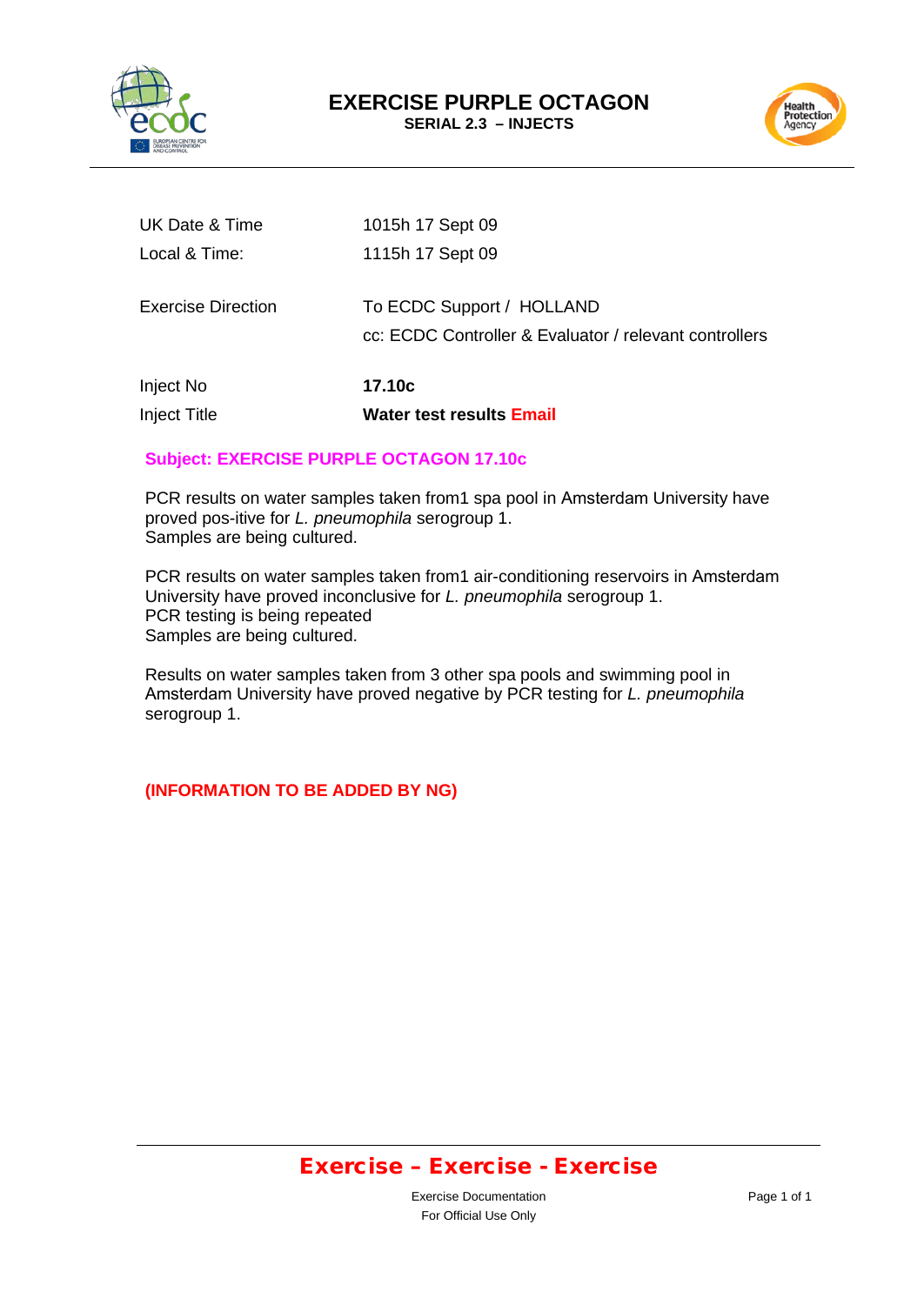



| <b>Inject Title</b>       | Water test results Email                                                            |
|---------------------------|-------------------------------------------------------------------------------------|
| Inject No                 | 17.10c                                                                              |
| <b>Exercise Direction</b> | To ECDC Support / HOLLAND<br>cc: ECDC Controller & Evaluator / relevant controllers |
| Local & Time:             | 1115h 17 Sept 09                                                                    |
| UK Date & Time            | 1015h 17 Sept 09                                                                    |

#### **Subject: EXERCISE PURPLE OCTAGON 17.10c**

PCR results on water samples taken from1 spa pool in Amsterdam University have proved pos-itive for *L. pneumophila* serogroup 1. Samples are being cultured.

PCR results on water samples taken from1 air-conditioning reservoirs in Amsterdam University have proved inconclusive for *L. pneumophila* serogroup 1. PCR testing is being repeated Samples are being cultured.

Results on water samples taken from 3 other spa pools and swimming pool in Amsterdam University have proved negative by PCR testing for *L. pneumophila* serogroup 1.

### **(INFORMATION TO BE ADDED BY NG)**

## Exercise – Exercise - Exercise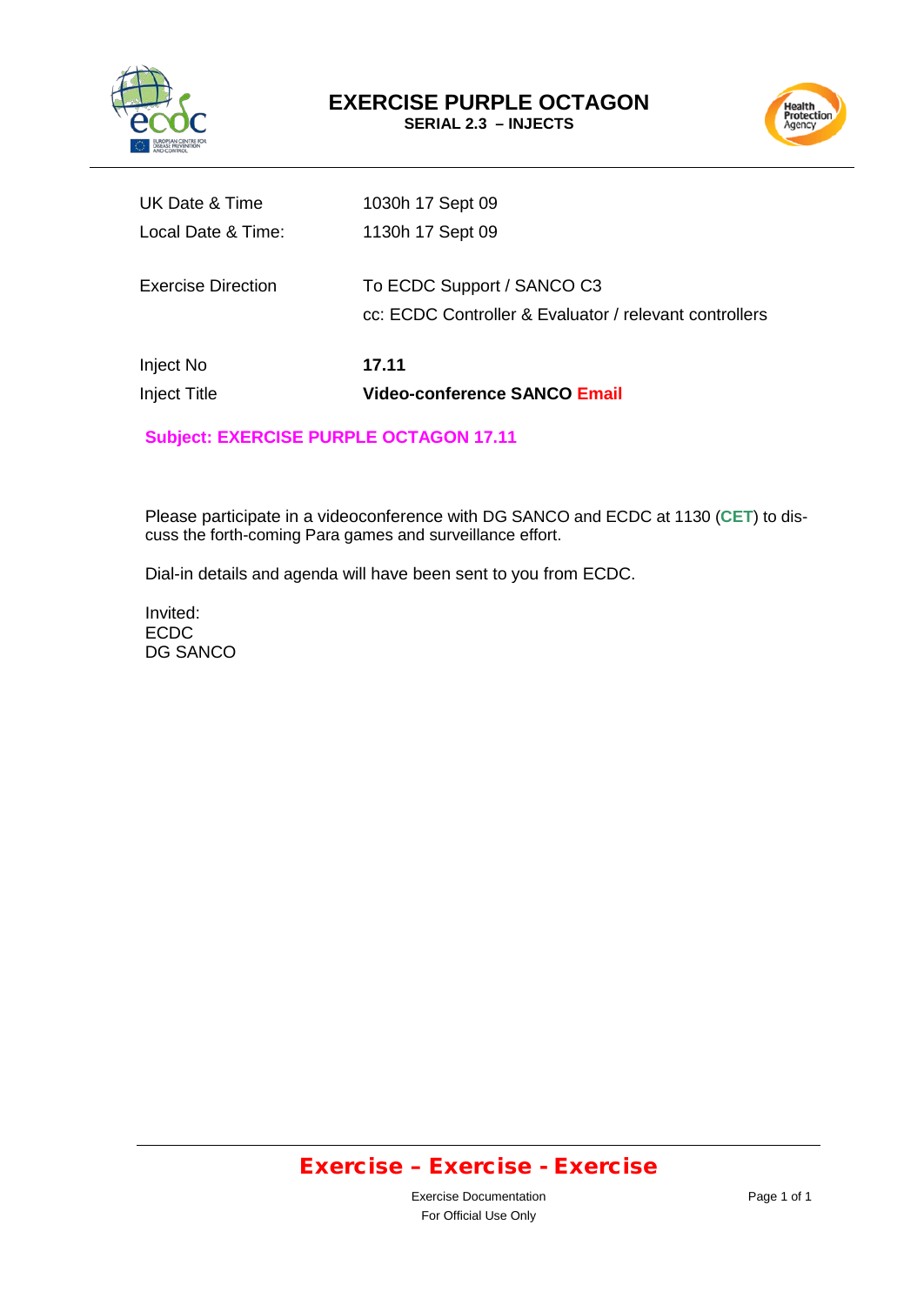



| Inject No<br><b>Inject Title</b> | 17.11<br><b>Video-conference SANCO Email</b>                                         |
|----------------------------------|--------------------------------------------------------------------------------------|
| Exercise Direction               | To ECDC Support / SANCO C3<br>cc: ECDC Controller & Evaluator / relevant controllers |
| Local Date & Time:               | 1130h 17 Sept 09                                                                     |
| UK Date & Time                   | 1030h 17 Sept 09                                                                     |

### **Subject: EXERCISE PURPLE OCTAGON 17.11**

Please participate in a videoconference with DG SANCO and ECDC at 1130 (**CET**) to discuss the forth-coming Para games and surveillance effort.

Dial-in details and agenda will have been sent to you from ECDC.

Invited: ECDC DG SANCO

# Exercise – Exercise - Exercise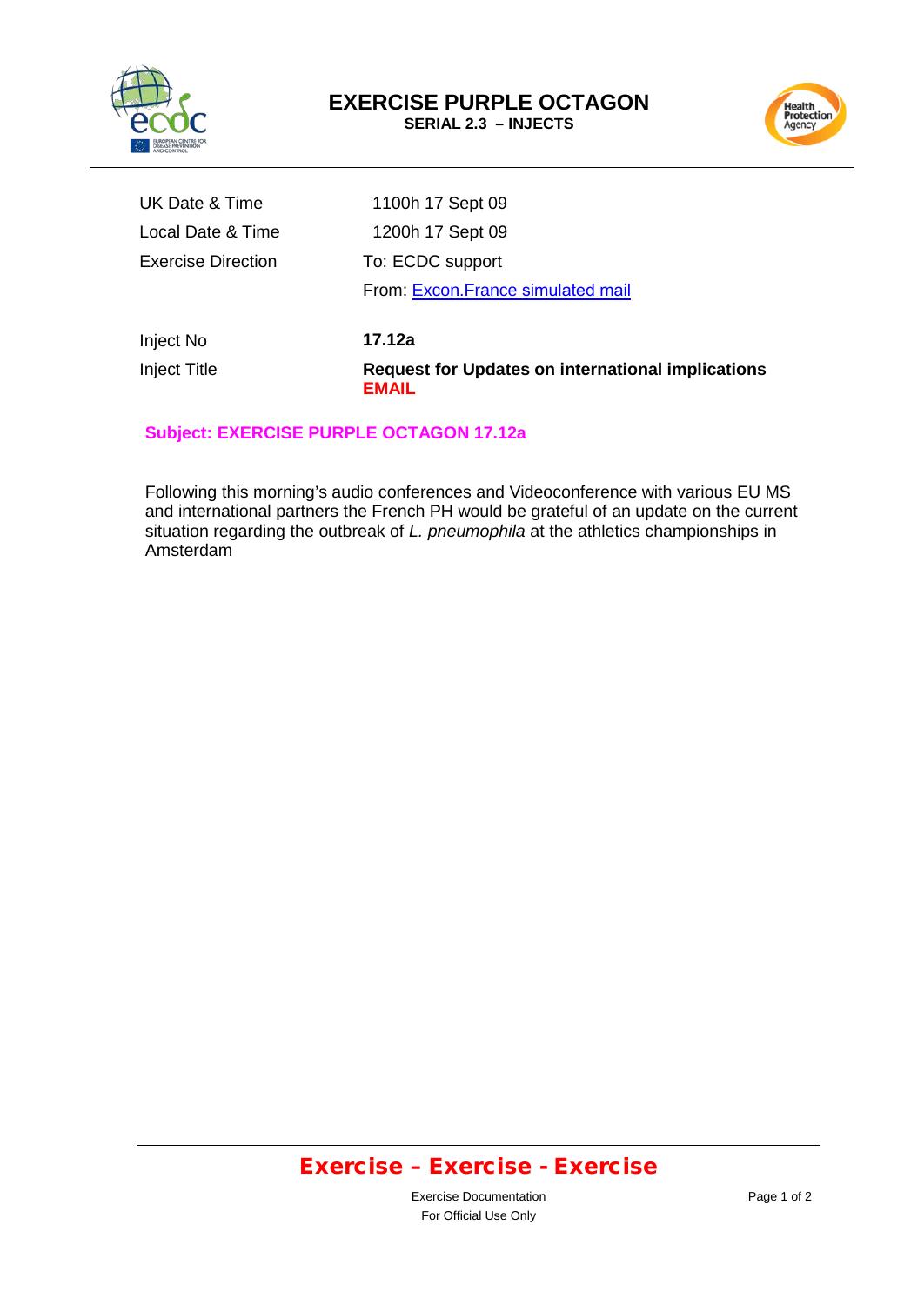



| <b>Inject Title</b>       | <b>Request for Updates on international implications</b> |
|---------------------------|----------------------------------------------------------|
| Inject No                 | 17.12a                                                   |
|                           | From: Excon.France simulated mail                        |
| <b>Exercise Direction</b> | To: ECDC support                                         |
| Local Date & Time         | 1200h 17 Sept 09                                         |
| UK Date & Time            | 1100h 17 Sept 09                                         |

### **Subject: EXERCISE PURPLE OCTAGON 17.12a**

**EMAIL**

Following this morning's audio conferences and Videoconference with various EU MS and international partners the French PH would be grateful of an update on the current situation regarding the outbreak of *L. pneumophila* at the athletics championships in Amsterdam

# Exercise – Exercise - Exercise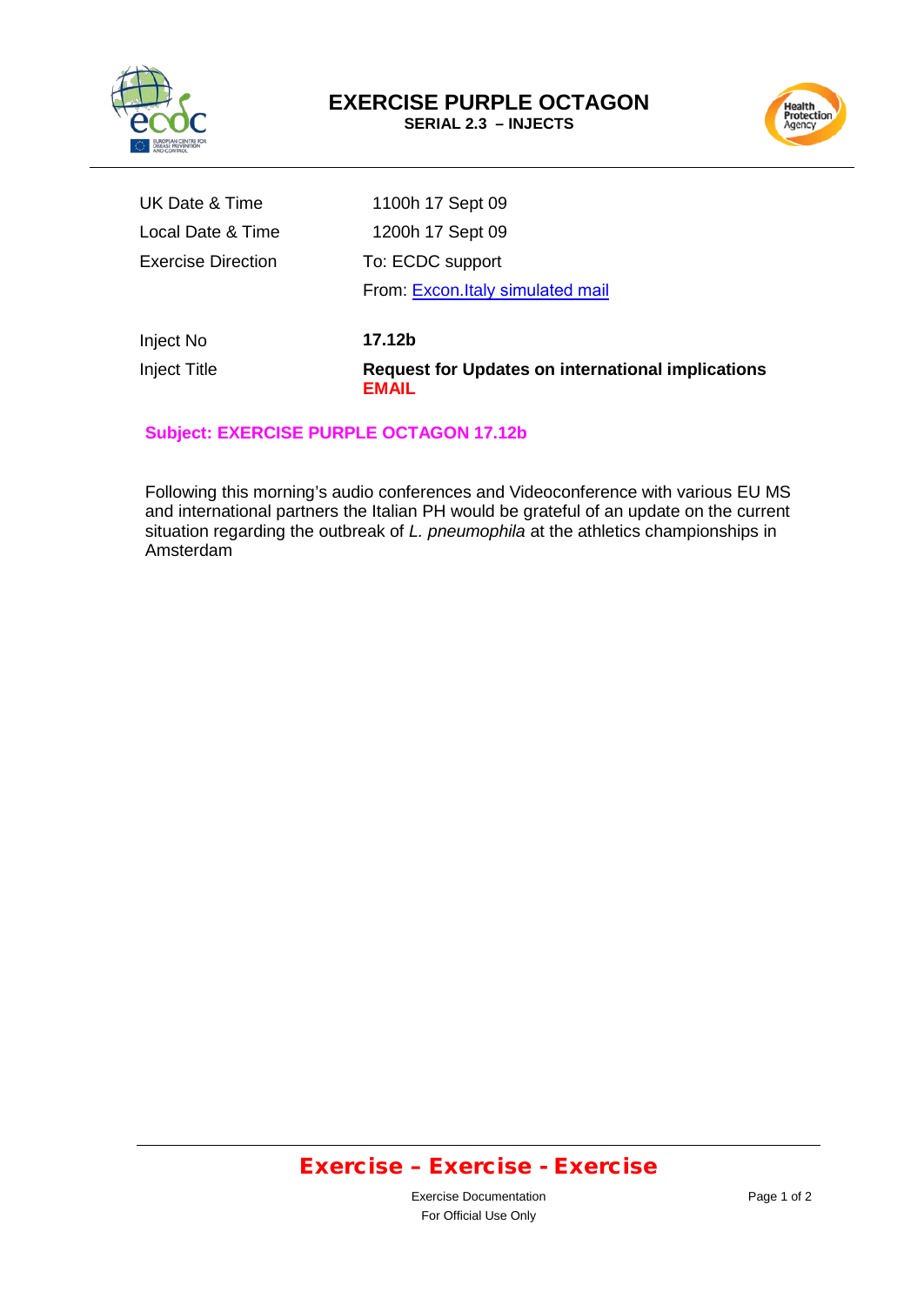



| <b>Inject Title</b>       | <b>Request for Updates on international implications</b><br><b>EMAIL</b> |
|---------------------------|--------------------------------------------------------------------------|
| Inject No                 | 17.12b                                                                   |
|                           | From: Excon.Italy simulated mail                                         |
| <b>Exercise Direction</b> | To: ECDC support                                                         |
| Local Date & Time         | 1200h 17 Sept 09                                                         |
| UK Date & Time            | 1100h 17 Sept 09                                                         |

#### **Subject: EXERCISE PURPLE OCTAGON 17.12b**

Following this morning's audio conferences and Videoconference with various EU MS and international partners the Italian PH would be grateful of an update on the current situation regarding the outbreak of *L. pneumophila* at the athletics championships in Amsterdam

# Exercise – Exercise - Exercise